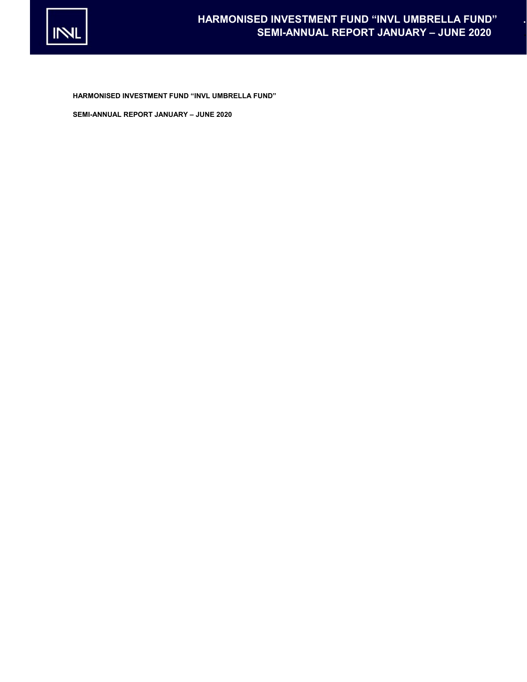

HARMONISED INVESTMENT FUND "INVL UMBRELLA FUND"

SEMI-ANNUAL REPORT JANUARY – JUNE 2020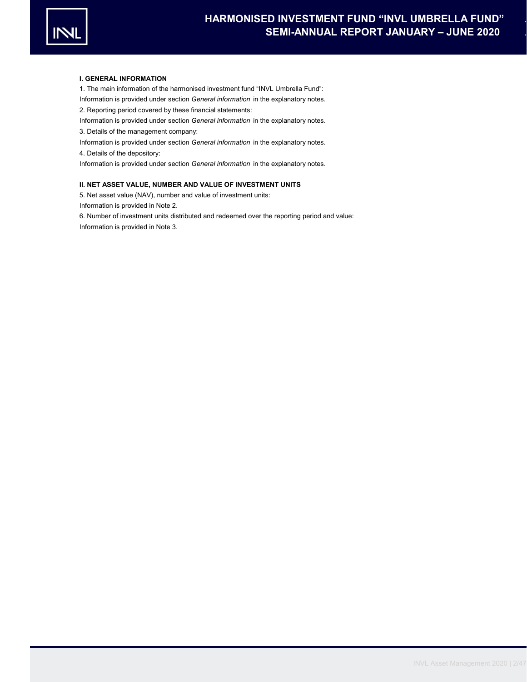

## I. GENERAL INFORMATION

1. The main information of the harmonised investment fund "INVL Umbrella Fund": Information is provided under section General information in the explanatory notes. 2. Reporting period covered by these financial statements:

Information is provided under section General information in the explanatory notes.

3. Details of the management company:

Information is provided under section General information in the explanatory notes.

4. Details of the depository:

Information is provided under section General information in the explanatory notes.

# II. NET ASSET VALUE, NUMBER AND VALUE OF INVESTMENT UNITS

5. Net asset value (NAV), number and value of investment units:

Information is provided in Note 2.

Information is provided in Note 3. 6. Number of investment units distributed and redeemed over the reporting period and value: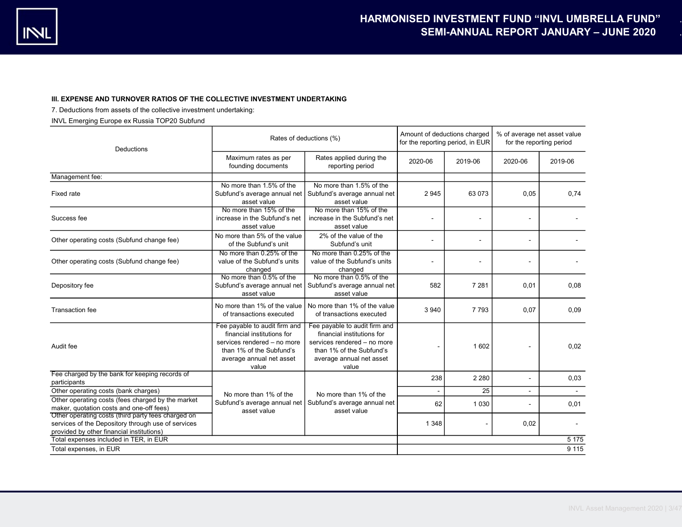# III. EXPENSE AND TURNOVER RATIOS OF THE COLLECTIVE INVESTMENT UNDERTAKING

7. Deductions from assets of the collective investment undertaking:

INVL Emerging Europe ex Russia TOP20 Subfund

| Deductions                                                                                                                                            |                                                                                                                                                             | Rates of deductions (%)<br>for the reporting period, in EUR                                                                                                 |         |         | % of average net asset value<br>for the reporting period |         |
|-------------------------------------------------------------------------------------------------------------------------------------------------------|-------------------------------------------------------------------------------------------------------------------------------------------------------------|-------------------------------------------------------------------------------------------------------------------------------------------------------------|---------|---------|----------------------------------------------------------|---------|
|                                                                                                                                                       | Maximum rates as per<br>founding documents                                                                                                                  | Rates applied during the<br>reporting period                                                                                                                | 2020-06 | 2019-06 | 2020-06                                                  | 2019-06 |
| Management fee:                                                                                                                                       |                                                                                                                                                             |                                                                                                                                                             |         |         |                                                          |         |
| Fixed rate                                                                                                                                            | No more than 1.5% of the<br>Subfund's average annual net<br>asset value                                                                                     | No more than 1.5% of the<br>Subfund's average annual net<br>asset value                                                                                     | 2945    | 63 073  | 0,05                                                     | 0.74    |
| Success fee                                                                                                                                           | No more than 15% of the<br>increase in the Subfund's net<br>asset value                                                                                     | No more than 15% of the<br>increase in the Subfund's net<br>asset value                                                                                     |         |         |                                                          |         |
| Other operating costs (Subfund change fee)                                                                                                            | No more than 5% of the value<br>of the Subfund's unit                                                                                                       | 2% of the value of the<br>Subfund's unit                                                                                                                    |         |         |                                                          |         |
| Other operating costs (Subfund change fee)                                                                                                            | No more than 0.25% of the<br>value of the Subfund's units<br>changed                                                                                        | No more than 0.25% of the<br>value of the Subfund's units<br>changed                                                                                        |         |         |                                                          |         |
| Depository fee                                                                                                                                        | No more than 0.5% of the<br>Subfund's average annual net<br>asset value                                                                                     | No more than 0.5% of the<br>Subfund's average annual net<br>asset value                                                                                     | 582     | 7 2 8 1 | 0,01                                                     | 0.08    |
| <b>Transaction fee</b>                                                                                                                                | No more than 1% of the value<br>of transactions executed                                                                                                    | No more than 1% of the value<br>of transactions executed                                                                                                    | 3 9 4 0 | 7793    | 0,07                                                     | 0,09    |
| Audit fee                                                                                                                                             | Fee payable to audit firm and<br>financial institutions for<br>services rendered - no more<br>than 1% of the Subfund's<br>average annual net asset<br>value | Fee payable to audit firm and<br>financial institutions for<br>services rendered - no more<br>than 1% of the Subfund's<br>average annual net asset<br>value |         | 1 602   |                                                          | 0.02    |
| Fee charged by the bank for keeping records of<br>participants                                                                                        |                                                                                                                                                             |                                                                                                                                                             | 238     | 2 2 8 0 | $\blacksquare$                                           | 0,03    |
| Other operating costs (bank charges)                                                                                                                  | No more than 1% of the                                                                                                                                      | No more than 1% of the                                                                                                                                      | ÷.      | 25      |                                                          | $\sim$  |
| Other operating costs (fees charged by the market<br>maker, quotation costs and one-off fees)                                                         | Subfund's average annual net<br>asset value                                                                                                                 | Subfund's average annual net<br>asset value                                                                                                                 | 62      | 1 0 3 0 |                                                          | 0,01    |
| Other operating costs (third party fees charged on<br>services of the Depository through use of services<br>provided by other financial institutions) |                                                                                                                                                             |                                                                                                                                                             | 1 3 4 8 |         | 0,02                                                     |         |
| Total expenses included in TER, in EUR                                                                                                                |                                                                                                                                                             |                                                                                                                                                             |         |         |                                                          | 5 1 7 5 |
| Total expenses, in EUR                                                                                                                                |                                                                                                                                                             |                                                                                                                                                             |         |         |                                                          | 9 1 1 5 |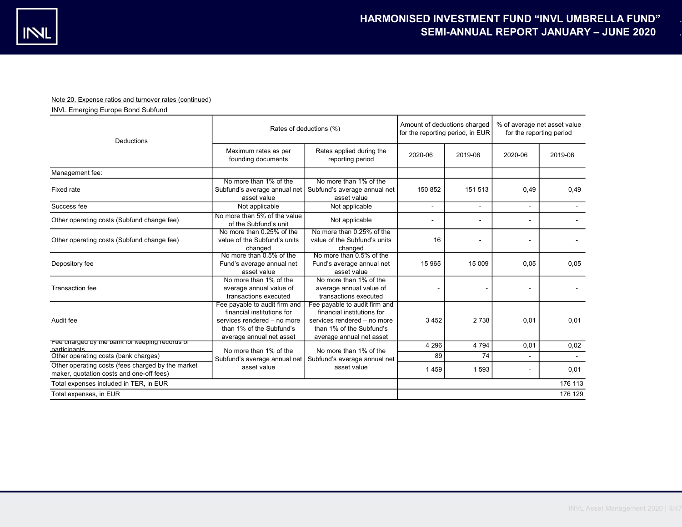# Note 20. Expense ratios and turnover rates (continued)

INVL Emerging Europe Bond Subfund

| Deductions                                                                                    |                                                                                                                                                    | Rates of deductions (%)<br>for the reporting period, in EUR                                                                                        |         |              | % of average net asset value<br>for the reporting period |         |
|-----------------------------------------------------------------------------------------------|----------------------------------------------------------------------------------------------------------------------------------------------------|----------------------------------------------------------------------------------------------------------------------------------------------------|---------|--------------|----------------------------------------------------------|---------|
|                                                                                               | Maximum rates as per<br>founding documents                                                                                                         | Rates applied during the<br>reporting period                                                                                                       | 2020-06 | 2019-06      | 2020-06                                                  | 2019-06 |
| Management fee:                                                                               |                                                                                                                                                    |                                                                                                                                                    |         |              |                                                          |         |
| Fixed rate                                                                                    | No more than 1% of the<br>Subfund's average annual net<br>asset value                                                                              | No more than 1% of the<br>Subfund's average annual net<br>asset value                                                                              | 150 852 | 151 513      | 0,49                                                     | 0.49    |
| Success fee                                                                                   | Not applicable                                                                                                                                     | Not applicable                                                                                                                                     | ٠       | $\mathbf{r}$ |                                                          |         |
| Other operating costs (Subfund change fee)                                                    | No more than 5% of the value<br>of the Subfund's unit                                                                                              | Not applicable                                                                                                                                     |         |              |                                                          |         |
| Other operating costs (Subfund change fee)                                                    | No more than 0.25% of the<br>value of the Subfund's units<br>changed                                                                               | No more than 0.25% of the<br>value of the Subfund's units<br>changed                                                                               | 16      |              |                                                          |         |
| Depository fee                                                                                | No more than 0.5% of the<br>Fund's average annual net<br>asset value                                                                               | No more than 0.5% of the<br>Fund's average annual net<br>asset value                                                                               | 15 965  | 15 009       | 0.05                                                     | 0.05    |
| <b>Transaction</b> fee                                                                        | No more than 1% of the<br>average annual value of<br>transactions executed                                                                         | No more than 1% of the<br>average annual value of<br>transactions executed                                                                         |         |              |                                                          |         |
| Audit fee                                                                                     | Fee payable to audit firm and<br>financial institutions for<br>services rendered - no more<br>than 1% of the Subfund's<br>average annual net asset | Fee payable to audit firm and<br>financial institutions for<br>services rendered - no more<br>than 1% of the Subfund's<br>average annual net asset | 3 4 5 2 | 2738         | 0,01                                                     | 0,01    |
| Fee charged by the bank for keeping records or<br>narticinants                                |                                                                                                                                                    |                                                                                                                                                    | 4 2 9 6 | 4 7 9 4      | 0,01                                                     | 0,02    |
| Other operating costs (bank charges)                                                          | No more than 1% of the<br>Subfund's average annual net                                                                                             | No more than 1% of the<br>Subfund's average annual net                                                                                             | 89      | 74           |                                                          |         |
| Other operating costs (fees charged by the market<br>maker, quotation costs and one-off fees) | asset value                                                                                                                                        | asset value                                                                                                                                        | 1459    | 1 5 9 3      |                                                          | 0.01    |
| Total expenses included in TER, in EUR                                                        |                                                                                                                                                    |                                                                                                                                                    |         |              |                                                          | 176 113 |
| Total expenses, in EUR                                                                        |                                                                                                                                                    |                                                                                                                                                    |         | 176 129      |                                                          |         |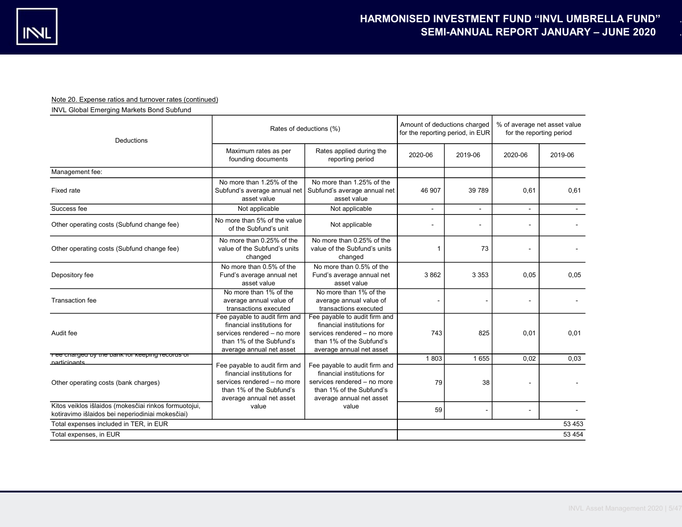# Note 20. Expense ratios and turnover rates (continued)

INVL Global Emerging Markets Bond Subfund

| Deductions                                                                                                | Rates of deductions (%)                                                                                                                            | Amount of deductions charged<br>for the reporting period, in EUR                                                                                   |         | % of average net asset value<br>for the reporting period |                |         |
|-----------------------------------------------------------------------------------------------------------|----------------------------------------------------------------------------------------------------------------------------------------------------|----------------------------------------------------------------------------------------------------------------------------------------------------|---------|----------------------------------------------------------|----------------|---------|
|                                                                                                           | Maximum rates as per<br>founding documents                                                                                                         | Rates applied during the<br>reporting period                                                                                                       | 2020-06 | 2019-06                                                  | 2020-06        | 2019-06 |
| Management fee:                                                                                           |                                                                                                                                                    |                                                                                                                                                    |         |                                                          |                |         |
| Fixed rate                                                                                                | No more than 1.25% of the<br>Subfund's average annual net<br>asset value                                                                           | No more than 1.25% of the<br>Subfund's average annual net<br>asset value                                                                           | 46 907  | 39 789                                                   | 0.61           | 0.61    |
| Success fee                                                                                               | Not applicable                                                                                                                                     | Not applicable                                                                                                                                     |         | $\sim$                                                   | $\blacksquare$ |         |
| Other operating costs (Subfund change fee)                                                                | No more than 5% of the value<br>of the Subfund's unit                                                                                              | Not applicable                                                                                                                                     |         |                                                          |                |         |
| Other operating costs (Subfund change fee)                                                                | No more than 0.25% of the<br>value of the Subfund's units<br>changed                                                                               | No more than 0.25% of the<br>value of the Subfund's units<br>changed                                                                               | 1       | 73                                                       |                |         |
| Depository fee                                                                                            | No more than 0.5% of the<br>Fund's average annual net<br>asset value                                                                               | No more than 0.5% of the<br>Fund's average annual net<br>asset value                                                                               | 3862    | 3 3 5 3                                                  | 0,05           | 0,05    |
| Transaction fee                                                                                           | No more than 1% of the<br>average annual value of<br>transactions executed                                                                         | No more than 1% of the<br>average annual value of<br>transactions executed                                                                         |         |                                                          |                |         |
| Audit fee                                                                                                 | Fee payable to audit firm and<br>financial institutions for<br>services rendered - no more<br>than 1% of the Subfund's<br>average annual net asset | Fee payable to audit firm and<br>financial institutions for<br>services rendered - no more<br>than 1% of the Subfund's<br>average annual net asset | 743     | 825                                                      | 0,01           | 0,01    |
| Fee charged by the bank for keeping records or<br>narticinants                                            |                                                                                                                                                    |                                                                                                                                                    | 1803    | 1655                                                     | 0,02           | 0,03    |
| Other operating costs (bank charges)                                                                      | Fee payable to audit firm and<br>financial institutions for<br>services rendered - no more<br>than 1% of the Subfund's<br>average annual net asset | Fee payable to audit firm and<br>financial institutions for<br>services rendered - no more<br>than 1% of the Subfund's<br>average annual net asset | 79      | 38                                                       |                |         |
| Kitos veiklos išlaidos (mokesčiai rinkos formuotojui,<br>kotiravimo išlaidos bei neperiodiniai mokesčiai) | value                                                                                                                                              | value                                                                                                                                              | 59      |                                                          |                |         |
| Total expenses included in TER, in EUR                                                                    |                                                                                                                                                    |                                                                                                                                                    |         |                                                          |                | 53 453  |
| Total expenses, in EUR                                                                                    |                                                                                                                                                    |                                                                                                                                                    |         |                                                          |                | 53 4 54 |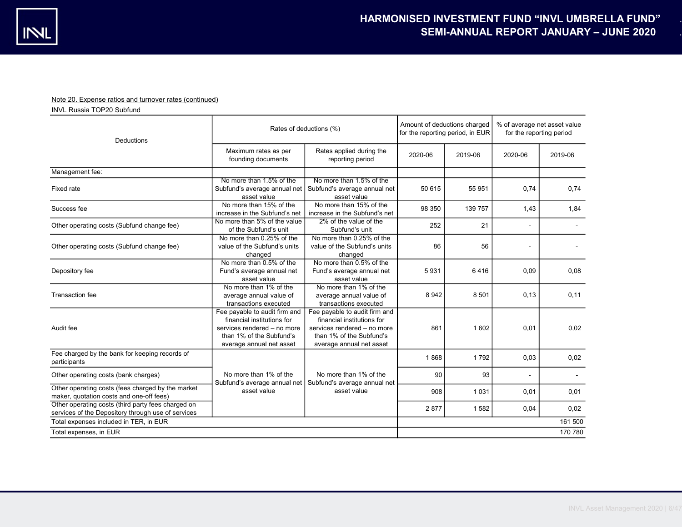# Note 20. Expense ratios and turnover rates (continued)

INVL Russia TOP20 Subfund

| Deductions                                                                                               |                                                                                                                                                    | Rates of deductions (%)                                                                                                                            |         |         | % of average net asset value<br>for the reporting period |         |
|----------------------------------------------------------------------------------------------------------|----------------------------------------------------------------------------------------------------------------------------------------------------|----------------------------------------------------------------------------------------------------------------------------------------------------|---------|---------|----------------------------------------------------------|---------|
|                                                                                                          | Maximum rates as per<br>founding documents                                                                                                         | Rates applied during the<br>reporting period                                                                                                       | 2020-06 | 2019-06 | 2020-06                                                  | 2019-06 |
| Management fee:                                                                                          |                                                                                                                                                    |                                                                                                                                                    |         |         |                                                          |         |
| Fixed rate                                                                                               | No more than 1.5% of the<br>Subfund's average annual net<br>asset value                                                                            | No more than 1.5% of the<br>Subfund's average annual net<br>asset value                                                                            | 50 615  | 55 951  | 0,74                                                     | 0,74    |
| Success fee                                                                                              | No more than 15% of the<br>increase in the Subfund's net                                                                                           | No more than 15% of the<br>increase in the Subfund's net                                                                                           | 98 350  | 139 757 | 1,43                                                     | 1,84    |
| Other operating costs (Subfund change fee)                                                               | No more than 5% of the value<br>of the Subfund's unit                                                                                              | 2% of the value of the<br>Subfund's unit                                                                                                           | 252     | 21      |                                                          |         |
| Other operating costs (Subfund change fee)                                                               | No more than 0.25% of the<br>value of the Subfund's units<br>changed                                                                               | No more than 0.25% of the<br>value of the Subfund's units<br>changed                                                                               | 86      | 56      |                                                          |         |
| Depository fee                                                                                           | No more than 0.5% of the<br>Fund's average annual net<br>asset value                                                                               | No more than 0.5% of the<br>Fund's average annual net<br>asset value                                                                               | 5931    | 6416    | 0,09                                                     | 0,08    |
| <b>Transaction fee</b>                                                                                   | No more than 1% of the<br>average annual value of<br>transactions executed                                                                         | No more than 1% of the<br>average annual value of<br>transactions executed                                                                         | 8 9 4 2 | 8 5 0 1 | 0,13                                                     | 0,11    |
| Audit fee                                                                                                | Fee payable to audit firm and<br>financial institutions for<br>services rendered - no more<br>than 1% of the Subfund's<br>average annual net asset | Fee payable to audit firm and<br>financial institutions for<br>services rendered - no more<br>than 1% of the Subfund's<br>average annual net asset | 861     | 1 602   | 0,01                                                     | 0,02    |
| Fee charged by the bank for keeping records of<br>participants                                           |                                                                                                                                                    |                                                                                                                                                    | 1868    | 1792    | 0,03                                                     | 0,02    |
| Other operating costs (bank charges)                                                                     | No more than 1% of the                                                                                                                             | No more than 1% of the<br>Subfund's average annual net   Subfund's average annual net                                                              | 90      | 93      |                                                          |         |
| Other operating costs (fees charged by the market<br>maker, quotation costs and one-off fees)            | asset value                                                                                                                                        | asset value                                                                                                                                        | 908     | 1 0 3 1 | 0,01                                                     | 0,01    |
| Other operating costs (third party fees charged on<br>services of the Depository through use of services |                                                                                                                                                    |                                                                                                                                                    | 2877    | 1582    | 0,04                                                     | 0,02    |
| Total expenses included in TER, in EUR                                                                   |                                                                                                                                                    |                                                                                                                                                    |         |         |                                                          | 161 500 |
| Total expenses, in EUR                                                                                   |                                                                                                                                                    |                                                                                                                                                    |         |         |                                                          | 170 780 |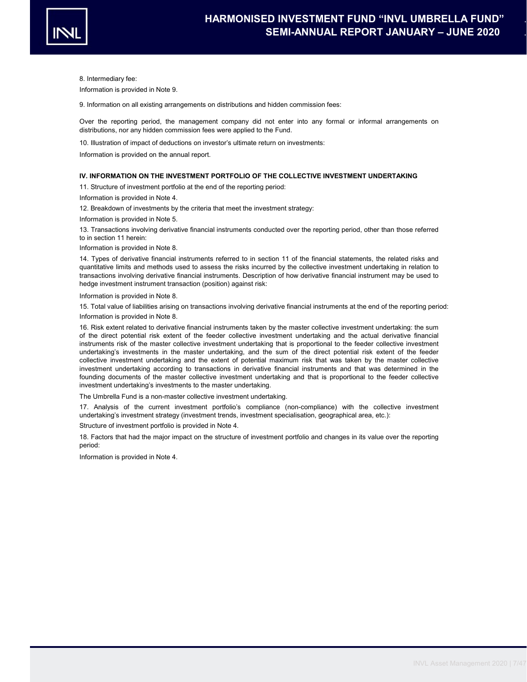

8. Intermediary fee:

Information is provided in Note 9.

9. Information on all existing arrangements on distributions and hidden commission fees:

Over the reporting period, the management company did not enter into any formal or informal arrangements on distributions, nor any hidden commission fees were applied to the Fund.

10. Illustration of impact of deductions on investor's ultimate return on investments:

Information is provided on the annual report.

# IV. INFORMATION ON THE INVESTMENT PORTFOLIO OF THE COLLECTIVE INVESTMENT UNDERTAKING

11. Structure of investment portfolio at the end of the reporting period:

Information is provided in Note 4.

12. Breakdown of investments by the criteria that meet the investment strategy:

Information is provided in Note 5.

13. Transactions involving derivative financial instruments conducted over the reporting period, other than those referred to in section 11 herein:

Information is provided in Note 8.

14. Types of derivative financial instruments referred to in section 11 of the financial statements, the related risks and quantitative limits and methods used to assess the risks incurred by the collective investment undertaking in relation to transactions involving derivative financial instruments. Description of how derivative financial instrument may be used to hedge investment instrument transaction (position) against risk:

Information is provided in Note 8.

15. Total value of liabilities arising on transactions involving derivative financial instruments at the end of the reporting period:

Information is provided in Note 8.

16. Risk extent related to derivative financial instruments taken by the master collective investment undertaking: the sum of the direct potential risk extent of the feeder collective investment undertaking and the actual derivative financial instruments risk of the master collective investment undertaking that is proportional to the feeder collective investment undertaking's investments in the master undertaking, and the sum of the direct potential risk extent of the feeder collective investment undertaking and the extent of potential maximum risk that was taken by the master collective investment undertaking according to transactions in derivative financial instruments and that was determined in the founding documents of the master collective investment undertaking and that is proportional to the feeder collective investment undertaking's investments to the master undertaking.

The Umbrella Fund is a non-master collective investment undertaking.

17. Analysis of the current investment portfolio's compliance (non-compliance) with the collective investment undertaking's investment strategy (investment trends, investment specialisation, geographical area, etc.):

Structure of investment portfolio is provided in Note 4.

18. Factors that had the major impact on the structure of investment portfolio and changes in its value over the reporting period:

Information is provided in Note 4.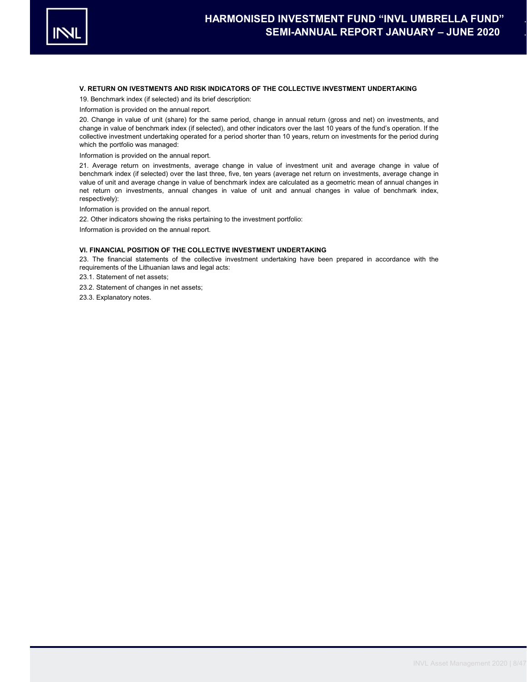

# V. RETURN ON IVESTMENTS AND RISK INDICATORS OF THE COLLECTIVE INVESTMENT UNDERTAKING

19. Benchmark index (if selected) and its brief description:

Information is provided on the annual report.

20. Change in value of unit (share) for the same period, change in annual return (gross and net) on investments, and change in value of benchmark index (if selected), and other indicators over the last 10 years of the fund's operation. If the collective investment undertaking operated for a period shorter than 10 years, return on investments for the period during which the portfolio was managed:

Information is provided on the annual report.

21. Average return on investments, average change in value of investment unit and average change in value of benchmark index (if selected) over the last three, five, ten years (average net return on investments, average change in value of unit and average change in value of benchmark index are calculated as a geometric mean of annual changes in net return on investments, annual changes in value of unit and annual changes in value of benchmark index, respectively):

Information is provided on the annual report.

22. Other indicators showing the risks pertaining to the investment portfolio:

Information is provided on the annual report.

# VI. FINANCIAL POSITION OF THE COLLECTIVE INVESTMENT UNDERTAKING

23. The financial statements of the collective investment undertaking have been prepared in accordance with the requirements of the Lithuanian laws and legal acts:

23.1. Statement of net assets;

23.2. Statement of changes in net assets;

23.3. Explanatory notes.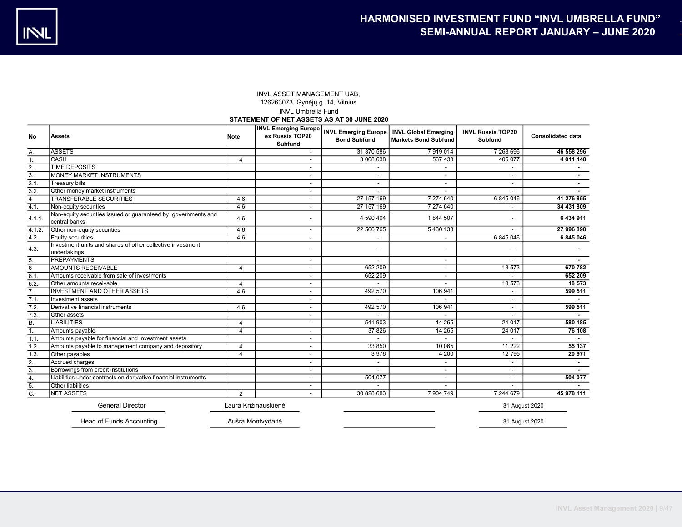# INVL ASSET MANAGEMENT UAB, 126263073, Gynėjų g. 14, Vilnius INVL Umbrella Fund STATEMENT OF NET ASSETS AS AT 30 JUNE 2020

| No              | <b>Assets</b>                                                                  | Note           | <b>INVL Emerging Europe</b><br>ex Russia TOP20<br><b>Subfund</b> | <b>Bond Subfund</b>      | <b>INVL Emerging Europe   INVL Global Emerging</b><br><b>Markets Bond Subfund</b> | <b>INVL Russia TOP20</b><br>Subfund | <b>Consolidated data</b> |
|-----------------|--------------------------------------------------------------------------------|----------------|------------------------------------------------------------------|--------------------------|-----------------------------------------------------------------------------------|-------------------------------------|--------------------------|
| А.              | <b>ASSETS</b>                                                                  |                |                                                                  | 31 370 586               | 7919014                                                                           | 7 268 696                           | 46 558 296               |
| 1.              | <b>CASH</b>                                                                    | $\overline{4}$ |                                                                  | 3 068 638                | 537 433                                                                           | 405 077                             | 4 011 148                |
| 2.              | <b>TIME DEPOSITS</b>                                                           |                |                                                                  |                          |                                                                                   |                                     |                          |
| 3.              | <b>MONEY MARKET INSTRUMENTS</b>                                                |                | $\overline{\phantom{a}}$                                         | $\overline{\phantom{a}}$ | $\overline{\phantom{a}}$                                                          | $\overline{\phantom{a}}$            | $\sim$                   |
| 3.1.            | <b>Treasury bills</b>                                                          |                | $\overline{\phantom{0}}$                                         | $\overline{\phantom{0}}$ | $\overline{\phantom{a}}$                                                          | $\blacksquare$                      |                          |
| 3.2.            | Other money market instruments                                                 |                |                                                                  |                          |                                                                                   |                                     |                          |
| $\overline{4}$  | <b>TRANSFERABLE SECURITIES</b>                                                 | 4,6            | $\overline{\phantom{0}}$                                         | 27 157 169               | 7 274 640                                                                         | 6 845 046                           | 41 276 855               |
| 4.1.            | Non-equity securities                                                          | 4,6            | $\overline{\phantom{0}}$                                         | 27 157 169               | 7 274 640                                                                         |                                     | 34 431 809               |
| 4.1.1.          | Non-equity securities issued or guaranteed by governments and<br>central banks | 4,6            |                                                                  | 4 590 404                | 1844 507                                                                          |                                     | 6 434 911                |
| 4.1.2           | Other non-equity securities                                                    | 4,6            | $\overline{\phantom{a}}$                                         | 22 566 765               | 5 430 133                                                                         | $\overline{a}$                      | 27 996 898               |
| 4.2.            | Equity securities                                                              | 4,6            | $\overline{\phantom{a}}$                                         |                          | $\overline{\phantom{a}}$                                                          | 6845046                             | 6 845 046                |
| 4.3.            | Investment units and shares of other collective investment<br>undertakings     |                |                                                                  | $\overline{\phantom{a}}$ | $\overline{\phantom{a}}$                                                          | $\overline{\phantom{a}}$            |                          |
| 5.              | <b>PREPAYMENTS</b>                                                             |                | $\overline{a}$                                                   |                          | $\overline{a}$                                                                    |                                     |                          |
| $6\overline{6}$ | <b>AMOUNTS RECEIVABLE</b>                                                      | $\overline{4}$ | $\overline{\phantom{a}}$                                         | 652 209                  | $\overline{\phantom{a}}$                                                          | 18 573                              | 670 782                  |
| 6.1.            | Amounts receivable from sale of investments                                    |                | $\overline{\phantom{0}}$                                         | 652 209                  | $\overline{\phantom{a}}$                                                          |                                     | 652 209                  |
| 6.2.            | Other amounts receivable                                                       | $\overline{4}$ | $\overline{\phantom{0}}$                                         |                          |                                                                                   | 18 573                              | 18 573                   |
| 7.              | <b>INVESTMENT AND OTHER ASSETS</b>                                             | 4,6            |                                                                  | 492 570                  | 106 941                                                                           | $\overline{\phantom{a}}$            | 599 511                  |
| 7.1.            | Investment assets                                                              |                |                                                                  |                          |                                                                                   | $\overline{\phantom{a}}$            |                          |
| 7.2.            | Derivative financial instruments                                               | 4,6            | $\overline{\phantom{a}}$                                         | 492 570                  | 106 941                                                                           | $\overline{\phantom{a}}$            | 599 511                  |
| 7.3.            | Other assets                                                                   |                | $\overline{\phantom{a}}$                                         |                          |                                                                                   | $\overline{\phantom{a}}$            |                          |
| В.              | <b>LIABILITIES</b>                                                             | 4              | $\overline{\phantom{a}}$                                         | 541 903                  | 14 265                                                                            | 24 017                              | 580 185                  |
| 1.              | Amounts payable                                                                | $\overline{4}$ | $\overline{\phantom{a}}$                                         | 37 826                   | 14 265                                                                            | 24 017                              | 76 108                   |
| 1.1.            | Amounts payable for financial and investment assets                            |                | $\overline{\phantom{a}}$                                         |                          |                                                                                   |                                     |                          |
| 1.2.            | Amounts payable to management company and depository                           | $\overline{4}$ | $\overline{\phantom{a}}$                                         | 33 850                   | 10 065                                                                            | 11 2 22                             | 55 137                   |
| 1.3.            | Other payables                                                                 | $\overline{4}$ | $\overline{\phantom{a}}$                                         | 3976                     | 4 200                                                                             | 12795                               | 20 971                   |
| 2.              | Accrued charges                                                                |                | $\overline{\phantom{0}}$                                         |                          |                                                                                   |                                     |                          |
| 3.              | Borrowings from credit institutions                                            |                | $\overline{\phantom{a}}$                                         |                          | $\overline{\phantom{a}}$                                                          |                                     |                          |
| 4.              | Liabilities under contracts on derivative financial instruments                |                | $\overline{\phantom{a}}$                                         | 504 077                  | $\overline{\phantom{a}}$                                                          | $\overline{\phantom{a}}$            | 504 077                  |
| 5.              | <b>Other liabilities</b>                                                       |                | $\overline{\phantom{a}}$                                         |                          |                                                                                   |                                     |                          |
| C.              | <b>NET ASSETS</b>                                                              | 2              |                                                                  | 30 828 683               | 7 904 749                                                                         | 7 244 679                           | 45 978 111               |
|                 | <b>General Director</b>                                                        |                | Laura Križinauskienė                                             |                          |                                                                                   | 31 August 2020                      |                          |
|                 | Head of Funds Accounting                                                       |                | Aušra Montvydaitė                                                |                          |                                                                                   | 31 August 2020                      |                          |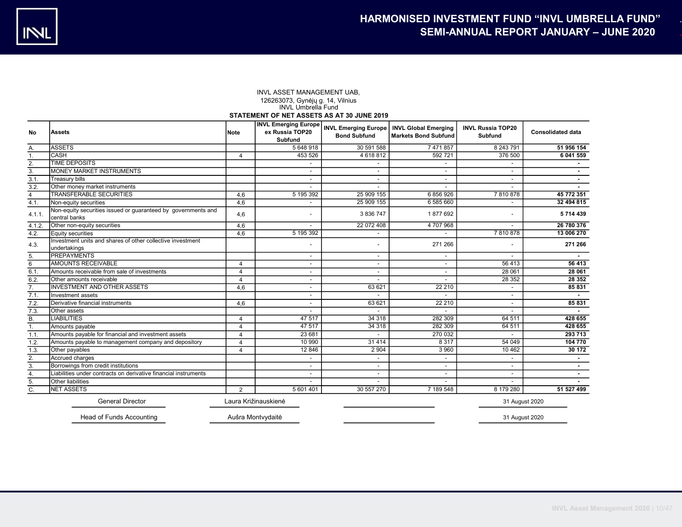#### INVL ASSET MANAGEMENT UAB, 126263073, Gynėjų g. 14, Vilnius INVL Umbrella Fund

### STATEMENT OF NET ASSETS AS AT 30 JUNE 2019

| No               | <b>Assets</b>                                                                  | Note           | <b>INVL Emerging Europe</b><br>ex Russia TOP20<br>Subfund | <b>INVL Emerging Europe</b><br><b>Bond Subfund</b> | <b>INVL Global Emerging</b><br><b>Markets Bond Subfund</b> | <b>INVL Russia TOP20</b><br>Subfund | <b>Consolidated data</b> |  |  |
|------------------|--------------------------------------------------------------------------------|----------------|-----------------------------------------------------------|----------------------------------------------------|------------------------------------------------------------|-------------------------------------|--------------------------|--|--|
| А.               | <b>ASSETS</b>                                                                  |                | 5 648 918                                                 | 30 591 588                                         | 7 471 857                                                  | 8 243 791                           | 51 956 154               |  |  |
| 1.               | <b>CASH</b>                                                                    | 4              | 453 526                                                   | 4 618 812                                          | 592 721                                                    | 376 500                             | 6 041 559                |  |  |
| 2.               | <b>TIME DEPOSITS</b>                                                           |                |                                                           |                                                    |                                                            |                                     |                          |  |  |
| 3.               | MONEY MARKET INSTRUMENTS                                                       |                | $\overline{\phantom{a}}$                                  | $\overline{\phantom{a}}$                           | $\overline{\phantom{a}}$                                   | $\overline{\phantom{a}}$            |                          |  |  |
| 3.1.             | <b>Treasury bills</b>                                                          |                | $\overline{\phantom{0}}$                                  | $\overline{\phantom{a}}$                           | $\overline{\phantom{a}}$                                   | $\blacksquare$                      |                          |  |  |
| 3.2.             | Other money market instruments                                                 |                |                                                           | $\overline{\phantom{a}}$                           |                                                            | $\blacksquare$                      |                          |  |  |
| $\overline{4}$   | <b>TRANSFERABLE SECURITIES</b>                                                 | 4,6            | 5 195 392                                                 | 25 909 155                                         | 6856926                                                    | 7810878                             | 45 772 351               |  |  |
| 4.1.             | Non-equity securities                                                          | 4.6            |                                                           | 25 909 155                                         | 6 585 660                                                  |                                     | 32 494 815               |  |  |
| $4.1.1$ .        | Non-equity securities issued or guaranteed by governments and<br>central banks | 4,6            |                                                           | 3 836 747                                          | 1877692                                                    |                                     | 5 714 439                |  |  |
| 4.1.2.           | Other non-equity securities                                                    | 4,6            | $\overline{a}$                                            | 22 072 408                                         | 4 707 968                                                  | $\overline{\phantom{a}}$            | 26 780 376               |  |  |
| 4.2.             | Equity securities                                                              | 4,6            | 5 195 392                                                 |                                                    |                                                            | 7810878                             | 13 006 270               |  |  |
| 4.3.             | Investment units and shares of other collective investment<br>undertakings     |                |                                                           | $\overline{\phantom{a}}$                           | 271 266                                                    |                                     | 271 266                  |  |  |
| 5.               | <b>PREPAYMENTS</b>                                                             |                |                                                           | $\qquad \qquad \blacksquare$                       |                                                            |                                     |                          |  |  |
| 6                | <b>AMOUNTS RECEIVABLE</b>                                                      | 4              | $\overline{\phantom{0}}$                                  | $\overline{\phantom{a}}$                           | $\overline{\phantom{a}}$                                   | 56 413                              | 56 413                   |  |  |
| 6.1.             | Amounts receivable from sale of investments                                    | $\overline{4}$ | $\overline{\phantom{0}}$                                  |                                                    | $\overline{\phantom{a}}$                                   | 28 061                              | 28 061                   |  |  |
| 6.2.             | Other amounts receivable                                                       | 4              | $\overline{\phantom{0}}$                                  |                                                    |                                                            | 28 3 5 2                            | 28 35 2                  |  |  |
| 7.               | <b>INVESTMENT AND OTHER ASSETS</b>                                             | 4.6            | $\overline{\phantom{a}}$                                  | 63 621                                             | 22 210                                                     |                                     | 85 831                   |  |  |
| 7.1.             | Investment assets                                                              |                | $\overline{\phantom{0}}$                                  |                                                    |                                                            | $\blacksquare$                      |                          |  |  |
| 7.2.             | Derivative financial instruments                                               | 4,6            | $\overline{\phantom{0}}$                                  | 63 621                                             | 22 210                                                     |                                     | 85 831                   |  |  |
| 7.3.             | Other assets                                                                   |                |                                                           |                                                    |                                                            |                                     |                          |  |  |
| Β.               | <b>LIABILITIES</b>                                                             | $\overline{4}$ | 47 517                                                    | 34 318                                             | 282 309                                                    | 64 511                              | 428 655                  |  |  |
| 1.               | Amounts payable                                                                | $\overline{4}$ | 47 517                                                    | 34 318                                             | 282 309                                                    | 64 511                              | 428 655                  |  |  |
| 1.1.             | Amounts payable for financial and investment assets                            | $\overline{4}$ | 23 681                                                    | $\overline{\phantom{0}}$                           | 270 032                                                    | $\overline{\phantom{a}}$            | 293 713                  |  |  |
| 1.2.             | Amounts payable to management company and depository                           | $\overline{4}$ | 10 990                                                    | 31 4 14                                            | 8 3 1 7                                                    | 54 049                              | 104 770                  |  |  |
| 1.3.             | Other payables                                                                 | $\overline{4}$ | 12 846                                                    | 2 9 0 4                                            | 3 9 6 0                                                    | 10 462                              | 30 172                   |  |  |
| 2.               | Accrued charges                                                                |                | $\overline{\phantom{0}}$                                  | $\overline{\phantom{a}}$                           | $\overline{\phantom{a}}$                                   | $\overline{\phantom{a}}$            |                          |  |  |
| $\overline{3}$ . | Borrowings from credit institutions                                            |                | $\overline{\phantom{0}}$                                  | $\overline{\phantom{a}}$                           | -                                                          | $\overline{\phantom{a}}$            | $\sim$                   |  |  |
| 4.               | Liabilities under contracts on derivative financial instruments                |                |                                                           | $\overline{\phantom{a}}$                           | -                                                          |                                     | $\sim$                   |  |  |
| 5.               | Other liabilities                                                              |                |                                                           |                                                    | $\overline{\phantom{0}}$                                   |                                     |                          |  |  |
| C.               | <b>NET ASSETS</b>                                                              | 2              | 5 601 401                                                 | 30 557 270                                         | 7 189 548                                                  | 8 179 280                           | 51 527 499               |  |  |
|                  | <b>General Director</b><br>Laura Križinauskienė<br>31 August 2020              |                |                                                           |                                                    |                                                            |                                     |                          |  |  |

Head of Funds Accounting Aušra Montvydaitė 31 August 2020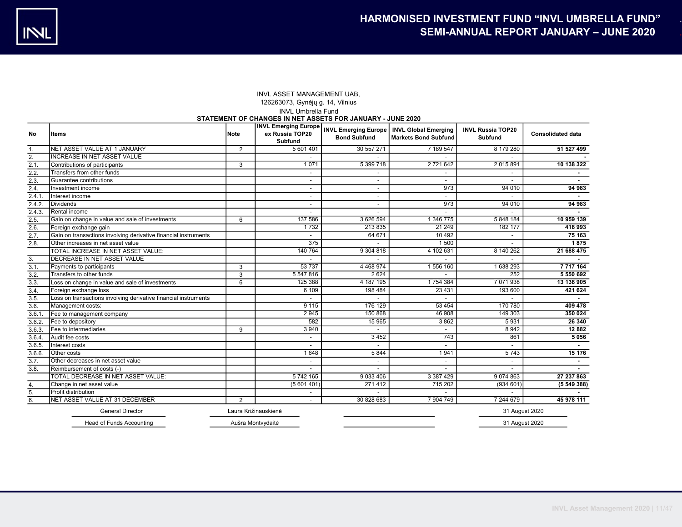# INVL ASSET MANAGEMENT UAB, 126263073, Gynėjų g. 14, Vilnius INVL Umbrella Fund

## STATEMENT OF CHANGES IN NET ASSETS FOR JANUARY - JUNE 2020

| No     | ltems                                                           | Note                 | <b>INVL Emerging Europe</b><br>ex Russia TOP20<br>Subfund | <b>INVL Emerging Europe</b><br><b>Bond Subfund</b> | <b>INVL Global Emerging</b><br><b>Markets Bond Subfund</b> | <b>INVL Russia TOP20</b><br><b>Subfund</b> | <b>Consolidated data</b> |
|--------|-----------------------------------------------------------------|----------------------|-----------------------------------------------------------|----------------------------------------------------|------------------------------------------------------------|--------------------------------------------|--------------------------|
| 1.     | NET ASSET VALUE AT 1 JANUARY                                    | $\overline{2}$       | 5 601 401                                                 | 30 557 271                                         | 7 189 547                                                  | 8 179 280                                  | 51 527 499               |
| 2.     | <b>INCREASE IN NET ASSET VALUE</b>                              |                      |                                                           |                                                    |                                                            |                                            |                          |
| 2.1.   | Contributions of participants                                   | 3                    | 1071                                                      | 5 399 718                                          | 2 721 642                                                  | 2 015 891                                  | 10 138 322               |
| 2.2.   | Transfers from other funds                                      |                      |                                                           |                                                    |                                                            |                                            |                          |
| 2.3.   | Guarantee contributions                                         |                      | $\overline{\phantom{0}}$                                  | $\overline{\phantom{a}}$                           | $\overline{\phantom{0}}$                                   |                                            |                          |
| 2.4.   | Investment income                                               |                      | $\overline{\phantom{0}}$                                  | $\overline{\phantom{a}}$                           | 973                                                        | 94 010                                     | 94 983                   |
| 2.4.1  | Interest income                                                 |                      | $\overline{\phantom{0}}$                                  | $\blacksquare$                                     |                                                            |                                            |                          |
| 2.4.2. | <b>Dividends</b>                                                |                      |                                                           | $\overline{\phantom{0}}$                           | 973                                                        | 94 010                                     | 94 983                   |
| 2.4.3  | Rental income                                                   |                      |                                                           |                                                    |                                                            |                                            |                          |
| 2.5.   | Gain on change in value and sale of investments                 | 6                    | 137 586                                                   | 3 626 594                                          | 1 346 775                                                  | 5 848 184                                  | 10 959 139               |
| 2.6.   | Foreign exchange gain                                           |                      | 1732                                                      | 213 835                                            | 21 24 9                                                    | 182 177                                    | 418 993                  |
| 2.7.   | Gain on transactions involving derivative financial instruments |                      |                                                           | 64 671                                             | 10 4 9 2                                                   |                                            | 75 163                   |
| 2.8.   | Other increases in net asset value                              |                      | 375                                                       |                                                    | 1500                                                       |                                            | 1875                     |
|        | TOTAL INCREASE IN NET ASSET VALUE:                              |                      | 140 764                                                   | 9 304 818                                          | 4 102 631                                                  | 8 140 262                                  | 21 688 475               |
| 3.     | DECREASE IN NET ASSET VALUE                                     |                      |                                                           |                                                    |                                                            |                                            |                          |
| 3.1.   | Payments to participants                                        | 3                    | 53 737                                                    | 4 4 68 9 74                                        | 1556 160                                                   | 1 638 293                                  | 7 7 1 7 1 6 4            |
| 3.2.   | Transfers to other funds                                        | 3                    | 5 547 816                                                 | 2 6 24                                             |                                                            | 252                                        | 5 550 692                |
| 3.3.   | Loss on change in value and sale of investments                 | 6                    | 125 388                                                   | 4 187 195                                          | 1754 384                                                   | 7 071 938                                  | 13 138 905               |
| 3.4.   | Foreign exchange loss                                           |                      | 6109                                                      | 198 484                                            | 23 4 31                                                    | 193 600                                    | 421 624                  |
| 3.5.   | Loss on transactions involving derivative financial instruments |                      |                                                           |                                                    |                                                            |                                            |                          |
| 3.6.   | Management costs:                                               |                      | 9115                                                      | 176 129                                            | 53 4 54                                                    | 170 780                                    | 409 478                  |
| 3.6.1  | Fee to management company                                       |                      | 2 9 4 5                                                   | 150 868                                            | 46 908                                                     | 149 303                                    | 350 024                  |
| 3.6.2  | Fee to depository                                               |                      | 582                                                       | 15 965                                             | 3862                                                       | 5931                                       | 26 340                   |
| 3.6.3. | Fee to intermediaries                                           | 9                    | 3 9 4 0                                                   |                                                    |                                                            | 8 9 4 2                                    | 12 8 82                  |
| 3.6.4. | Audit fee costs                                                 |                      |                                                           | 3 4 5 2                                            | 743                                                        | 861                                        | 5 0 5 6                  |
| 3.6.5. | Interest costs                                                  |                      |                                                           |                                                    |                                                            |                                            |                          |
| 3.6.6. | <b>Other</b> costs                                              |                      | 1648                                                      | 5 8 4 4                                            | 1941                                                       | 5743                                       | 15 176                   |
| 3.7.   | Other decreases in net asset value                              |                      |                                                           |                                                    |                                                            |                                            |                          |
| 3.8.   | Reimbursement of costs (-)                                      |                      |                                                           |                                                    |                                                            |                                            |                          |
|        | TOTAL DECREASE IN NET ASSET VALUE:                              |                      | 5 742 165                                                 | 9 033 406                                          | 3 3 8 7 4 2 9                                              | 9 0 7 4 8 6 3                              | 27 237 863               |
| 4.     | Change in net asset value                                       |                      | (5601401)                                                 | 271 412                                            | 715 202                                                    | (934601)                                   | (554938)                 |
| 5.     | Profit distribution                                             |                      |                                                           |                                                    |                                                            |                                            |                          |
| 6.     | NET ASSET VALUE AT 31 DECEMBER                                  | $\overline{2}$       | $\overline{\phantom{a}}$                                  | 30 828 683                                         | 7 904 749                                                  | 7 244 679                                  | 45 978 111               |
|        | <b>General Director</b>                                         | Laura Križinauskienė |                                                           |                                                    |                                                            | 31 August 2020                             |                          |
|        | Head of Funds Accounting                                        | Aušra Montvydaitė    |                                                           |                                                    |                                                            | 31 August 2020                             |                          |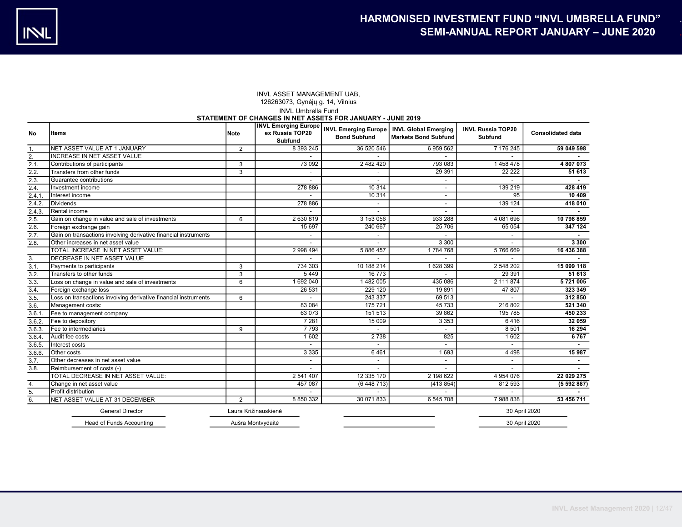## INVL Umbrella Fund STATEMENT OF CHANGES IN NET ASSETS FOR JANUARY - JUNE 2019 INVL ASSET MANAGEMENT UAB, 126263073, Gynėjų g. 14, Vilnius

| No     | lltems                                                          | Note           | <b>INVL Emerging Europe</b><br>ex Russia TOP20<br><b>Subfund</b> | <b>Bond Subfund</b>      | <b>INVL Emerging Europe   INVL Global Emerging</b><br><b>Markets Bond Subfund</b> | <b>INVL Russia TOP20</b><br><b>Subfund</b> | <b>Consolidated data</b> |
|--------|-----------------------------------------------------------------|----------------|------------------------------------------------------------------|--------------------------|-----------------------------------------------------------------------------------|--------------------------------------------|--------------------------|
| 1.     | NET ASSET VALUE AT 1 JANUARY                                    | 2              | 8 393 245                                                        | 36 520 546               | 6959562                                                                           | 7 176 245                                  | 59 049 598               |
| 2.     | <b>INCREASE IN NET ASSET VALUE</b>                              |                |                                                                  |                          |                                                                                   |                                            |                          |
| 2.1.   | Contributions of participants                                   | 3              | 73 092                                                           | 2 482 420                | 793 083                                                                           | 1458478                                    | 4 807 073                |
| 2.2.   | Transfers from other funds                                      | 3              | $\overline{\phantom{a}}$                                         |                          | 29 3 9 1                                                                          | 22 2 2 2                                   | 51 613                   |
| 2.3.   | Guarantee contributions                                         |                | $\overline{\phantom{a}}$                                         |                          | $\overline{\phantom{a}}$                                                          |                                            |                          |
| 2.4.   | Investment income                                               |                | 278 886                                                          | 10 314                   |                                                                                   | 139 219                                    | 428 419                  |
| 2.4.1  | Interest income                                                 |                |                                                                  | 10 3 14                  | $\overline{\phantom{a}}$                                                          | 95                                         | 10 409                   |
| 2.4.2. | Dividends                                                       |                | 278 886                                                          |                          | $\overline{\phantom{a}}$                                                          | 139 124                                    | 418 010                  |
| 2.4.3. | Rental income                                                   |                |                                                                  |                          |                                                                                   |                                            |                          |
| 2.5.   | Gain on change in value and sale of investments                 | 6              | 2 630 819                                                        | 3 153 056                | 933 288                                                                           | 4 081 696                                  | 10 798 859               |
| 2.6.   | Foreign exchange gain                                           |                | 15 6 97                                                          | 240 667                  | 25 706                                                                            | 65 0 54                                    | 347 124                  |
| 2.7.   | Gain on transactions involving derivative financial instruments |                |                                                                  |                          |                                                                                   | $\overline{\phantom{a}}$                   |                          |
| 2.8.   | Other increases in net asset value                              |                |                                                                  |                          | 3 3 0 0                                                                           |                                            | 3300                     |
|        | TOTAL INCREASE IN NET ASSET VALUE:                              |                | 2 998 494                                                        | 5 886 457                | 1784768                                                                           | 5766669                                    | 16 436 388               |
| 3.     | <b>IDECREASE IN NET ASSET VALUE</b>                             |                |                                                                  |                          |                                                                                   |                                            |                          |
| 3.1.   | Payments to participants                                        | 3              | 734 303                                                          | 10 188 214               | 1628 399                                                                          | 2 548 202                                  | 15 099 118               |
| 3.2.   | Transfers to other funds                                        | 3              | 5449                                                             | 16 773                   |                                                                                   | 29 39 1                                    | 51 613                   |
| 3.3.   | Loss on change in value and sale of investments                 | $\overline{6}$ | 1 692 040                                                        | 1482005                  | 435 086                                                                           | 2 111 874                                  | 5721005                  |
| 3.4.   | Foreign exchange loss                                           |                | 26 531                                                           | 229 120                  | 19891                                                                             | 47 807                                     | 323 349                  |
| 3.5.   | Loss on transactions involving derivative financial instruments | 6              |                                                                  | 243 337                  | 69 513                                                                            |                                            | 312 850                  |
| 3.6.   | Management costs:                                               |                | 83 0 84                                                          | 175 721                  | 45 733                                                                            | 216 802                                    | 521 340                  |
| 3.6.1  | Fee to management company                                       |                | 63 073                                                           | 151 513                  | 39 862                                                                            | 195 785                                    | 450 233                  |
| 3.6.2. | Fee to depository                                               |                | 7 2 8 1                                                          | 15 009                   | 3 3 5 3                                                                           | 6416                                       | 32 059                   |
| 3.6.3. | Fee to intermediaries                                           | 9              | 7793                                                             |                          |                                                                                   | 8 5 0 1                                    | 16 294                   |
| 3.6.4. | Audit fee costs                                                 |                | 1602                                                             | 2 7 3 8                  | 825                                                                               | 1602                                       | 6767                     |
| 3.6.5. | Interest costs                                                  |                | $\overline{\phantom{a}}$                                         | $\overline{\phantom{a}}$ |                                                                                   | $\overline{a}$                             | $\sim$                   |
| 3.6.6. | <b>Other costs</b>                                              |                | 3 3 3 5                                                          | 6461                     | 1693                                                                              | 4 4 9 8                                    | 15 987                   |
| 3.7.   | Other decreases in net asset value                              |                | $\overline{\phantom{a}}$                                         | $\overline{\phantom{a}}$ | $\overline{\phantom{a}}$                                                          | $\overline{a}$                             | $\sim$                   |
| 3.8.   | Reimbursement of costs (-)                                      |                | $\overline{\phantom{a}}$                                         |                          | $\overline{\phantom{a}}$                                                          |                                            |                          |
|        | TOTAL DECREASE IN NET ASSET VALUE:                              |                | 2 541 407                                                        | 12 335 170               | 2 198 622                                                                         | 4 954 076                                  | 22 029 275               |
| 4.     | Change in net asset value                                       |                | 457 087                                                          | (6448713)                | (413 854)                                                                         | 812 593                                    | (5592887)                |
| 5.     | Profit distribution                                             |                |                                                                  | $\overline{\phantom{a}}$ | $\overline{\phantom{a}}$                                                          | $\overline{a}$                             |                          |
| 6.     | NET ASSET VALUE AT 31 DECEMBER                                  | $\overline{2}$ | 8 850 332                                                        | 30 071 833               | 6 545 708                                                                         | 7988838                                    | 53 456 711               |
|        | <b>General Director</b>                                         |                | Laura Križinauskienė                                             |                          |                                                                                   | 30 April 2020                              |                          |
|        | Head of Funds Accounting                                        |                | Aušra Montvydaitė                                                |                          |                                                                                   | 30 April 2020                              |                          |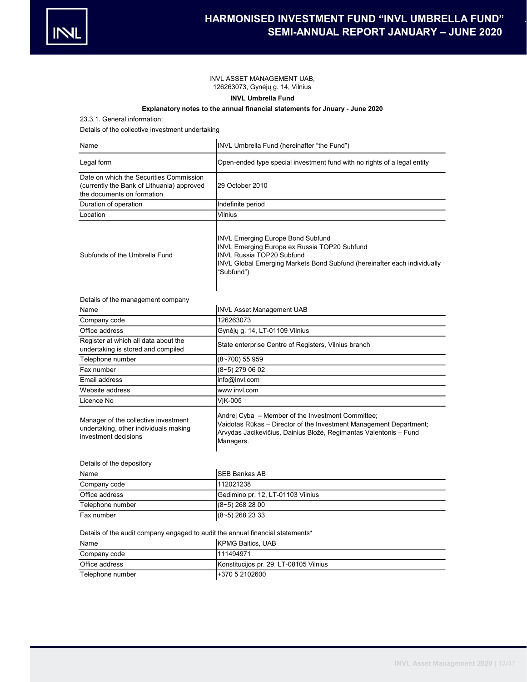# INVL ASSET MANAGEMENT UAB, 126263073, Gynėjų g. 14, Vilnius

# INVL Umbrella Fund

# Explanatory notes to the annual financial statements for Jnuary - June 2020

23.3.1. General information:

Details of the collective investment undertaking

| Name                                                                                                                | INVL Umbrella Fund (hereinafter "the Fund")                                                                                                                                                                            |
|---------------------------------------------------------------------------------------------------------------------|------------------------------------------------------------------------------------------------------------------------------------------------------------------------------------------------------------------------|
| Legal form                                                                                                          | Open-ended type special investment fund with no rights of a legal entity                                                                                                                                               |
| Date on which the Securities Commission<br>(currently the Bank of Lithuania) approved<br>the documents on formation | 29 October 2010                                                                                                                                                                                                        |
| Duration of operation                                                                                               | Indefinite period                                                                                                                                                                                                      |
| Location                                                                                                            | Vilnius                                                                                                                                                                                                                |
| Subfunds of the Umbrella Fund                                                                                       | <b>INVL Emerging Europe Bond Subfund</b><br>INVL Emerging Europe ex Russia TOP20 Subfund<br><b>INVL Russia TOP20 Subfund</b><br>INVL Global Emerging Markets Bond Subfund (hereinafter each individually<br>"Subfund") |
| Details of the management company                                                                                   |                                                                                                                                                                                                                        |
| Name                                                                                                                | <b>INVL Asset Management UAB</b>                                                                                                                                                                                       |
| Company code                                                                                                        | 126263073                                                                                                                                                                                                              |
| Office address                                                                                                      | Gynėjų g. 14, LT-01109 Vilnius                                                                                                                                                                                         |
| Register at which all data about the<br>undertaking is stored and compiled                                          | State enterprise Centre of Registers, Vilnius branch                                                                                                                                                                   |
| Telephone number                                                                                                    | (8~700) 55 959                                                                                                                                                                                                         |
| Fax number                                                                                                          | (8~5) 279 06 02                                                                                                                                                                                                        |
| Email address                                                                                                       | info@invl.com                                                                                                                                                                                                          |
| Website address                                                                                                     | www.invl.com                                                                                                                                                                                                           |
| Licence No                                                                                                          | VIK-005                                                                                                                                                                                                                |
| Manager of the collective investment<br>undertaking, other individuals making<br>investment decisions               | Andrej Cyba – Member of the Investment Committee;<br>Vaidotas Rūkas – Director of the Investment Management Department;<br>Arvydas Jacikevičius, Dainius Bložė, Regimantas Valentonis – Fund<br>Managers.              |
| Details of the depository                                                                                           |                                                                                                                                                                                                                        |
| Name                                                                                                                | <b>SEB Bankas AB</b>                                                                                                                                                                                                   |
| Company code                                                                                                        | 112021238                                                                                                                                                                                                              |
| Office address                                                                                                      | Gedimino pr. 12, LT-01103 Vilnius                                                                                                                                                                                      |
| Telephone number                                                                                                    | (8~5) 268 28 00                                                                                                                                                                                                        |
| Fax number                                                                                                          | $(8-5)$ 268 23 33                                                                                                                                                                                                      |
| Details of the audit company engaged to audit the annual financial statements*<br>Name                              | <b>IKPMG Baltics. UAB</b>                                                                                                                                                                                              |

| name             | <b>INPIVIG BAILICS, UAD</b>            |
|------------------|----------------------------------------|
| Company code     | 1111494971                             |
| Office address   | Konstitucijos pr. 29, LT-08105 Vilnius |
| Telephone number | 1+370 5 2102600                        |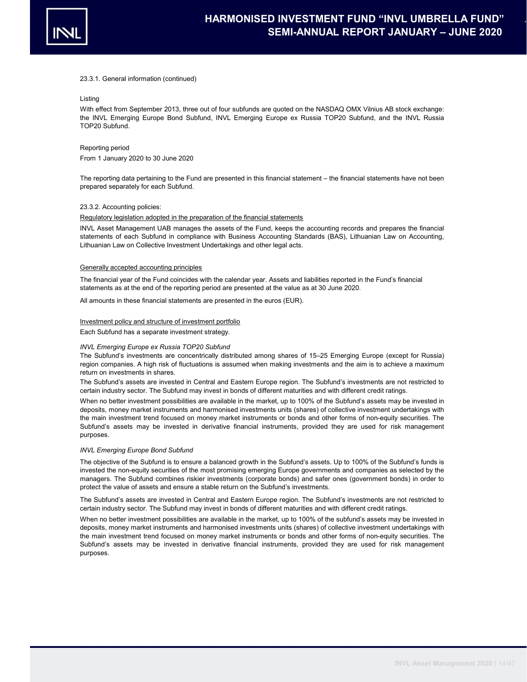

## 23.3.1. General information (continued)

# Listing

With effect from September 2013, three out of four subfunds are quoted on the NASDAQ OMX Vilnius AB stock exchange: the INVL Emerging Europe Bond Subfund, INVL Emerging Europe ex Russia TOP20 Subfund, and the INVL Russia TOP20 Subfund.

## Reporting period

From 1 January 2020 to 30 June 2020

The reporting data pertaining to the Fund are presented in this financial statement – the financial statements have not been prepared separately for each Subfund.

## 23.3.2. Accounting policies:

## Regulatory legislation adopted in the preparation of the financial statements

INVL Asset Management UAB manages the assets of the Fund, keeps the accounting records and prepares the financial statements of each Subfund in compliance with Business Accounting Standards (BAS), Lithuanian Law on Accounting, Lithuanian Law on Collective Investment Undertakings and other legal acts.

#### Generally accepted accounting principles

The financial year of the Fund coincides with the calendar year. Assets and liabilities reported in the Fund's financial statements as at the end of the reporting period are presented at the value as at 30 June 2020.

All amounts in these financial statements are presented in the euros (EUR).

## Investment policy and structure of investment portfolio

Each Subfund has a separate investment strategy.

## INVL Emerging Europe ex Russia TOP20 Subfund

The Subfund's investments are concentrically distributed among shares of 15–25 Emerging Europe (except for Russia) region companies. A high risk of fluctuations is assumed when making investments and the aim is to achieve a maximum return on investments in shares.

The Subfund's assets are invested in Central and Eastern Europe region. The Subfund's investments are not restricted to certain industry sector. The Subfund may invest in bonds of different maturities and with different credit ratings.

When no better investment possibilities are available in the market, up to 100% of the Subfund's assets may be invested in deposits, money market instruments and harmonised investments units (shares) of collective investment undertakings with the main investment trend focused on money market instruments or bonds and other forms of non-equity securities. The Subfund's assets may be invested in derivative financial instruments, provided they are used for risk management purposes.

#### INVL Emerging Europe Bond Subfund

The objective of the Subfund is to ensure a balanced growth in the Subfund's assets. Up to 100% of the Subfund's funds is invested the non-equity securities of the most promising emerging Europe governments and companies as selected by the managers. The Subfund combines riskier investments (corporate bonds) and safer ones (government bonds) in order to protect the value of assets and ensure a stable return on the Subfund's investments.

The Subfund's assets are invested in Central and Eastern Europe region. The Subfund's investments are not restricted to certain industry sector. The Subfund may invest in bonds of different maturities and with different credit ratings.

When no better investment possibilities are available in the market, up to 100% of the subfund's assets may be invested in deposits, money market instruments and harmonised investments units (shares) of collective investment undertakings with the main investment trend focused on money market instruments or bonds and other forms of non-equity securities. The Subfund's assets may be invested in derivative financial instruments, provided they are used for risk management purposes.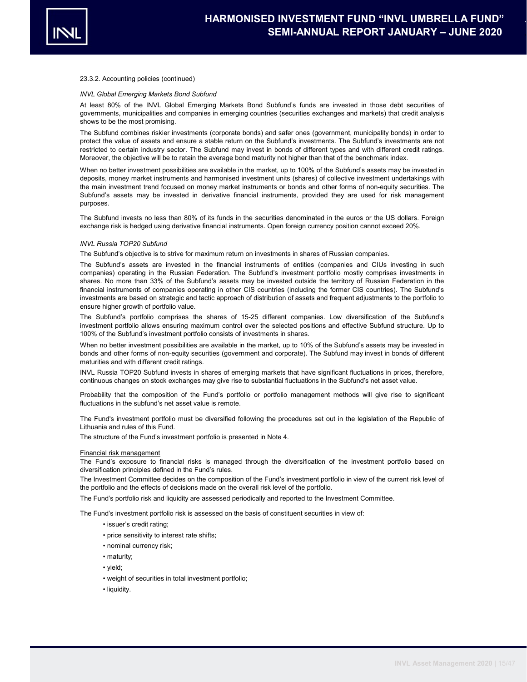

## 23.3.2. Accounting policies (continued)

#### INVL Global Emerging Markets Bond Subfund

At least 80% of the INVL Global Emerging Markets Bond Subfund's funds are invested in those debt securities of governments, municipalities and companies in emerging countries (securities exchanges and markets) that credit analysis shows to be the most promising.

The Subfund combines riskier investments (corporate bonds) and safer ones (government, municipality bonds) in order to protect the value of assets and ensure a stable return on the Subfund's investments. The Subfund's investments are not restricted to certain industry sector. The Subfund may invest in bonds of different types and with different credit ratings. Moreover, the objective will be to retain the average bond maturity not higher than that of the benchmark index.

When no better investment possibilities are available in the market, up to 100% of the Subfund's assets may be invested in deposits, money market instruments and harmonised investment units (shares) of collective investment undertakings with the main investment trend focused on money market instruments or bonds and other forms of non-equity securities. The Subfund's assets may be invested in derivative financial instruments, provided they are used for risk management purposes.

The Subfund invests no less than 80% of its funds in the securities denominated in the euros or the US dollars. Foreign exchange risk is hedged using derivative financial instruments. Open foreign currency position cannot exceed 20%.

## INVL Russia TOP20 Subfund

The Subfund's objective is to strive for maximum return on investments in shares of Russian companies.

The Subfund's assets are invested in the financial instruments of entities (companies and CIUs investing in such companies) operating in the Russian Federation. The Subfund's investment portfolio mostly comprises investments in shares. No more than 33% of the Subfund's assets may be invested outside the territory of Russian Federation in the financial instruments of companies operating in other CIS countries (including the former CIS countries). The Subfund's investments are based on strategic and tactic approach of distribution of assets and frequent adjustments to the portfolio to ensure higher growth of portfolio value.

The Subfund's portfolio comprises the shares of 15-25 different companies. Low diversification of the Subfund's investment portfolio allows ensuring maximum control over the selected positions and effective Subfund structure. Up to 100% of the Subfund's investment portfolio consists of investments in shares.

When no better investment possibilities are available in the market, up to 10% of the Subfund's assets may be invested in bonds and other forms of non-equity securities (government and corporate). The Subfund may invest in bonds of different maturities and with different credit ratings.

INVL Russia TOP20 Subfund invests in shares of emerging markets that have significant fluctuations in prices, therefore, continuous changes on stock exchanges may give rise to substantial fluctuations in the Subfund's net asset value.

Probability that the composition of the Fund's portfolio or portfolio management methods will give rise to significant fluctuations in the subfund's net asset value is remote.

The Fund's investment portfolio must be diversified following the procedures set out in the legislation of the Republic of Lithuania and rules of this Fund.

The structure of the Fund's investment portfolio is presented in Note 4.

#### Financial risk management

The Fund's exposure to financial risks is managed through the diversification of the investment portfolio based on diversification principles defined in the Fund's rules.

The Investment Committee decides on the composition of the Fund's investment portfolio in view of the current risk level of the portfolio and the effects of decisions made on the overall risk level of the portfolio.

The Fund's portfolio risk and liquidity are assessed periodically and reported to the Investment Committee.

The Fund's investment portfolio risk is assessed on the basis of constituent securities in view of:

- issuer's credit rating;
- price sensitivity to interest rate shifts;
- nominal currency risk;
- maturity;
- yield;
- weight of securities in total investment portfolio;
- liquidity.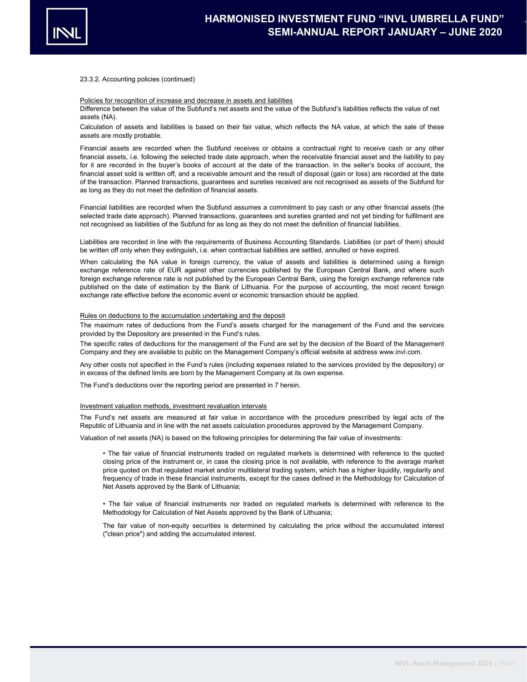

## 23.3.2. Accounting policies (continued)

### Policies for recognition of increase and decrease in assets and liabilities

Difference between the value of the Subfund's net assets and the value of the Subfund's liabilities reflects the value of net assets (NA).

Calculation of assets and liabilities is based on their fair value, which reflects the NA value, at which the sale of these assets are mostly probable.

Financial assets are recorded when the Subfund receives or obtains a contractual right to receive cash or any other financial assets, i.e. following the selected trade date approach, when the receivable financial asset and the liability to pay for it are recorded in the buyer's books of account at the date of the transaction. In the seller's books of account, the financial asset sold is written off, and a receivable amount and the result of disposal (gain or loss) are recorded at the date of the transaction. Planned transactions, guarantees and sureties received are not recognised as assets of the Subfund for as long as they do not meet the definition of financial assets.

Financial liabilities are recorded when the Subfund assumes a commitment to pay cash or any other financial assets (the selected trade date approach). Planned transactions, guarantees and sureties granted and not yet binding for fulfilment are not recognised as liabilities of the Subfund for as long as they do not meet the definition of financial liabilities.

Liabilities are recorded in line with the requirements of Business Accounting Standards. Liabilities (or part of them) should be written off only when they extinguish, i.e. when contractual liabilities are settled, annulled or have expired.

When calculating the NA value in foreign currency, the value of assets and liabilities is determined using a foreign exchange reference rate of EUR against other currencies published by the European Central Bank, and where such foreign exchange reference rate is not published by the European Central Bank, using the foreign exchange reference rate published on the date of estimation by the Bank of Lithuania. For the purpose of accounting, the most recent foreign exchange rate effective before the economic event or economic transaction should be applied.

## Rules on deductions to the accumulation undertaking and the deposit

The maximum rates of deductions from the Fund's assets charged for the management of the Fund and the services provided by the Depository are presented in the Fund's rules.

The specific rates of deductions for the management of the Fund are set by the decision of the Board of the Management Company and they are available to public on the Management Company's official website at address www.invl.com.

Any other costs not specified in the Fund's rules (including expenses related to the services provided by the depository) or in excess of the defined limits are born by the Management Company at its own expense.

The Fund's deductions over the reporting period are presented in 7 herein.

#### Investment valuation methods, investment revaluation intervals

The Fund's net assets are measured at fair value in accordance with the procedure prescribed by legal acts of the Republic of Lithuania and in line with the net assets calculation procedures approved by the Management Company.

Valuation of net assets (NA) is based on the following principles for determining the fair value of investments:

• The fair value of financial instruments traded on regulated markets is determined with reference to the quoted closing price of the instrument or, in case the closing price is not available, with reference to the average market price quoted on that regulated market and/or multilateral trading system, which has a higher liquidity, regularity and frequency of trade in these financial instruments, except for the cases defined in the Methodology for Calculation of Net Assets approved by the Bank of Lithuania;

• The fair value of financial instruments nor traded on regulated markets is determined with reference to the Methodology for Calculation of Net Assets approved by the Bank of Lithuania;

The fair value of non-equity securities is determined by calculating the price without the accumulated interest ("clean price") and adding the accumulated interest.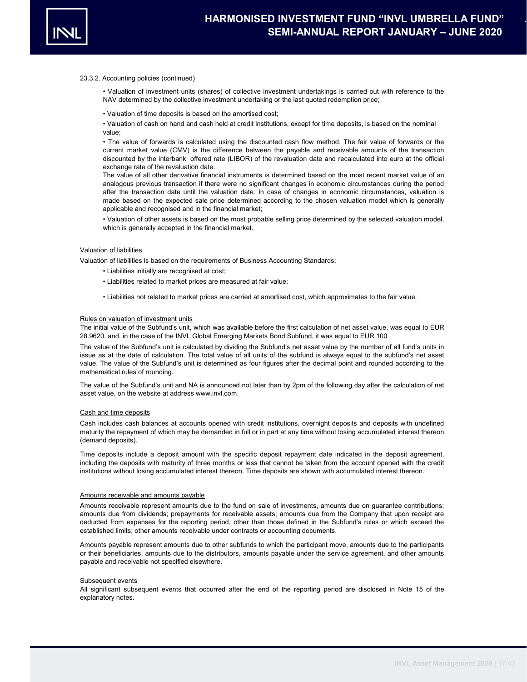

## 23.3.2. Accounting policies (continued)

• Valuation of investment units (shares) of collective investment undertakings is carried out with reference to the NAV determined by the collective investment undertaking or the last quoted redemption price;

• Valuation of time deposits is based on the amortised cost;

• Valuation of cash on hand and cash held at credit institutions, except for time deposits, is based on the nominal value;

• The value of forwards is calculated using the discounted cash flow method. The fair value of forwards or the current market value (CMV) is the difference between the payable and receivable amounts of the transaction discounted by the interbank offered rate (LIBOR) of the revaluation date and recalculated into euro at the official exchange rate of the revaluation date.

The value of all other derivative financial instruments is determined based on the most recent market value of an analogous previous transaction if there were no significant changes in economic circumstances during the period after the transaction date until the valuation date. In case of changes in economic circumstances, valuation is made based on the expected sale price determined according to the chosen valuation model which is generally applicable and recognised and in the financial market;

• Valuation of other assets is based on the most probable selling price determined by the selected valuation model, which is generally accepted in the financial market.

# Valuation of liabilities

Valuation of liabilities is based on the requirements of Business Accounting Standards:

- Liabilities initially are recognised at cost;
- Liabilities related to market prices are measured at fair value;
- Liabilities not related to market prices are carried at amortised cost, which approximates to the fair value.

## Rules on valuation of investment units

The initial value of the Subfund's unit, which was available before the first calculation of net asset value, was equal to EUR 28.9620, and, in the case of the INVL Global Emerging Markets Bond Subfund, it was equal to EUR 100.

The value of the Subfund's unit is calculated by dividing the Subfund's net asset value by the number of all fund's units in issue as at the date of calculation. The total value of all units of the subfund is always equal to the subfund's net asset value. The value of the Subfund's unit is determined as four figures after the decimal point and rounded according to the mathematical rules of rounding.

The value of the Subfund's unit and NA is announced not later than by 2pm of the following day after the calculation of net asset value, on the website at address www.invl.com.

## Cash and time deposits

Cash includes cash balances at accounts opened with credit institutions, overnight deposits and deposits with undefined maturity the repayment of which may be demanded in full or in part at any time without losing accumulated interest thereon (demand deposits).

Time deposits include a deposit amount with the specific deposit repayment date indicated in the deposit agreement, including the deposits with maturity of three months or less that cannot be taken from the account opened with the credit institutions without losing accumulated interest thereon. Time deposits are shown with accumulated interest thereon.

#### Amounts receivable and amounts payable

Amounts receivable represent amounts due to the fund on sale of investments, amounts due on guarantee contributions; amounts due from dividends; prepayments for receivable assets; amounts due from the Company that upon receipt are deducted from expenses for the reporting period, other than those defined in the Subfund's rules or which exceed the established limits; other amounts receivable under contracts or accounting documents.

Amounts payable represent amounts due to other subfunds to which the participant move, amounts due to the participants or their beneficiaries, amounts due to the distributors, amounts payable under the service agreement, and other amounts payable and receivable not specified elsewhere.

#### Subsequent events

All significant subsequent events that occurred after the end of the reporting period are disclosed in Note 15 of the explanatory notes.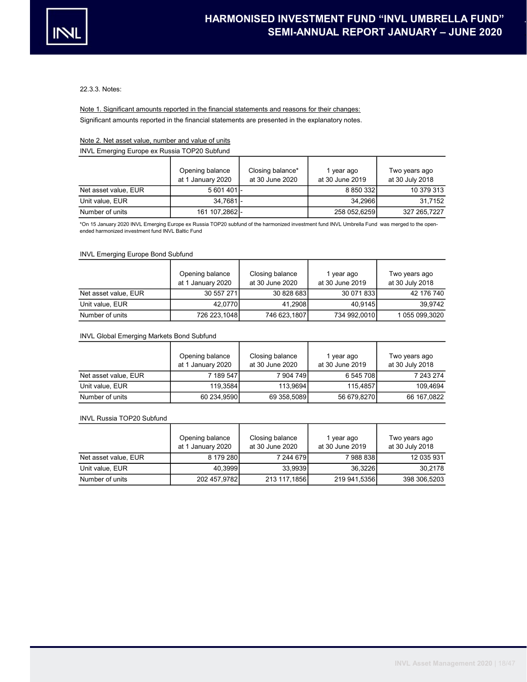

22.3.3. Notes:

Significant amounts reported in the financial statements are presented in the explanatory notes. Note 1. Significant amounts reported in the financial statements and reasons for their changes:

# Note 2. Net asset value, number and value of units

INVL Emerging Europe ex Russia TOP20 Subfund

|                      | Opening balance<br>at 1 January 2020 | Closing balance*<br>at 30 June 2020 | year ago<br>at 30 June 2019 | Two years ago<br>at 30 July 2018 |
|----------------------|--------------------------------------|-------------------------------------|-----------------------------|----------------------------------|
| Net asset value, EUR | 5601401                              |                                     | 8 850 332                   | 10 379 313                       |
| Unit value, EUR      | 34.7681 -                            |                                     | 34.2966                     | 31.7152                          |
| Number of units      | 161 107.2862 -                       |                                     | 258 052,6259                | 327 265.7227                     |

\*On 15 January 2020 INVL Emerging Europe ex Russia TOP20 subfund of the harmonized investment fund INVL Umbrella Fund was merged to the openended harmonized investment fund INVL Baltic Fund

## INVL Emerging Europe Bond Subfund

|                      | Opening balance<br>at 1 January 2020 | Closing balance<br>at 30 June 2020 | I year ago<br>at 30 June 2019 | Two years ago<br>at 30 July 2018 |
|----------------------|--------------------------------------|------------------------------------|-------------------------------|----------------------------------|
| Net asset value, EUR | 30 557 271                           | 30 828 683                         | 30 071 833                    | 42 176 740                       |
| Unit value, EUR      | 42.0770                              | 41.2908                            | 40.9145                       | 39.9742                          |
| Number of units      | 726 223,1048                         | 746 623,1807                       | 734 992,0010                  | 1 055 099,3020                   |

# INVL Global Emerging Markets Bond Subfund

|                      | Opening balance<br>at 1 January 2020 | Closing balance<br>at 30 June 2020 | 1 year ago<br>at 30 June 2019 | Two years ago<br>at 30 July 2018 |
|----------------------|--------------------------------------|------------------------------------|-------------------------------|----------------------------------|
| Net asset value, EUR | 7 189 547                            | 7904749                            | 6 545 708                     | 7 243 274                        |
| Unit value, EUR      | 119.3584                             | 113.9694                           | 115.4857                      | 109.4694                         |
| Number of units      | 60 234,9590                          | 69 358,5089                        | 56 679,8270                   | 66 167,0822                      |

#### INVL Russia TOP20 Subfund

|                      | Opening balance<br>at 1 January 2020 | Closing balance<br>at 30 June 2020 | 1 year ago<br>at 30 June 2019 | Two years ago<br>at 30 July 2018 |
|----------------------|--------------------------------------|------------------------------------|-------------------------------|----------------------------------|
| Net asset value, EUR | 8 179 280                            | 7 244 6791                         | 79888381                      | 12 035 931                       |
| Unit value, EUR      | 40,3999                              | 33,9939                            | 36,3226                       | 30.2178                          |
| Number of units      | 202 457,9782                         | 213 117,1856                       | 219 941,5356                  | 398 306,5203                     |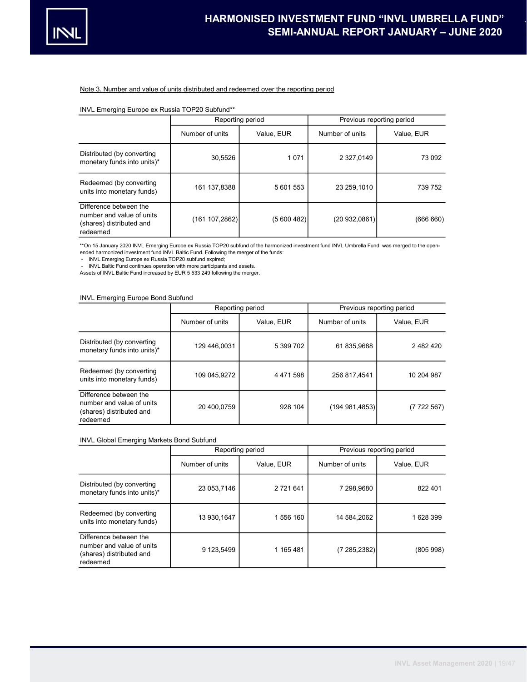

# Note 3. Number and value of units distributed and redeemed over the reporting period

# INVL Emerging Europe ex Russia TOP20 Subfund\*\*

|                                                                                             | Reporting period |            | Previous reporting period |            |  |  |  |
|---------------------------------------------------------------------------------------------|------------------|------------|---------------------------|------------|--|--|--|
|                                                                                             | Number of units  | Value, EUR | Number of units           | Value, EUR |  |  |  |
| Distributed (by converting<br>monetary funds into units)*                                   | 30,5526          | 1 0 7 1    | 2 327,0149                | 73 092     |  |  |  |
| Redeemed (by converting<br>units into monetary funds)                                       | 161 137,8388     | 5 601 553  | 23 259.1010               | 739 752    |  |  |  |
| Difference between the<br>number and value of units<br>(shares) distributed and<br>redeemed | (161 107,2862)   | (5600482)  | (20932,0861)              | (666660)   |  |  |  |

\*\*On 15 January 2020 INVL Emerging Europe ex Russia TOP20 subfund of the harmonized investment fund INVL Umbrella Fund was merged to the openended harmonized investment fund INVL Baltic Fund. Following the merger of the funds:

INVL Emerging Europe ex Russia TOP20 subfund expired;

- INVL Baltic Fund continues operation with more participants and assets.

Assets of INVL Baltic Fund increased by EUR 5 533 249 following the merger.

# INVL Emerging Europe Bond Subfund

|                                                                                             | Reporting period |               | Previous reporting period |            |  |  |  |
|---------------------------------------------------------------------------------------------|------------------|---------------|---------------------------|------------|--|--|--|
|                                                                                             | Number of units  | Value, EUR    | Number of units           | Value, EUR |  |  |  |
| Distributed (by converting<br>monetary funds into units)*                                   | 129 446.0031     | 5 399 702     | 61 835,9688               | 2 482 420  |  |  |  |
| Redeemed (by converting<br>units into monetary funds)                                       | 109 045,9272     | 4 4 7 1 5 9 8 | 256 817.4541              | 10 204 987 |  |  |  |
| Difference between the<br>number and value of units<br>(shares) distributed and<br>redeemed | 20 400.0759      | 928 104       | (194981,4853)             | (7722567)  |  |  |  |

# INVL Global Emerging Markets Bond Subfund

|                                                                                             |                 | Reporting period | Previous reporting period |            |  |  |  |
|---------------------------------------------------------------------------------------------|-----------------|------------------|---------------------------|------------|--|--|--|
|                                                                                             | Number of units | Value, EUR       | Number of units           | Value, EUR |  |  |  |
| Distributed (by converting<br>monetary funds into units)*                                   | 23 053.7146     | 2 721 641        | 7 298.9680                | 822 401    |  |  |  |
| Redeemed (by converting<br>units into monetary funds)                                       | 13 930.1647     | 1 556 160        | 14 584.2062               | 1628399    |  |  |  |
| Difference between the<br>number and value of units<br>(shares) distributed and<br>redeemed | 9 123,5499      | 1 165 481        | (7285, 2382)              | (805 998)  |  |  |  |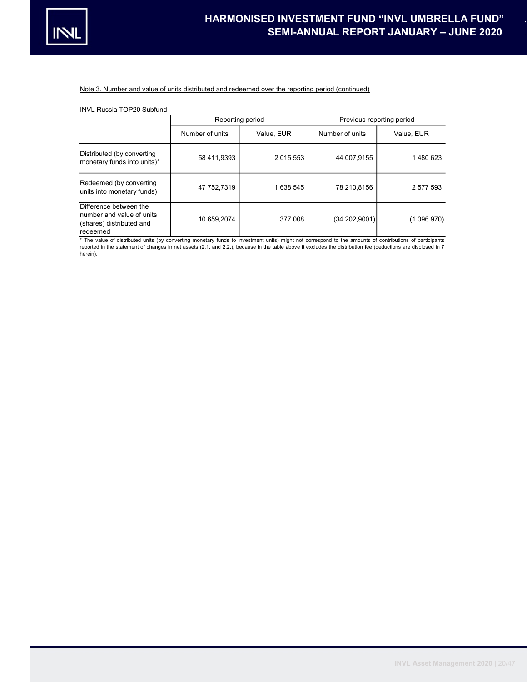

# Note 3. Number and value of units distributed and redeemed over the reporting period (continued)

# INVL Russia TOP20 Subfund

|                                                                                             |                 | Reporting period | Previous reporting period |             |  |  |  |
|---------------------------------------------------------------------------------------------|-----------------|------------------|---------------------------|-------------|--|--|--|
|                                                                                             | Number of units | Value, EUR       | Number of units           | Value, EUR  |  |  |  |
| Distributed (by converting<br>monetary funds into units)*                                   | 58 411.9393     | 2 0 1 5 5 5 3    | 44 007.9155               | 1480623     |  |  |  |
| Redeemed (by converting<br>units into monetary funds)                                       | 47 752.7319     | 1 638 545        | 78 210.8156               | 2 577 593   |  |  |  |
| Difference between the<br>number and value of units<br>(shares) distributed and<br>redeemed | 10 659.2074     | 377 008          | (34202,9001)              | (1 096 970) |  |  |  |

\* The value of distributed units (by converting monetary funds to investment units) might not correspond to the amounts of contributions of participants<br>reported in the statement of changes in net assets (2.1. and 2.2.), b herein).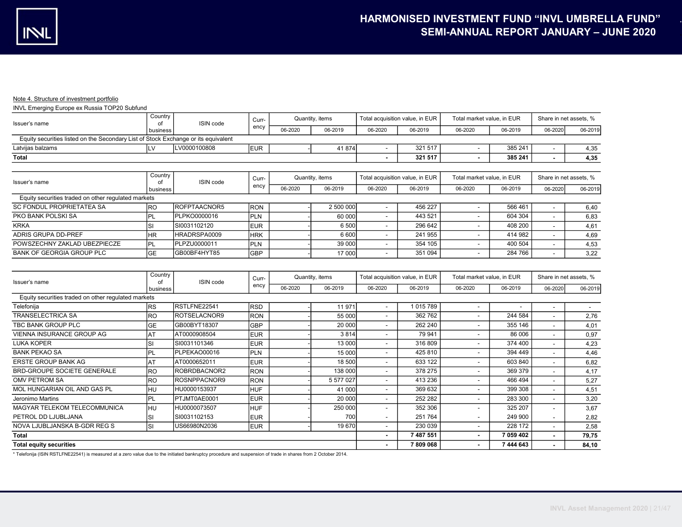# Note 4. Structure of investment portfolio

INVL Emerging Europe ex Russia TOP20 Subfund

| Issuer's name                                                                      | Country       | ISIN code            | Curr-      | Quantity, items |                 | Total acquisition value, in EUR |                                 | Total market value, in EUR |         | Share in net assets. % |         |
|------------------------------------------------------------------------------------|---------------|----------------------|------------|-----------------|-----------------|---------------------------------|---------------------------------|----------------------------|---------|------------------------|---------|
|                                                                                    | business      |                      | ency       | 06-2020         | 06-2019         | 06-2020                         | 06-2019                         | 06-2020                    | 06-2019 | 06-2020                | 06-2019 |
| Equity securities listed on the Secondary List of Stock Exchange or its equivalent |               |                      |            |                 |                 |                                 |                                 |                            |         |                        |         |
| Latvijas balzams                                                                   | ILV           | LV0000100808         | <b>EUR</b> |                 | 41 874          |                                 | 321 517                         | $\overline{\phantom{a}}$   | 385 241 |                        | 4,35    |
| Total                                                                              |               |                      |            |                 |                 |                                 | 321 517                         | $\overline{\phantom{a}}$   | 385 241 |                        | 4,35    |
|                                                                                    |               |                      |            |                 |                 |                                 |                                 |                            |         |                        |         |
| Issuer's name                                                                      | Country<br>οt | ISIN code            | Curr-      |                 | Quantity, items |                                 | Total acquisition value, in EUR | Total market value, in EUR |         | Share in net assets, % |         |
|                                                                                    | business      |                      | ency       | 06-2020         | 06-2019         | 06-2020                         | 06-2019                         | 06-2020                    | 06-2019 | 06-2020                | 06-2019 |
| Equity securities traded on other regulated markets                                |               |                      |            |                 |                 |                                 |                                 |                            |         |                        |         |
| SC FONDUL PROPRIETATEA SA                                                          | <b>IRO</b>    | <b>IROFPTAACNOR5</b> | <b>RON</b> |                 | 2 500 000       |                                 | 456 227                         |                            | 566 461 |                        | 6,40    |
| PKO BANK POLSKI SA                                                                 | IPL           | IPLPKO0000016        | PLN        |                 | 60 000          | $\overline{\phantom{a}}$        | 443 521                         | $\overline{\phantom{a}}$   | 604 304 |                        | 6,83    |
| <b>KRKA</b>                                                                        | Isı           | SI0031102120         | <b>EUR</b> |                 | 6 500           |                                 | 296 642                         | $\overline{\phantom{a}}$   | 408 200 |                        | 4,61    |
| ADRIS GRUPA DD-PREF                                                                | <b>IHR</b>    | HRADRSPA0009         | <b>HRK</b> |                 | 6600            |                                 | 241 955                         | $\overline{\phantom{a}}$   | 414 982 |                        | 4,69    |
| POWSZECHNY ZAKLAD UBEZPIECZE                                                       | PL            | PLPZU0000011         | <b>PLN</b> |                 | 39 000          |                                 | 354 105                         | $\overline{\phantom{a}}$   | 400 504 |                        | 4,53    |
| <b>BANK OF GEORGIA GROUP PLC</b>                                                   | <b>GE</b>     | IGB00BF4HYT85        | <b>GBP</b> |                 | 17 000          |                                 | 351 094                         | $\overline{\phantom{a}}$   | 284 766 |                        | 3,22    |
|                                                                                    |               |                      |            |                 |                 |                                 |                                 |                            |         |                        |         |

| Issuer's name                                       | Country        | ISIN code    | Curr-      |         | Quantity, items | Total acquisition value, in EUR |           | Total market value, in EUR |           | Share in net assets, %   |                          |
|-----------------------------------------------------|----------------|--------------|------------|---------|-----------------|---------------------------------|-----------|----------------------------|-----------|--------------------------|--------------------------|
|                                                     | business       |              | ency       | 06-2020 | 06-2019         | 06-2020                         | 06-2019   | 06-2020                    | 06-2019   | 06-2020                  | 06-2019                  |
| Equity securities traded on other regulated markets |                |              |            |         |                 |                                 |           |                            |           |                          |                          |
| Telefonija                                          | <b>RS</b>      | RSTLFNE22541 | <b>RSD</b> |         | 11 971          | $\overline{\phantom{a}}$        | 1015789   |                            |           | $\overline{\phantom{0}}$ | $\overline{\phantom{a}}$ |
| <b>TRANSELECTRICA SA</b>                            | <b>RO</b>      | ROTSELACNOR9 | <b>RON</b> |         | 55 000          | $\blacksquare$                  | 362 762   |                            | 244 584   | $\overline{\phantom{a}}$ | 2,76                     |
| TBC BANK GROUP PLC                                  | <b>GE</b>      | GB00BYT18307 | <b>GBP</b> |         | 20 000          | $\overline{\phantom{a}}$        | 262 240   | $\sim$                     | 355 146   | $\overline{\phantom{a}}$ | 4,01                     |
| <b>VIENNA INSURANCE GROUP AG</b>                    | A <sup>T</sup> | AT0000908504 | <b>EUR</b> |         | 3814            | $\overline{\phantom{a}}$        | 79 941    |                            | 86 006    | $\sim$                   | 0,97                     |
| <b>LUKA KOPER</b>                                   | SI             | SI0031101346 | <b>EUR</b> |         | 13 000          | $\overline{\phantom{a}}$        | 316 809   |                            | 374 400   | $\overline{\phantom{a}}$ | 4,23                     |
| <b>BANK PEKAO SA</b>                                | 'PL            | PLPEKAO00016 | <b>PLN</b> |         | 15 000          | $\overline{\phantom{a}}$        | 425 810   |                            | 394 449   | $\overline{\phantom{a}}$ | 4,46                     |
| <b>ERSTE GROUP BANK AG</b>                          | <b>IAT</b>     | AT0000652011 | <b>EUR</b> |         | 18 500          | $\overline{\phantom{a}}$        | 633 122   | $\overline{\phantom{a}}$   | 603 840   | $\overline{\phantom{a}}$ | 6,82                     |
| <b>BRD-GROUPE SOCIETE GENERALE</b>                  | <b>RO</b>      | ROBRDBACNOR2 | <b>RON</b> |         | 138 000         | $\overline{\phantom{a}}$        | 378 275   |                            | 369 379   |                          | 4,17                     |
| OMV PETROM SA                                       | <b>RO</b>      | ROSNPPACNOR9 | <b>RON</b> |         | 5 577 027       | $\blacksquare$                  | 413 236   |                            | 466 494   | $\overline{\phantom{a}}$ | 5,27                     |
| MOL HUNGARIAN OIL AND GAS PL                        | lhu            | HU0000153937 | <b>HUF</b> |         | 41 000          | $\overline{\phantom{a}}$        | 369 632   |                            | 399 308   | $\overline{\phantom{a}}$ | 4,51                     |
| Jeronimo Martins                                    | PL.            | PTJMT0AE0001 | <b>EUR</b> |         | 20 000          | $\overline{\phantom{a}}$        | 252 282   |                            | 283 300   | $\overline{\phantom{a}}$ | 3,20                     |
| MAGYAR TELEKOM TELECOMMUNICA                        | lhu            | HU0000073507 | <b>HUF</b> |         | 250 000         |                                 | 352 306   |                            | 325 207   | $\overline{\phantom{a}}$ | 3,67                     |
| PETROL DD LJUBLJANA                                 | SI             | SI0031102153 | <b>EUR</b> |         | 700             | $\overline{\phantom{a}}$        | 251764    |                            | 249 900   | $\overline{\phantom{a}}$ | 2,82                     |
| NOVA LJUBLJANSKA B-GDR REG S                        | lsı            | US66980N2036 | <b>EUR</b> |         | 19670           | $\overline{\phantom{a}}$        | 230 039   | $\sim$                     | 228 172   | $\overline{\phantom{a}}$ | 2,58                     |
| Total                                               |                |              |            |         |                 | $\blacksquare$                  | 7 487 551 | $\blacksquare$             | 7 059 402 | $\blacksquare$           | 79,75                    |
| <b>Total equity securities</b>                      |                |              |            |         |                 |                                 | 7809068   | $\overline{\phantom{a}}$   | 7444643   | $\blacksquare$           | 84,10                    |

\* Telefonija (ISIN RSTLFNE22541) is measured at a zero value due to the initiated bankruptcy procedure and suspension of trade in shares from 2 October 2014.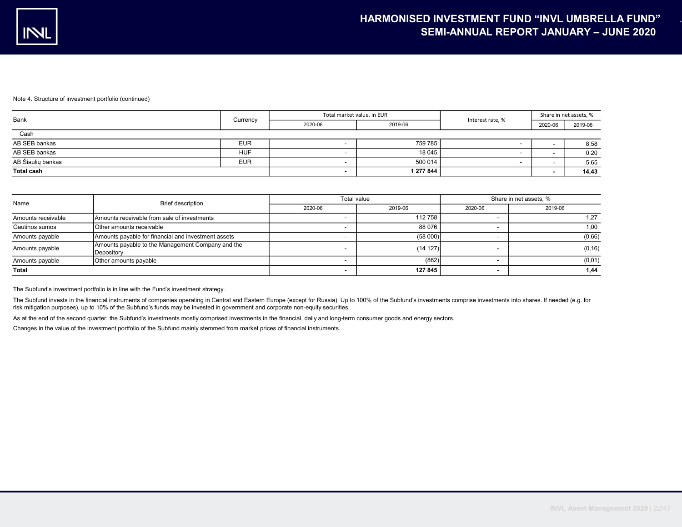| Bank              | Currency   | Total market value, in EUR |           | Interest rate, % | Share in net assets, % |         |
|-------------------|------------|----------------------------|-----------|------------------|------------------------|---------|
|                   |            | 2020-06                    | 2019-06   |                  | 2020-06                | 2019-06 |
| Cash              |            |                            |           |                  |                        |         |
| AB SEB bankas     | <b>EUR</b> |                            | 759 785   |                  |                        | 8,58    |
| AB SEB bankas     | <b>HUF</b> |                            | 18 045    |                  |                        | 0,20    |
| AB Šiaulių bankas | <b>EUR</b> |                            | 500 014   |                  |                        | 5,65    |
| <b>Total cash</b> |            |                            | 1 277 844 |                  |                        | 14,43   |

| Name               | Brief description                                               | Total value |          | Share in net assets, % |         |  |  |
|--------------------|-----------------------------------------------------------------|-------------|----------|------------------------|---------|--|--|
|                    |                                                                 | 2020-06     | 2019-06  | 2020-06                | 2019-06 |  |  |
| Amounts receivable | Amounts receivable from sale of investments                     |             | 112 758  |                        |         |  |  |
| Gautinos sumos     | Other amounts receivable                                        |             | 88 076   |                        | 1.00    |  |  |
| Amounts payable    | Amounts payable for financial and investment assets             |             | (58000)  |                        | (0,66)  |  |  |
| Amounts payable    | Amounts payable to the Management Company and the<br>Depository |             | (14 127) |                        | (0, 16) |  |  |
| Amounts payable    | Other amounts payable                                           |             | (862)    |                        | (0,01)  |  |  |
| <b>Total</b>       |                                                                 |             | 127 845  |                        | 1.44    |  |  |

The Subfund's investment portfolio is in line with the Fund's investment strategy.

The Subfund invests in the financial instruments of companies operating in Central and Eastern Europe (except for Russia). Up to 100% of the Subfund's investments comprise investments into shares. If needed (e.g. for risk mitigation purposes), up to 10% of the Subfund's funds may be invested in government and corporate non-equity securities.

As at the end of the second quarter, the Subfund's investments mostly comprised investments in the financial, daily and long-term consumer goods and energy sectors.

Changes in the value of the investment portfolio of the Subfund mainly stemmed from market prices of financial instruments.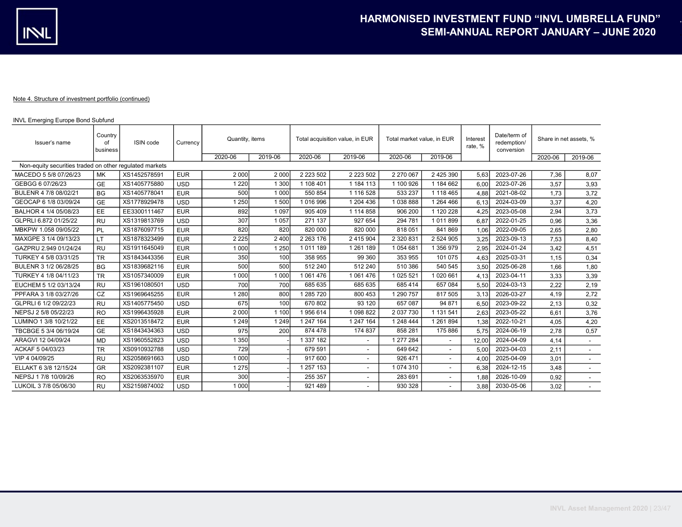# INVL Emerging Europe Bond Subfund

| Issuer's name                                           | Country<br>of<br>business | ISIN code    | Currency   | Quantity, items |         | Total acquisition value, in EUR |                          | Total market value, in EUR |                          | Interest<br>rate.% |            |         | Share in net assets, %   |  |
|---------------------------------------------------------|---------------------------|--------------|------------|-----------------|---------|---------------------------------|--------------------------|----------------------------|--------------------------|--------------------|------------|---------|--------------------------|--|
|                                                         |                           |              |            | 2020-06         | 2019-06 | 2020-06                         | 2019-06                  | 2020-06                    | 2019-06                  |                    |            | 2020-06 | 2019-06                  |  |
| Non-equity securities traded on other regulated markets |                           |              |            |                 |         |                                 |                          |                            |                          |                    |            |         |                          |  |
| MACEDO 5 5/8 07/26/23                                   | <b>MK</b>                 | XS1452578591 | <b>EUR</b> | 2 0 0 0         | 2 0 0 0 | 2 2 2 3 5 0 2                   | 2 2 2 3 5 0 2            | 2 270 067                  | 2 425 390                | 5,63               | 2023-07-26 | 7,36    | 8,07                     |  |
| GEBGG 6 07/26/23                                        | <b>GE</b>                 | XS1405775880 | <b>USD</b> | 1 2 2 0         | 1 300   | 1 108 401                       | 1 184 113                | 1 100 926                  | 1 184 662                | 6,00               | 2023-07-26 | 3,57    | 3,93                     |  |
| BULENR 4 7/8 08/02/21                                   | <b>BG</b>                 | XS1405778041 | <b>EUR</b> | 500             | 1 000   | 550 854                         | 1 116 528                | 533 237                    | 1 118 465                | 4,88               | 2021-08-02 | 1.73    | 3,72                     |  |
| GEOCAP 6 1/8 03/09/24                                   | GE                        | XS1778929478 | <b>USD</b> | 1 2 5 0         | 1 500   | 1016996                         | 1 204 436                | 1038888                    | 1 264 466                | 6.13               | 2024-03-09 | 3.37    | 4,20                     |  |
| BALHOR 4 1/4 05/08/23                                   | EE                        | EE3300111467 | <b>EUR</b> | 892             | 1 0 9 7 | 905 409                         | 1 114 858                | 906 200                    | 1 120 228                | 4,25               | 2023-05-08 | 2,94    | 3,73                     |  |
| GLPRLI 6.872 01/25/22                                   | <b>RU</b>                 | XS1319813769 | <b>USD</b> | 307             | 1 0 5 7 | 271 137                         | 927 654                  | 294 781                    | 1011899                  | 6,87               | 2022-01-25 | 0.96    | 3,36                     |  |
| MBKPW 1.058 09/05/22                                    | PL                        | XS1876097715 | <b>EUR</b> | 820             | 820     | 820 000                         | 820 000                  | 818 051                    | 841 869                  | 1,06               | 2022-09-05 | 2,65    | 2,80                     |  |
| MAXGPE 3 1/4 09/13/23                                   | LT                        | XS1878323499 | <b>EUR</b> | 2 2 2 5         | 2 4 0 0 | 2 2 6 3 1 7 6                   | 2 415 904                | 2 320 831                  | 2 524 905                | 3.25               | 2023-09-13 | 7.53    | 8,40                     |  |
| GAZPRU 2.949 01/24/24                                   | <b>RU</b>                 | XS1911645049 | <b>EUR</b> | 1 0 0 0         | 1 2 5 0 | 1 011 189                       | 1 261 189                | 1054681                    | 1 356 979                | 2,95               | 2024-01-24 | 3,42    | 4,51                     |  |
| TURKEY 4 5/8 03/31/25                                   | <b>TR</b>                 | XS1843443356 | <b>EUR</b> | 350             | 100     | 358 955                         | 99 360                   | 353 955                    | 101 075                  | 4,63               | 2025-03-31 | 1.15    | 0,34                     |  |
| BULENR 3 1/2 06/28/25                                   | <b>BG</b>                 | XS1839682116 | <b>EUR</b> | 500             | 500     | 512 240                         | 512 240                  | 510 386                    | 540 545                  | 3,50               | 2025-06-28 | 1.66    | 1,80                     |  |
| TURKEY 4 1/8 04/11/23                                   | <b>TR</b>                 | XS1057340009 | <b>EUR</b> | 1 0 0 0         | 1 0 0 0 | 1 061 476                       | 1 061 476                | 1 025 521                  | 1 020 661                | 4.13               | 2023-04-11 | 3.33    | 3,39                     |  |
| EUCHEM 5 1/2 03/13/24                                   | <b>RU</b>                 | XS1961080501 | <b>USD</b> | 700             | 700     | 685 635                         | 685 635                  | 685 414                    | 657 084                  | 5.50               | 2024-03-13 | 2.22    | 2,19                     |  |
| PPFARA 3 1/8 03/27/26                                   | CZ                        | XS1969645255 | <b>EUR</b> | 280             | 800     | 1 285 7 20                      | 800 453                  | 1 290 757                  | 817 505                  | 3.13               | 2026-03-27 | 4.19    | 2,72                     |  |
| GLPRLI 6 1/2 09/22/23                                   | <b>RU</b>                 | XS1405775450 | <b>USD</b> | 675             | 100     | 670 802                         | 93 120                   | 657 087                    | 94 871                   | 6,50               | 2023-09-22 | 2.13    | 0,32                     |  |
| NEPSJ 2 5/8 05/22/23                                    | <b>RO</b>                 | XS1996435928 | <b>EUR</b> | 2 0 0 0         | 1 100   | 1956614                         | 1 098 822                | 2 037 730                  | 1 131 541                | 2.63               | 2023-05-22 | 6.61    | 3,76                     |  |
| LUMINO 1 3/8 10/21/22                                   | EE                        | XS2013518472 | <b>EUR</b> | 1 2 4 9         | 1 2 4 9 | 1 247 164                       | 1 247 164                | 1 248 444                  | 1 261 894                | 1.38               | 2022-10-21 | 4.05    | 4,20                     |  |
| TBCBGE 5 3/4 06/19/24                                   | GE                        | XS1843434363 | <b>USD</b> | 975             | 200     | 874 478                         | 174 837                  | 858 281                    | 175 886                  | 5.75               | 2024-06-19 | 2.78    | 0,57                     |  |
| ARAGVI 12 04/09/24                                      | <b>MD</b>                 | XS1960552823 | <b>USD</b> | 350             |         | 1 337 182                       |                          | 1 277 284                  |                          | 12,00              | 2024-04-09 | 4,14    | $\overline{\phantom{a}}$ |  |
| ACKAF 5 04/03/23                                        | <b>TR</b>                 | XS0910932788 | <b>USD</b> | 729             |         | 679 591                         | $\blacksquare$           | 649 642                    |                          | 5.00               | 2023-04-03 | 2.11    |                          |  |
| VIP 4 04/09/25                                          | <b>RU</b>                 | XS2058691663 | <b>USD</b> | 1 0 0 0         |         | 917 600                         | $\blacksquare$           | 926 471                    | $\overline{\phantom{a}}$ | 4,00               | 2025-04-09 | 3.01    | $\overline{\phantom{a}}$ |  |
| ELLAKT 6 3/8 12/15/24                                   | GR                        | XS2092381107 | <b>EUR</b> | 1 2 7 5         |         | 1 257 153                       |                          | 1 074 310                  |                          | 6,38               | 2024-12-15 | 3,48    |                          |  |
| NEPSJ 1 7/8 10/09/26                                    | R <sub>O</sub>            | XS2063535970 | <b>EUR</b> | 300             |         | 255 357                         | $\overline{\phantom{0}}$ | 283 691                    | $\overline{\phantom{a}}$ | 1,88               | 2026-10-09 | 0.92    |                          |  |
| LUKOIL 3 7/8 05/06/30                                   | <b>RU</b>                 | XS2159874002 | <b>USD</b> | 1 0 0 0         |         | 921 489                         |                          | 930 328                    |                          | 3.88               | 2030-05-06 | 3.02    |                          |  |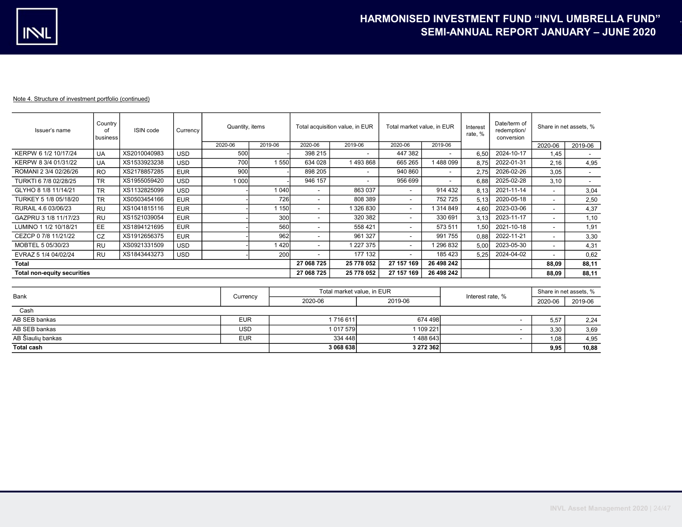| Issuer's name                      | Country '<br>οf<br>l business | ISIN code    | Currency   | Quantity, items |            |                          | Total acquisition value, in EUR |                          | Total market value, in EUR |       | Date/term of<br>redemption/<br>conversion | Share in net assets, %   |                          |
|------------------------------------|-------------------------------|--------------|------------|-----------------|------------|--------------------------|---------------------------------|--------------------------|----------------------------|-------|-------------------------------------------|--------------------------|--------------------------|
|                                    |                               |              |            | 2020-06         | 2019-06    | 2020-06                  | 2019-06                         | 2020-06                  | 2019-06                    |       |                                           | 2020-06                  | 2019-06                  |
| KERPW 6 1/2 10/17/24               | <b>UA</b>                     | XS2010040983 | <b>USD</b> | 500             |            | 398 215                  | $\overline{\phantom{a}}$        | 447 382                  | -                          | 6.50  | 2024-10-17                                | 1.45                     |                          |
| KERPW 8 3/4 01/31/22               | <b>UA</b>                     | XS1533923238 | <b>USD</b> | 700             | 1550       | 634 028                  | 1493868                         | 665 265                  | 488 099                    | 8.75  | 2022-01-31                                | 2,16                     | 4,95                     |
| ROMANI 2 3/4 02/26/26              | <b>RO</b>                     | XS2178857285 | <b>EUR</b> | 900             |            | 898 205                  | $\sim$                          | 940 860                  | $\overline{\phantom{a}}$   | 2.75  | 2026-02-26                                | 3.05                     | $\overline{\phantom{a}}$ |
| TURKTI 6 7/8 02/28/25              | <b>TR</b>                     | XS1955059420 | <b>USD</b> | 1 000           |            | 946 157                  | $\overline{\phantom{a}}$        | 956 699                  | ٠                          | 6.88  | 2025-02-28                                | 3.10                     |                          |
| GLYHO 8 1/8 11/14/21               | <b>TR</b>                     | XS1132825099 | <b>USD</b> |                 | 1 040l     |                          | 863 037                         | ۰                        | 914 432                    | 8.131 | 2021-11-14                                | $\overline{\phantom{a}}$ | 3,04                     |
| TURKEY 5 1/8 05/18/20              | <b>TR</b>                     | XS0503454166 | <b>EUR</b> |                 | 726        |                          | 808 389                         | $\overline{\phantom{a}}$ | 752 725                    | 5.13  | 2020-05-18                                | $\overline{\phantom{a}}$ | 2,50                     |
| RURAIL 4.6 03/06/23                | <b>RU</b>                     | XS1041815116 | <b>EUR</b> |                 | 150        | $\overline{\phantom{a}}$ | 326 830                         | $\overline{\phantom{0}}$ | 1314849                    | 4.60  | 2023-03-06                                |                          | 4,37                     |
| GAZPRU 3 1/8 11/17/23              | <b>RU</b>                     | XS1521039054 | <b>EUR</b> |                 | 300        | $\overline{\phantom{a}}$ | 320 382                         | $\overline{\phantom{0}}$ | 330 691                    | 3.13  | 2023-11-17                                | $\overline{\phantom{a}}$ | 1,10                     |
| LUMINO 1 1/2 10/18/21              | EE.                           | XS1894121695 | <b>EUR</b> |                 | 560        | $\overline{\phantom{a}}$ | 558 421                         | $\overline{\phantom{0}}$ | 573 511                    | 1.50  | 2021-10-18                                |                          | 1,91                     |
| CEZCP 0 7/8 11/21/22               | <b>CZ</b>                     | XS1912656375 | <b>EUR</b> |                 | 962        | $\overline{\phantom{a}}$ | 961 327                         | ۰                        | 991 755                    | 0.88  | 2022-11-21                                | $\overline{\phantom{a}}$ | 3,30                     |
| MOBTEL 5 05/30/23                  | <b>RU</b>                     | XS0921331509 | <b>USD</b> |                 | 420        | $\overline{\phantom{a}}$ | 1 227 375                       | ۰                        | 296 832                    | 5.00  | 2023-05-30                                | $\overline{\phantom{a}}$ | 4,31                     |
| EVRAZ 5 1/4 04/02/24               | <b>RU</b>                     | XS1843443273 | <b>USD</b> |                 | 200        |                          | 177 132                         | ۰.                       | 185 423                    | 5.25  | 2024-04-02                                |                          | 0,62                     |
| <b>Total</b>                       |                               |              |            |                 |            | 27 068 725               | 25 778 052                      | 27 157 169               | 26 498 242                 |       |                                           | 88.09                    | 88,11                    |
| <b>Total non-equity securities</b> |                               |              |            | 27 068 725      | 25 778 052 | 27 157 169               | 26 498 242                      |                          |                            | 88,09 | 88,11                                     |                          |                          |

| Bank              |            | Total market value, in EUR |             | Interest rate, % | Share in net assets, % |         |
|-------------------|------------|----------------------------|-------------|------------------|------------------------|---------|
|                   | Currency   | 2020-06                    | 2019-06     |                  | 2020-06                | 2019-06 |
| Cash              |            |                            |             |                  |                        |         |
| AB SEB bankas     | <b>EUR</b> | 716 611                    | 674 498     |                  | 5.57                   | 2.24    |
| AB SEB bankas     | USD        | 1 017 579                  | 1 109 221   |                  | 3,30                   | 3,69    |
| AB Šiaulių bankas | <b>EUR</b> | 334 448                    | 1 488 643 1 |                  | 1.08                   | 4,95    |
| <b>Total cash</b> |            | 3 068 638                  | 3 272 362   |                  | 9,95                   | 10,88   |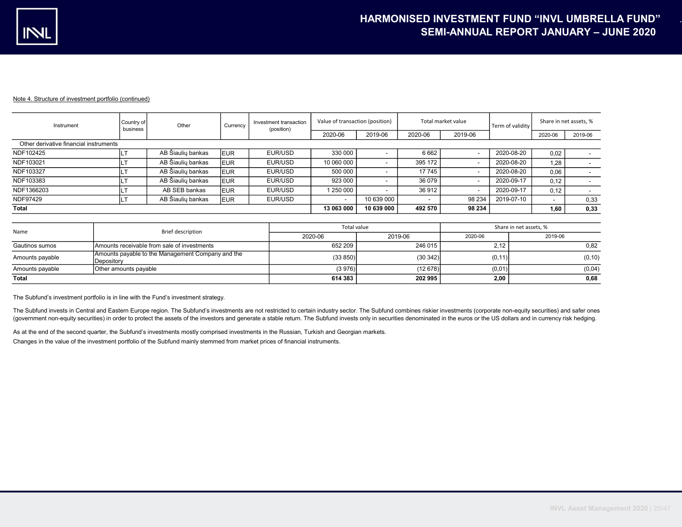| Instrument                             | Country of<br>business | Other             | Currency    | Investment transaction<br>(position) | Value of transaction (position) |            |         | Total market value | Term of validity |         | Share in net assets, % |
|----------------------------------------|------------------------|-------------------|-------------|--------------------------------------|---------------------------------|------------|---------|--------------------|------------------|---------|------------------------|
|                                        |                        |                   |             |                                      | 2020-06                         | 2019-06    | 2020-06 | 2019-06            |                  | 2020-06 | 2019-06                |
| Other derivative financial instruments |                        |                   |             |                                      |                                 |            |         |                    |                  |         |                        |
| NDF102425                              |                        | AB Šiaulių bankas | <b>IEUR</b> | EUR/USD                              | 330 000                         |            | 6662    |                    | 2020-08-20       | 0,02    |                        |
| NDF103021                              |                        | AB Šiaulių bankas | <b>IEUR</b> | EUR/USD                              | 10 060 000                      |            | 395 172 |                    | 2020-08-20       | 1,28    |                        |
| NDF103327                              |                        | AB Šiaulių bankas | <b>EUR</b>  | EUR/USD                              | 500 000                         |            | 17745   |                    | 2020-08-20       | 0,06    |                        |
| NDF103383                              |                        | AB Šiaulių bankas | <b>IEUR</b> | EUR/USD                              | 923 000                         |            | 36 0 79 |                    | 2020-09-17       | 0,12    |                        |
| NDF1366203                             |                        | AB SEB bankas     | <b>IEUR</b> | EUR/USD                              | 1 250 000                       |            | 36912   |                    | 2020-09-17       | 0,12    |                        |
| NDF97429                               |                        | AB Šiaulių bankas | <b>EUR</b>  | EUR/USD                              | $\overline{\phantom{a}}$        | 10 639 000 |         | 98 234             | 2019-07-10       |         | 0,33                   |
| Total                                  |                        |                   |             |                                      | 13 063 000                      | 10 639 000 | 492 570 | 98 234             |                  | 1,60    | 0,33                   |

| Name            | Brief description                                               | Total value |         | Share in net assets, % |         |  |  |
|-----------------|-----------------------------------------------------------------|-------------|---------|------------------------|---------|--|--|
|                 |                                                                 | 2020-06     | 2019-06 | 2020-06                | 2019-06 |  |  |
| Gautinos sumos  | Amounts receivable from sale of investments                     | 652 209     | 246 015 | 2.12                   | 0,82    |  |  |
| Amounts payable | Amounts payable to the Management Company and the<br>Depository | (33 850)    | (30342) | (0, 11)                | (0, 10) |  |  |
| Amounts payable | Other amounts payable                                           | (3976)      | (12678) | (0,01)                 | (0,04)  |  |  |
| Total           |                                                                 | 614 383     | 202 995 | 2,00                   | 0,68    |  |  |

The Subfund's investment portfolio is in line with the Fund's investment strategy.

The Subfund invests in Central and Eastern Europe region. The Subfund's investments are not restricted to certain industry sector. The Subfund combines riskier investments (corporate non-equity securities) and safer ones (government non-equity securities) in order to protect the assets of the investors and generate a stable return. The Subfund invests only in securities denominated in the euros or the US dollars and in currency risk hedgin

As at the end of the second quarter, the Subfund's investments mostly comprised investments in the Russian, Turkish and Georgian markets.

Changes in the value of the investment portfolio of the Subfund mainly stemmed from market prices of financial instruments.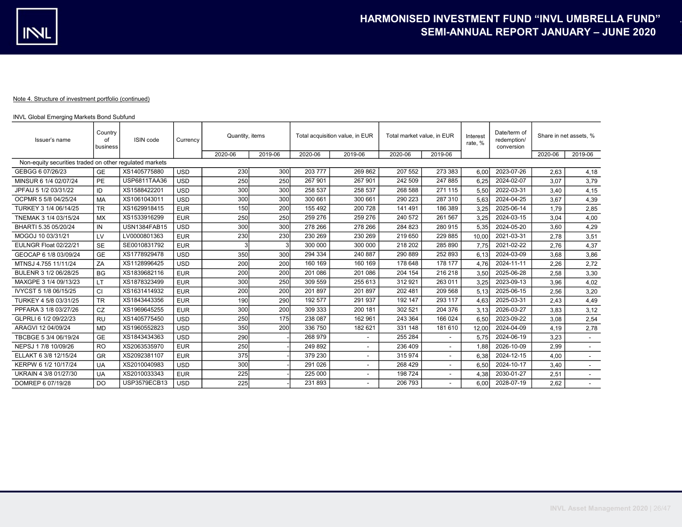## INVL Global Emerging Markets Bond Subfund

| Issuer's name                                           | Country<br>of<br>business | ISIN code           | Currency   | Quantity, items |         | Total acquisition value, in EUR |                          | Total market value, in EUR |         | Interest<br>rate, % | Date/term of<br>redemption/<br>conversion | Share in net assets, % |                          |
|---------------------------------------------------------|---------------------------|---------------------|------------|-----------------|---------|---------------------------------|--------------------------|----------------------------|---------|---------------------|-------------------------------------------|------------------------|--------------------------|
|                                                         |                           |                     |            | 2020-06         | 2019-06 | 2020-06                         | 2019-06                  | 2020-06                    | 2019-06 |                     |                                           | 2020-06                | 2019-06                  |
| Non-equity securities traded on other regulated markets |                           |                     |            |                 |         |                                 |                          |                            |         |                     |                                           |                        |                          |
| GEBGG 6 07/26/23                                        | <b>GE</b>                 | XS1405775880        | <b>USD</b> | 230             | 300     | 203 777                         | 269 862                  | 207 552                    | 273 383 | 6,00                | 2023-07-26                                | 2.63                   | 4,18                     |
| MINSUR 6 1/4 02/07/24                                   | <b>PE</b>                 | USP6811TAA36        | <b>USD</b> | 250             | 250     | 267 901                         | 267 901                  | 242 509                    | 247 885 | 6.25                | 2024-02-07                                | 3,07                   | 3,79                     |
| JPFAIJ 5 1/2 03/31/22                                   | ID                        | XS1588422201        | <b>USD</b> | 300             | 300     | 258 537                         | 258 537                  | 268 588                    | 271 115 | 5,50                | 2022-03-31                                | 3.40                   | 4,15                     |
| OCPMR 5 5/8 04/25/24                                    | MA                        | XS1061043011        | <b>USD</b> | 300             | 300     | 300 661                         | 300 661                  | 290 223                    | 287 310 | 5,63                | 2024-04-25                                | 3.67                   | 4,39                     |
| TURKEY 3 1/4 06/14/25                                   | <b>TR</b>                 | XS1629918415        | <b>EUR</b> | 150             | 200     | 155 492                         | 200 728                  | 141 491                    | 186 389 | 3.25                | 2025-06-14                                | 1.79                   | 2,85                     |
| TNEMAK 3 1/4 03/15/24                                   | <b>MX</b>                 | XS1533916299        | <b>EUR</b> | 250             | 250     | 259 276                         | 259 276                  | 240 572                    | 261 567 | 3,25                | 2024-03-15                                | 3.04                   | 4,00                     |
| BHARTI 5.35 05/20/24                                    | IN                        | <b>USN1384FAB15</b> | <b>USD</b> | 300             | 300     | 278 266                         | 278 266                  | 284 823                    | 280 915 | 5,35                | 2024-05-20                                | 3.60                   | 4,29                     |
| MOGOJ 10 03/31/21                                       | LV                        | LV0000801363        | <b>EUR</b> | 230             | 230     | 230 269                         | 230 269                  | 219 650                    | 229 885 | 10.00               | 2021-03-31                                | 2.78                   | 3,51                     |
| EULNGR Float 02/22/21                                   | <b>SE</b>                 | SE0010831792        | <b>EUR</b> |                 | 3       | 300 000                         | 300 000                  | 218 202                    | 285 890 | 7,75                | 2021-02-22                                | 2,76                   | 4,37                     |
| GEOCAP 6 1/8 03/09/24                                   | <b>GE</b>                 | XS1778929478        | <b>USD</b> | 350             | 300     | 294 334                         | 240 887                  | 290 889                    | 252 893 | 6.13                | 2024-03-09                                | 3.68                   | 3,86                     |
| MTNSJ 4.755 11/11/24                                    | ZA                        | XS1128996425        | <b>USD</b> | 200             | 200     | 160 169                         | 160 169                  | 178 648                    | 178 177 | 4.76                | 2024-11-11                                | 2.26                   | 2,72                     |
| BULENR 3 1/2 06/28/25                                   | <b>BG</b>                 | XS1839682116        | <b>EUR</b> | 200             | 200     | 201 086                         | 201 086                  | 204 154                    | 216 218 | 3,50                | 2025-06-28                                | 2,58                   | 3,30                     |
| MAXGPE 3 1/4 09/13/23                                   | LT                        | XS1878323499        | <b>EUR</b> | 300             | 250     | 309 559                         | 255 613                  | 312 921                    | 263 011 | 3,25                | 2023-09-13                                | 3,96                   | 4,02                     |
| IVYCST 5 1/8 06/15/25                                   | СI                        | XS1631414932        | <b>EUR</b> | 200             | 200     | 201 897                         | 201 897                  | 202 481                    | 209 568 | 5.13                | 2025-06-15                                | 2.56                   | 3,20                     |
| TURKEY 4 5/8 03/31/25                                   | <b>TR</b>                 | XS1843443356        | <b>EUR</b> | 190             | 290     | 192 577                         | 291 937                  | 192 147                    | 293 117 | 4,63                | 2025-03-31                                | 2,43                   | 4,49                     |
| PPFARA 3 1/8 03/27/26                                   | CZ                        | XS1969645255        | <b>EUR</b> | 300             | 200     | 309 333                         | 200 181                  | 302 521                    | 204 376 | 3.13                | 2026-03-27                                | 3.83                   | 3,12                     |
| GLPRLI 6 1/2 09/22/23                                   | <b>RU</b>                 | XS1405775450        | <b>USD</b> | 250             | 175     | 238 087                         | 162 961                  | 243 364                    | 166 024 | 6.50                | 2023-09-22                                | 3.08                   | 2,54                     |
| ARAGVI 12 04/09/24                                      | <b>MD</b>                 | XS1960552823        | <b>USD</b> | 350             | 200     | 336 750                         | 182 621                  | 331 148                    | 181 610 | 12,00               | 2024-04-09                                | 4.19                   | 2,78                     |
| TBCBGE 5 3/4 06/19/24                                   | <b>GE</b>                 | XS1843434363        | <b>USD</b> | 290             |         | 268 979                         | $\overline{\phantom{0}}$ | 255 284                    |         | 5,75                | 2024-06-19                                | 3,23                   | $\overline{\phantom{a}}$ |
| NEPSJ 1 7/8 10/09/26                                    | <b>RO</b>                 | XS2063535970        | <b>EUR</b> | 250             |         | 249 892                         | $\overline{\phantom{a}}$ | 236 409                    |         | 1,88                | 2026-10-09                                | 2,99                   | $\overline{\phantom{a}}$ |
| ELLAKT 6 3/8 12/15/24                                   | <b>GR</b>                 | XS2092381107        | <b>EUR</b> | 375             |         | 379 230                         | $\overline{\phantom{0}}$ | 315 974                    |         | 6,38                | 2024-12-15                                | 4,00                   | $\overline{\phantom{a}}$ |
| KERPW 6 1/2 10/17/24                                    | <b>UA</b>                 | XS2010040983        | <b>USD</b> | 300             |         | 291 026                         |                          | 268 429                    |         | 6,50                | 2024-10-17                                | 3,40                   |                          |
| UKRAIN 4 3/8 01/27/30                                   | UA                        | XS2010033343        | <b>EUR</b> | 225             |         | 225 000                         | $\overline{\phantom{a}}$ | 198 724                    |         | 4,38                | 2030-01-27                                | 2,51                   | $\overline{\phantom{a}}$ |
| DOMREP 6 07/19/28                                       | DO.                       | USP3579ECB13        | <b>USD</b> | 225             |         | 231893                          |                          | 206 793                    |         | 6.00                | 2028-07-19                                | 2,62                   |                          |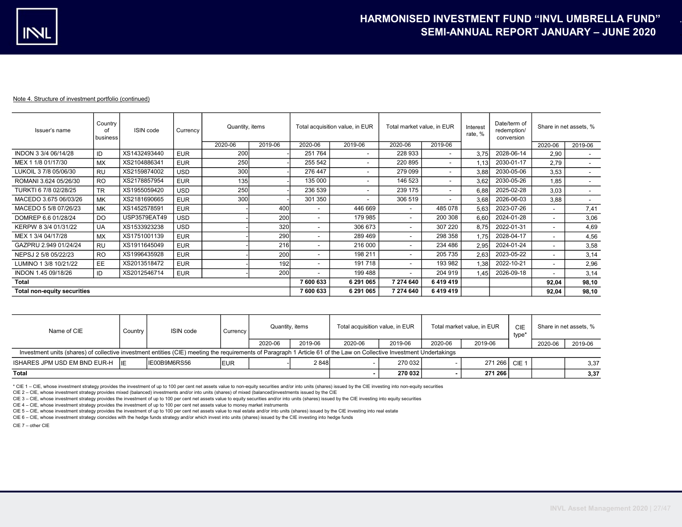| Country<br>Issuer's name<br>of<br>business |           | ISIN code    | Currency   | Quantity, items |                 | Total acquisition value, in EUR |                          | Total market value, in EUR |                          | Interest<br>rate, % | Date/term of<br>redemption/<br>conversion | Share in net assets, %   |                          |
|--------------------------------------------|-----------|--------------|------------|-----------------|-----------------|---------------------------------|--------------------------|----------------------------|--------------------------|---------------------|-------------------------------------------|--------------------------|--------------------------|
|                                            |           |              |            | 2020-06         | 2019-06         | 2020-06                         | 2019-06                  | 2020-06                    | 2019-06                  |                     |                                           | 2020-06                  | 2019-06                  |
| INDON 3 3/4 06/14/28                       | ID        | XS1432493440 | <b>EUR</b> | 200             |                 | 251 764                         | $\overline{\phantom{a}}$ | 228 933                    | $\overline{\phantom{a}}$ | 3.75                | 2028-06-14                                | 2,90                     | $\overline{\phantom{a}}$ |
| MEX 1 1/8 01/17/30                         | <b>MX</b> | XS2104886341 | <b>EUR</b> | 250             |                 | 255 542                         | $\sim$                   | 220 895                    | $\overline{\phantom{a}}$ | 1.13                | 2030-01-17                                | 2.79                     |                          |
| LUKOIL 3 7/8 05/06/30                      | <b>RU</b> | XS2159874002 | <b>USD</b> | 300             |                 | 276 447                         | $\sim$                   | 279 099                    | $\overline{\phantom{a}}$ | 3.88                | 2030-05-06                                | 3,53                     | $\overline{\phantom{a}}$ |
| ROMANI 3.624 05/26/30                      | <b>RO</b> | XS2178857954 | <b>EUR</b> | 135             |                 | 135 000                         |                          | 146 523                    | $\overline{\phantom{a}}$ | 3.62                | 2030-05-26                                | 1,85                     | $\overline{\phantom{a}}$ |
| TURKTI 6 7/8 02/28/25                      | <b>TR</b> | XS1955059420 | <b>USD</b> | 250             |                 | 236 539                         | $\sim$                   | 239 175                    | $\overline{\phantom{a}}$ | 6.88                | 2025-02-28                                | 3,03                     | $\sim$                   |
| MACEDO 3.675 06/03/26                      | <b>MK</b> | XS2181690665 | <b>EUR</b> | 300             |                 | 301 350                         |                          | 306 519                    | $\overline{\phantom{a}}$ | 3.68                | 2026-06-03                                | 3,88                     | $\sim$                   |
| MACEDO 5 5/8 07/26/23                      | MK        | XS1452578591 | <b>EUR</b> |                 | 40 <sub>C</sub> |                                 | 446 669                  | $\overline{\phantom{a}}$   | 485 078                  | 5,63                | 2023-07-26                                |                          | 7,41                     |
| DOMREP 6.6 01/28/24                        | DO        | USP3579EAT49 | <b>USD</b> |                 | <b>200</b>      | $\overline{\phantom{0}}$        | 179 985                  | $\overline{\phantom{a}}$   | 200 308                  | 6.60                | 2024-01-28                                | -                        | 3,06                     |
| KERPW 8 3/4 01/31/22                       | <b>UA</b> | XS1533923238 | <b>USD</b> |                 | 320             |                                 | 306 673                  | $\overline{\phantom{a}}$   | 307 220                  | 8.75                | 2022-01-31                                | $\overline{\phantom{a}}$ | 4,69                     |
| MEX 1 3/4 04/17/28                         | <b>MX</b> | XS1751001139 | <b>EUR</b> |                 | 290             |                                 | 289 469                  | $\overline{\phantom{a}}$   | 298 358                  | 1.75                | 2028-04-17                                | -                        | 4,56                     |
| GAZPRU 2.949 01/24/24                      | <b>RU</b> | XS1911645049 | <b>EUR</b> |                 | 216             |                                 | 216 000                  | $\overline{\phantom{a}}$   | 234 486                  | 2,95                | 2024-01-24                                | $\overline{\phantom{a}}$ | 3,58                     |
| NEPSJ 2 5/8 05/22/23                       | <b>RO</b> | XS1996435928 | <b>EUR</b> |                 | 200             | -                               | 198 211                  | $\overline{\phantom{a}}$   | 205 735                  | 2,63                | 2023-05-22                                | -                        | 3,14                     |
| LUMINO 1 3/8 10/21/22                      | <b>EE</b> | XS2013518472 | <b>EUR</b> |                 | 192             |                                 | 191 718                  | $\overline{\phantom{a}}$   | 193 982                  | 1.38                | 2022-10-21                                |                          | 2,96                     |
| INDON 1.45 09/18/26                        | ID        | XS2012546714 | <b>EUR</b> |                 | 200             |                                 | 199 488                  | $\overline{\phantom{a}}$   | 204 919                  | 1,451               | 2026-09-18                                |                          | 3,14                     |
| <b>Total</b>                               |           |              |            |                 |                 | 7 600 633                       | 6 291 065                | 7 274 640                  | 6419419                  |                     |                                           | 92,04                    | 98,10                    |
| <b>Total non-equity securities</b>         |           |              |            |                 |                 | 7 600 633                       | 6 291 065                | 7 274 640                  | 6419419                  |                     |                                           | 92,04                    | 98,10                    |

| Name of CIE                                                                                                                                                           | Country    | ISIN code     | Currency    |         | Quantity, items | Total acquisition value, in EUR |         |         | Total market value, in EUR | <b>CIE</b><br>type* | Share in net assets, % |         |
|-----------------------------------------------------------------------------------------------------------------------------------------------------------------------|------------|---------------|-------------|---------|-----------------|---------------------------------|---------|---------|----------------------------|---------------------|------------------------|---------|
|                                                                                                                                                                       |            |               |             | 2020-06 | 2019-06         | 2020-06                         | 2019-06 | 2020-06 | 2019-06                    |                     | 2020-06                | 2019-06 |
| Investment units (shares) of collective investment entities (CIE) meeting the requirements of Paragraph 1 Article 61 of the Law on Collective Investment Undertakings |            |               |             |         |                 |                                 |         |         |                            |                     |                        |         |
| ISHARES JPM USD EM BND EUR-H                                                                                                                                          | <b>IIE</b> | IIE00B9M6RS56 | <b>IEUR</b> |         | 2 848l          |                                 | 270 032 |         | 271 266 CIE 1              |                     |                        | 3.37    |
| <b>Total</b>                                                                                                                                                          |            |               |             |         |                 |                                 | 270 032 |         | 271 266                    |                     |                        | 3.37    |

\* CIE 1 – CIE, whose investment strategy provides the investment of up to 100 per cent net assets value to non-equity securities and/or into units (shares) issued by the CIE investing into non-equity securities

CIE 2 – CIE, whose investment strategy provides mixed (balanced) investments and/or into units (shares) of mixed (balanced)investments issued by the CIE

CIE 3 – CIE, whose investment strategy provides the investment of up to 100 per cent net assets value to equity securities and/or into units (shares) issued by the CIE investing into equity securities

CIE 4 – CIE, whose investment strategy provides the investment of up to 100 per cent net assets value to money market instruments

CIE 5 – CIE, whose investment strategy provides the investment of up to 100 per cent net assets value to real estate and/or into units (shares) issued by the CIE investing into real estate

CIE 6 – CIE, whose investment strategy cioncides with the hedge funds strategy and/or which invest into units (shares) issued by the CIE investing into hedge funds

CIE 7 – other CIE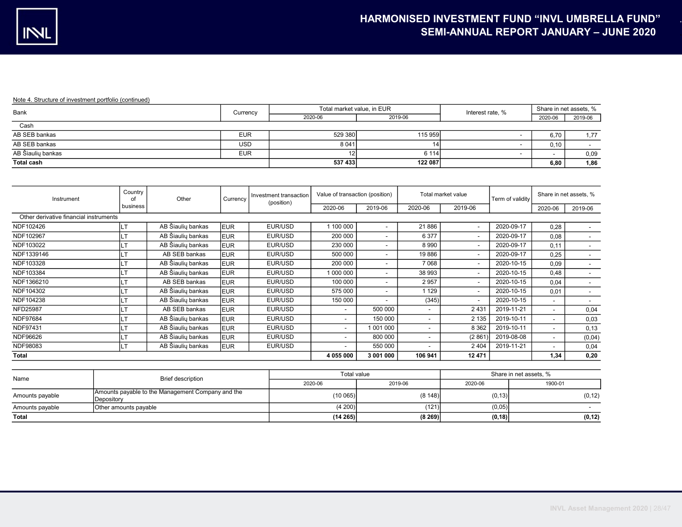| Bank              | Currency   | Total market value, in EUR |         | Interest rate, % | Share in net assets, % |         |
|-------------------|------------|----------------------------|---------|------------------|------------------------|---------|
|                   |            | 2020-06                    | 2019-06 |                  | 2020-06                | 2019-06 |
| Cash              |            |                            |         |                  |                        |         |
| AB SEB bankas     | <b>EUR</b> | 529 380                    | 115 959 |                  | 6,70                   | 1.77    |
| AB SEB bankas     | <b>USD</b> | 8 0 4 1                    |         |                  | 0,10                   |         |
| AB Šiaulių bankas | <b>EUR</b> |                            | 6 1 1 4 |                  |                        | 0,09    |
| <b>Total cash</b> |            | 537 433                    | 122 087 |                  | 6,80                   | 1,86    |

| Instrument                             | Country<br>Ω1 | Other             | Currency   | Investment transaction<br>(position) | Value of transaction (position) |                          |         | Total market value       | Term of validity |         | Share in net assets, %   |
|----------------------------------------|---------------|-------------------|------------|--------------------------------------|---------------------------------|--------------------------|---------|--------------------------|------------------|---------|--------------------------|
|                                        | business      |                   |            |                                      | 2020-06                         | 2019-06                  | 2020-06 | 2019-06                  |                  | 2020-06 | 2019-06                  |
| Other derivative financial instruments |               |                   |            |                                      |                                 |                          |         |                          |                  |         |                          |
| NDF102426                              | <b>ILT</b>    | AB Šiaulių bankas | <b>EUR</b> | EUR/USD                              | 1 100 000                       | $\blacksquare$           | 21886   | $\overline{\phantom{a}}$ | 2020-09-17       | 0,28    |                          |
| NDF102967                              | <b>ILT</b>    | AB Šiaulių bankas | <b>EUR</b> | EUR/USD                              | 200 000                         | $\blacksquare$           | 6377    | $\overline{\phantom{a}}$ | 2020-09-17       | 0,08    |                          |
| NDF103022                              |               | AB Šiaulių bankas | <b>EUR</b> | EUR/USD                              | 230 000                         | $\overline{\phantom{a}}$ | 8990    | $\overline{\phantom{a}}$ | 2020-09-17       | 0.11    |                          |
| NDF1339146                             |               | AB SEB bankas     | <b>EUR</b> | EUR/USD                              | 500 000                         | $\overline{\phantom{0}}$ | 19886   | $\overline{\phantom{a}}$ | 2020-09-17       | 0,25    |                          |
| NDF103328                              |               | AB Šiaulių bankas | <b>EUR</b> | EUR/USD                              | 200 000                         | $\overline{\phantom{a}}$ | 7068    | $\overline{\phantom{a}}$ | 2020-10-15       | 0,09    |                          |
| NDF103384                              |               | AB Šiaulių bankas | <b>EUR</b> | EUR/USD                              | 1 000 000                       | $\overline{\phantom{a}}$ | 38 993  | $\overline{\phantom{a}}$ | 2020-10-15       | 0,48    |                          |
| NDF1366210                             |               | AB SEB bankas     | <b>EUR</b> | EUR/USD                              | 100 000                         | $\blacksquare$           | 2957    | $\sim$                   | 2020-10-15       | 0,04    | $\overline{\phantom{a}}$ |
| NDF104302                              |               | AB Šiaulių bankas | <b>EUR</b> | EUR/USD                              | 575 000                         | $\overline{\phantom{a}}$ | 1 1 2 9 | $\overline{\phantom{a}}$ | 2020-10-15       | 0.01    | $\overline{\phantom{a}}$ |
| NDF104238                              |               | AB Šiaulių bankas | <b>EUR</b> | EUR/USD                              | 150 000                         | $\overline{\phantom{0}}$ | (345)   | $\overline{\phantom{a}}$ | 2020-10-15       |         | $\sim$                   |
| <b>NFD25987</b>                        |               | AB SEB bankas     | <b>EUR</b> | EUR/USD                              | $\overline{\phantom{a}}$        | 500 000                  |         | 2431                     | 2019-11-21       |         | 0,04                     |
| NDF97684                               |               | AB Šiaulių bankas | <b>EUR</b> | EUR/USD                              | $\overline{\phantom{0}}$        | 150 000                  |         | 2 1 3 5                  | 2019-10-11       |         | 0,03                     |
| NDF97431                               |               | AB Šiaulių bankas | <b>EUR</b> | EUR/USD                              | $\overline{\phantom{a}}$        | 1001000                  |         | 8 3 6 2                  | 2019-10-11       |         | 0,13                     |
| NDF96626                               | ١LT           | AB Šiaulių bankas | <b>EUR</b> | EUR/USD                              | $\overline{\phantom{0}}$        | 800 000                  | - 1     | (2861)                   | 2019-08-08       |         | (0, 04)                  |
| NDF98083                               | llt           | AB Šiaulių bankas | <b>EUR</b> | EUR/USD                              | $\overline{\phantom{a}}$        | 550 000                  |         | 2 4 0 4                  | 2019-11-21       |         | 0,04                     |
| <b>Total</b>                           |               |                   |            |                                      | 4 055 000                       | 3 001 000                | 106 941 | 12 471                   |                  | 1.34    | 0,20                     |

| Name            | Brief description                                               | Total value |          | Share in net assets. % |         |  |  |
|-----------------|-----------------------------------------------------------------|-------------|----------|------------------------|---------|--|--|
|                 |                                                                 | 2020-06     | 2019-06  | 2020-06                | 1900-01 |  |  |
| Amounts payable | Amounts payable to the Management Company and the<br>Depository | (10065)     | (8148)   | (0, 13)                | (0, 12) |  |  |
| Amounts payable | Other amounts payable                                           | (4200)      | (121)    | (0,05)                 |         |  |  |
| Total           |                                                                 | (14265)     | (8, 269) | (0, 18)                | (0, 12) |  |  |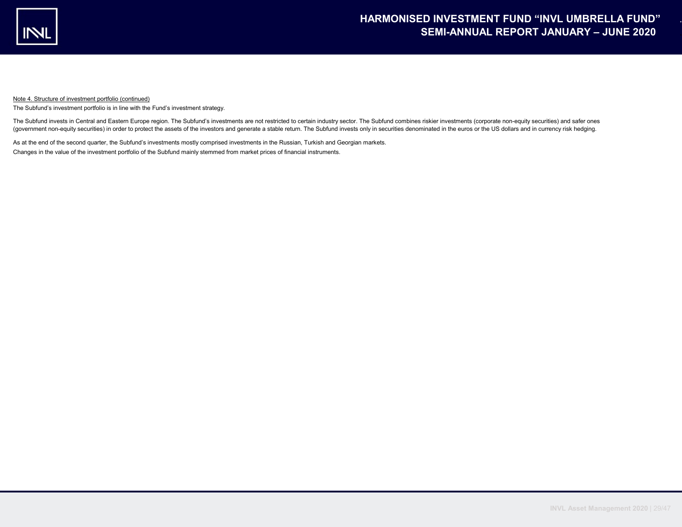

The Subfund's investment portfolio is in line with the Fund's investment strategy.

The Subfund invests in Central and Eastern Europe region. The Subfund's investments are not restricted to certain industry sector. The Subfund combines riskier investments (corporate non-equity securities) and safer ones (government non-equity securities) in order to protect the assets of the investors and generate a stable return. The Subfund invests only in securities denominated in the euros or the US dollars and in currency risk hedging.

As at the end of the second quarter, the Subfund's investments mostly comprised investments in the Russian, Turkish and Georgian markets. Changes in the value of the investment portfolio of the Subfund mainly stemmed from market prices of financial instruments.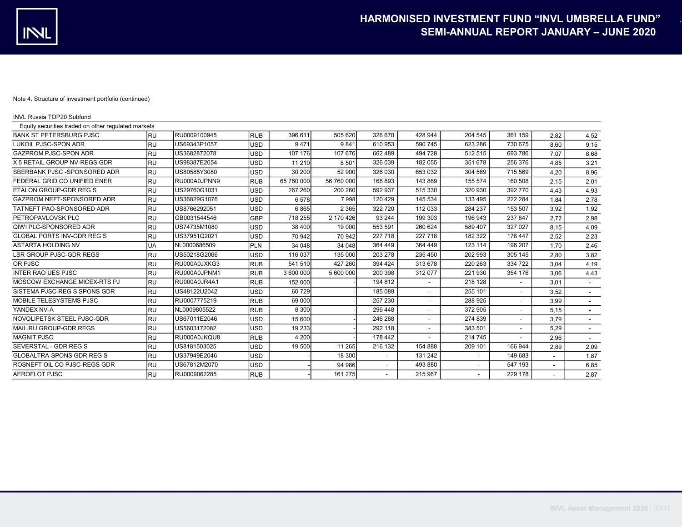| <b>INVL Russia TOP20 Subfund</b>                    |           |              |            |            |            |         |                |                |                          |      |                          |
|-----------------------------------------------------|-----------|--------------|------------|------------|------------|---------|----------------|----------------|--------------------------|------|--------------------------|
| Equity securities traded on other regulated markets |           |              |            |            |            |         |                |                |                          |      |                          |
| <b>BANK ST PETERSBURG PJSC</b>                      | <b>RU</b> | RU0009100945 | <b>RUB</b> | 396 611    | 505 620    | 326 670 | 428 944        | 204 545        | 361 159                  | 2.82 | 4,52                     |
| <b>LUKOIL PJSC-SPON ADR</b>                         | RU        | US69343P1057 | <b>USD</b> | 9471       | 9841       | 610 953 | 590 745        | 623 286        | 730 675                  | 8,60 | 9,15                     |
| GAZPROM PJSC-SPON ADR                               | lru       | US3682872078 | <b>USD</b> | 107 176    | 107 676    | 662 489 | 494 728        | 512 515        | 693 786                  | 7.07 | 8,68                     |
| X 5 RETAIL GROUP NV-REGS GDR                        | lru       | US98387E2054 | <b>USD</b> | 11 210     | 8501       | 326 039 | 182 055        | 351 678        | 256 376                  | 4.85 | 3,21                     |
| SBERBANK PJSC-SPONSORED ADR                         | <b>RU</b> | US80585Y3080 | <b>USD</b> | 30 200     | 52 900     | 326 030 | 653 032        | 304 569        | 715 569                  | 4,20 | 8,96                     |
| FEDERAL GRID CO UNIFIED ENER                        | <b>RU</b> | RU000A0JPNN9 | <b>RUB</b> | 65 760 000 | 56 760 000 | 168 893 | 143 869        | 155 574        | 160 508                  | 2.15 | 2,01                     |
| <b>ETALON GROUP-GDR REG S</b>                       | <b>RU</b> | US29760G1031 | <b>USD</b> | 267 260    | 200 260    | 592 937 | 515 330        | 320 930        | 392 770                  | 4,43 | 4,93                     |
| GAZPROM NEFT-SPONSORED ADR                          | <b>RU</b> | US36829G1076 | <b>USD</b> | 6578       | 7998       | 120 429 | 145 534        | 133 495        | 222 284                  | 1.84 | 2,78                     |
| TATNEFT PAO-SPONSORED ADR                           | <b>RU</b> | US8766292051 | <b>USD</b> | 6865       | 2 3 6 5    | 322 720 | 112 033        | 284 237        | 153 507                  | 3,92 | 1,92                     |
| PETROPAVLOVSK PLC                                   | RU        | GB0031544546 | <b>GBP</b> | 718 255    | 2 170 426  | 93 244  | 199 303        | 196 943        | 237 847                  | 2,72 | 2,98                     |
| QIWI PLC-SPONSORED ADR                              | RU        | US74735M1080 | <b>USD</b> | 38 400     | 19 000     | 553 591 | 260 624        | 589 407        | 327 027                  | 8.15 | 4,09                     |
| <b>GLOBAL PORTS INV-GDR REG S</b>                   | RU        | US37951Q2021 | <b>USD</b> | 70 942     | 70 942     | 227 718 | 227 718        | 182 322        | 178 447                  | 2,52 | 2,23                     |
| <b>ASTARTA HOLDING NV</b>                           | UA        | NL0000686509 | PLN        | 34 048     | 34 048     | 364 449 | 364 449        | 123 114        | 196 207                  | 1.70 | 2,46                     |
| <b>LSR GROUP PJSC-GDR REGS</b>                      | lru       | US50218G2066 | <b>USD</b> | 116 037    | 135 000    | 203 278 | 235 450        | 202 993        | 305 145                  | 2.80 | 3,82                     |
| OR PJSC                                             | <b>RU</b> | RU000A0JXKG3 | <b>RUB</b> | 541 510    | 427 260    | 394 424 | 313 678        | 220 263        | 334 722                  | 3,04 | 4,19                     |
| <b>INTER RAO UES PJSC</b>                           | RU        | RU000A0JPNM1 | <b>RUB</b> | 3 600 000  | 5 600 000  | 200 398 | 312 077        | 221 930        | 354 176                  | 3,06 | 4,43                     |
| MOSCOW EXCHANGE MICEX-RTS PJ                        | <b>RU</b> | RU000A0JR4A1 | <b>RUB</b> | 152 000    |            | 194 812 | $\blacksquare$ | 218 128        |                          | 3.01 | $\overline{\phantom{a}}$ |
| SISTEMA PJSC-REG S SPONS GDR                        | <b>RU</b> | US48122U2042 | <b>USD</b> | 60 729     |            | 185 089 |                | 255 101        |                          | 3,52 | $\sim$                   |
| MOBILE TELESYSTEMS PJSC                             | RU        | RU0007775219 | <b>RUB</b> | 69 000     |            | 257 230 | ٠              | 288 925        | $\sim$                   | 3,99 | $\sim$                   |
| YANDEX NV-A                                         | <b>RU</b> | NL0009805522 | <b>RUB</b> | 8 3 0 0    |            | 296 448 |                | 372 905        | $\overline{\phantom{a}}$ | 5,15 | $\sim$                   |
| NOVOLIPETSK STEEL PJSC-GDR                          | <b>RU</b> | US67011E2046 | <b>USD</b> | 15 600     |            | 246 268 |                | 274 839        | $\overline{\phantom{a}}$ | 3.79 | $\sim$                   |
| MAIL.RU GROUP-GDR REGS                              | RU        | US5603172082 | <b>USD</b> | 19 233     |            | 292 118 |                | 383 501        | $\overline{\phantom{a}}$ | 5,29 | $\overline{\phantom{a}}$ |
| <b>MAGNIT PJSC</b>                                  | RU        | RU000A0JKQU8 | <b>RUB</b> | 4 200      |            | 178 442 |                | 214 745        |                          | 2,96 |                          |
| SEVERSTAL - GDR REG S                               | lru       | US8181503025 | <b>USD</b> | 19 500     | 11 265     | 216 132 | 154 888        | 209 101        | 166 944                  | 2.89 | 2,09                     |
| <b>GLOBALTRA-SPONS GDR REG S</b>                    | RU        | US37949E2046 | <b>USD</b> |            | 18 300     |         | 131 242        | $\blacksquare$ | 149 683                  |      | 1,87                     |
| ROSNEFT OIL CO PJSC-REGS GDR                        | RU        | US67812M2070 | <b>USD</b> |            | 94 986     |         | 493 880        |                | 547 193                  |      | 6,85                     |
| <b>AEROFLOT PJSC</b>                                | RU        | RU0009062285 | <b>RUB</b> |            | 161 275    |         | 215 967        |                | 229 178                  |      | 2,87                     |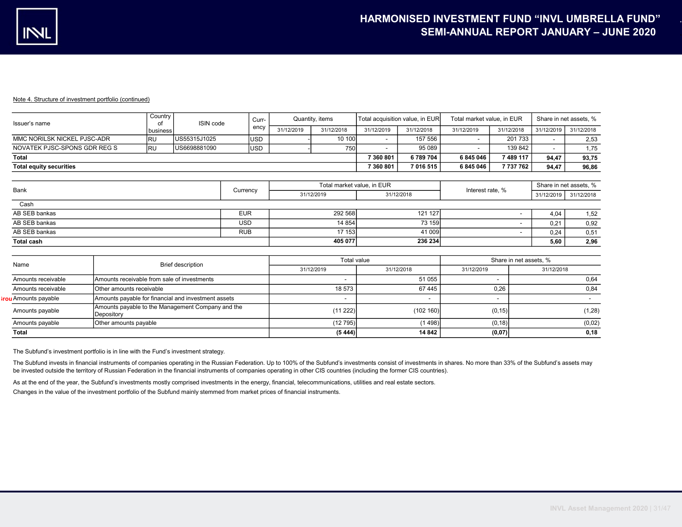ir

## Note 4. Structure of investment portfolio (continued)

| Issuer's name                  | Country<br>0t | ISIN code     | Curr-       | Quantity, items |            | Total acquisition value, in EUR |            | Total market value, in EUR |            | Share in net assets, % |            |
|--------------------------------|---------------|---------------|-------------|-----------------|------------|---------------------------------|------------|----------------------------|------------|------------------------|------------|
|                                | l business    |               | ency        | 31/12/2019      | 31/12/2018 | 31/12/2019                      | 31/12/2018 | 31/12/2019                 | 31/12/2018 | 31/12/2019             | 31/12/2018 |
| MMC NORILSK NICKEL PJSC-ADR    | IRU           | IUS55315J1025 | <b>USD</b>  |                 | 10 100     | -                               | 157 556,   |                            | 201 733 L  |                        | 2,53       |
| NOVATEK PJSC-SPONS GDR REG S   | <b>IRU</b>    | US6698881090  | <b>IUSD</b> |                 | 750        |                                 | 95 089     |                            | 139 842    |                        | 1.75       |
| <b>Total</b>                   |               |               |             |                 |            | 7 360 801                       | 6789704    | 6845046                    | 7 489 117  | 94.47                  | 93,75      |
| <b>Total equity securities</b> |               |               |             |                 |            | 7 360 801                       | 7 016 515  | 6845046                    | 737 762    | 94.47                  | 96,86      |
|                                |               |               |             |                 |            |                                 |            |                            |            |                        |            |

| Bank              | Currency   | Total market value, in EUR |            | Interest rate, % | Share in net assets, % |            |
|-------------------|------------|----------------------------|------------|------------------|------------------------|------------|
|                   |            | 31/12/2019                 | 31/12/2018 |                  | 31/12/2019             | 31/12/2018 |
| Cash              |            |                            |            |                  |                        |            |
| AB SEB bankas     | <b>EUR</b> | 292 568                    | 121 127    |                  | 4.04                   | 1,52       |
| AB SEB bankas     | <b>USD</b> | 14 8 54                    | 73 159     |                  | 0.21                   | 0,92       |
| AB SEB bankas     | <b>RUB</b> | 17 153                     | 41 009     |                  | 0.24                   | 0,51       |
| <b>Total cash</b> |            | 405 077                    | 236 234    |                  | 5,60                   | 2,96       |

|                    |                                                                 | Total value |            | Share in net assets, % |            |  |
|--------------------|-----------------------------------------------------------------|-------------|------------|------------------------|------------|--|
| Name               | <b>Brief description</b>                                        | 31/12/2019  | 31/12/2018 | 31/12/2019             | 31/12/2018 |  |
| Amounts receivable | Amounts receivable from sale of investments                     |             | 51 055     |                        | 0,64       |  |
| Amounts receivable | Other amounts receivable                                        | 18 573      | 67445      | 0.26                   | 0.84       |  |
| u Amounts payable  | Amounts payable for financial and investment assets             | -           |            |                        |            |  |
| Amounts payable    | Amounts payable to the Management Company and the<br>Depository | (11 222)    | (102160)   | (0, 15)                | (1, 28)    |  |
| Amounts payable    | Other amounts payable                                           | (12795)     | (1498)     | (0, 18)                | (0,02)     |  |
| <b>Total</b>       |                                                                 | (5, 444)    | 14 842     | (0,07)                 | 0.18       |  |

The Subfund's investment portfolio is in line with the Fund's investment strategy.

The Subfund invests in financial instruments of companies operating in the Russian Federation. Up to 100% of the Subfund's investments consist of investments in shares. No more than 33% of the Subfund's assets may be invested outside the territory of Russian Federation in the financial instruments of companies operating in other CIS countries (including the former CIS countries).

As at the end of the year, the Subfund's investments mostly comprised investments in the energy, financial, telecommunications, utilities and real estate sectors.

Changes in the value of the investment portfolio of the Subfund mainly stemmed from market prices of financial instruments.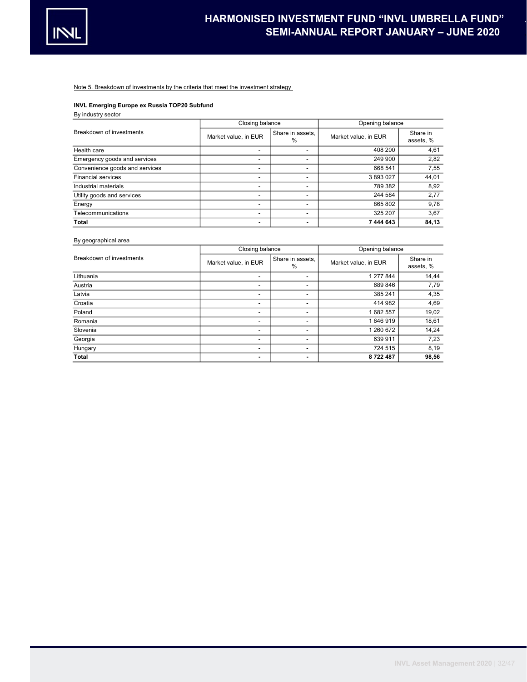

Note 5. Breakdown of investments by the criteria that meet the investment strategy

# INVL Emerging Europe ex Russia TOP20 Subfund

# By industry sector

|                                | Closing balance          |                          | Opening balance      |                       |  |
|--------------------------------|--------------------------|--------------------------|----------------------|-----------------------|--|
| Breakdown of investments       | Market value, in EUR     | Share in assets.<br>%    | Market value, in EUR | Share in<br>assets, % |  |
| Health care                    | -                        | $\blacksquare$           | 408 200              | 4,61                  |  |
| Emergency goods and services   | -                        |                          | 249 900              | 2,82                  |  |
| Convenience goods and services | $\overline{\phantom{0}}$ | $\overline{\phantom{a}}$ | 668 541              | 7,55                  |  |
| <b>Financial services</b>      | $\overline{\phantom{0}}$ | $\overline{\phantom{0}}$ | 3893027              | 44,01                 |  |
| Industrial materials           | -                        | ۰                        | 789 382              | 8,92                  |  |
| Utility goods and services     | -                        | ۰                        | 244 584              | 2,77                  |  |
| Energy                         | -                        |                          | 865 802              | 9,78                  |  |
| Telecommunications             | -                        |                          | 325 207              | 3,67                  |  |
| Total                          |                          |                          | 7 444 643            | 84,13                 |  |

# By geographical area

|                          | Closing balance      |                          | Opening balance      |                       |  |
|--------------------------|----------------------|--------------------------|----------------------|-----------------------|--|
| Breakdown of investments | Market value, in EUR | Share in assets,<br>$\%$ | Market value, in EUR | Share in<br>assets, % |  |
| Lithuania                | -                    |                          | 1 277 844            | 14,44                 |  |
| Austria                  | -                    | ۰                        | 689846               | 7,79                  |  |
| Latvia                   | -                    | ۰                        | 385 241              | 4,35                  |  |
| Croatia                  | -                    | ۰                        | 414 982              | 4,69                  |  |
| Poland                   | -                    | ۰                        | 1682557              | 19,02                 |  |
| Romania                  | -                    | ۰                        | 1646919              | 18,61                 |  |
| Slovenia                 | -                    | ٠                        | 1 260 672            | 14,24                 |  |
| Georgia                  | -                    | ۰                        | 639 911              | 7,23                  |  |
| Hungary                  | -                    | ۰                        | 724 515              | 8,19                  |  |
| Total                    |                      | ۰                        | 8722487              | 98,56                 |  |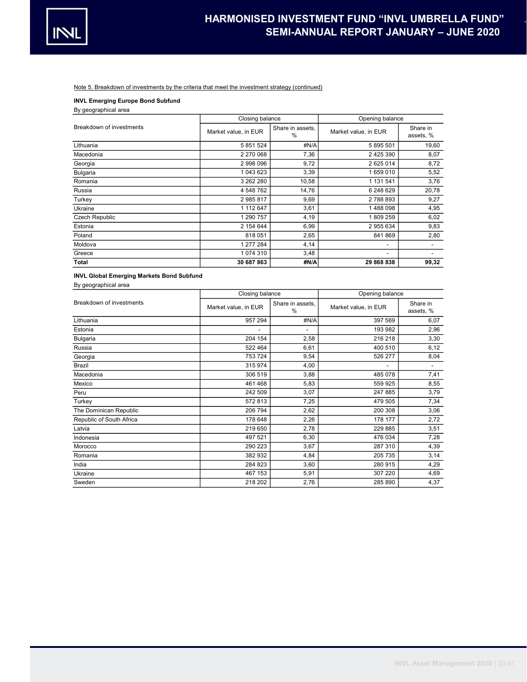

# Note 5. Breakdown of investments by the criteria that meet the investment strategy (continued)

INVL Emerging Europe Bond Subfund

By geographical area

|                          | Closing balance      |                       | Opening balance      |                       |  |
|--------------------------|----------------------|-----------------------|----------------------|-----------------------|--|
| Breakdown of investments | Market value, in EUR | Share in assets.<br>% | Market value, in EUR | Share in<br>assets, % |  |
| Lithuania                | 5 851 524            | #N/A                  | 5 895 501            | 19,60                 |  |
| Macedonia                | 2 270 068            | 7,36                  | 2 4 2 5 3 9 0        | 8,07                  |  |
| Georgia                  | 2 998 096            | 9,72                  | 2 625 014            | 8,72                  |  |
| <b>Bulgaria</b>          | 1 043 623            | 3,39                  | 1659010              | 5,52                  |  |
| Romania                  | 3 262 280            | 10,58                 | 1 131 541            | 3,76                  |  |
| Russia                   | 4 548 762            | 14,76                 | 6 248 629            | 20,78                 |  |
| Turkey                   | 2985817              | 9,69                  | 2788893              | 9,27                  |  |
| Ukraine                  | 1 112 647            | 3,61                  | 1488098              | 4,95                  |  |
| Czech Republic           | 1 290 757            | 4,19                  | 1809259              | 6,02                  |  |
| Estonia                  | 2 154 644            | 6,99                  | 2955634              | 9,83                  |  |
| Poland                   | 818051               | 2,65                  | 841 869              | 2,80                  |  |
| Moldova                  | 1 277 284            | 4,14                  | -                    |                       |  |
| Greece                   | 1 074 310            | 3,48                  | -                    |                       |  |
| <b>Total</b>             | 30 687 863           | #N/A                  | 29 868 838           | 99,32                 |  |

# INVL Global Emerging Markets Bond Subfund

By geographical area

|                          | Closing balance      |                       | Opening balance      |                       |  |
|--------------------------|----------------------|-----------------------|----------------------|-----------------------|--|
| Breakdown of investments | Market value, in EUR | Share in assets,<br>% | Market value, in EUR | Share in<br>assets, % |  |
| Lithuania                | 957 294              | #N/A                  | 397 569              | 6,07                  |  |
| Estonia                  |                      | $\blacksquare$        | 193 982              | 2,96                  |  |
| Bulgaria                 | 204 154              | 2,58                  | 216 218              | 3,30                  |  |
| Russia                   | 522 464              | 6,61                  | 400 510              | 6, 12                 |  |
| Georgia                  | 753 724              | 9,54                  | 526 277              | 8,04                  |  |
| Brazil                   | 315 974              | 4,00                  |                      |                       |  |
| Macedonia                | 306 519              | 3,88                  | 485 078              | 7,41                  |  |
| Mexico                   | 461468               | 5,83                  | 559 925              | 8,55                  |  |
| Peru                     | 242 509              | 3,07                  | 247 885              | 3,79                  |  |
| Turkey                   | 572813               | 7,25                  | 479 505              | 7,34                  |  |
| The Dominican Republic   | 206 794              | 2,62                  | 200 308              | 3,06                  |  |
| Republic of South Africa | 178 648              | 2,26                  | 178 177              | 2,72                  |  |
| Latvia                   | 219 650              | 2,78                  | 229 885              | 3,51                  |  |
| Indonesia                | 497 521              | 6,30                  | 476 034              | 7,28                  |  |
| Morocco                  | 290 223              | 3,67                  | 287 310              | 4,39                  |  |
| Romania                  | 382932               | 4,84                  | 205 735              | 3,14                  |  |
| India                    | 284 823              | 3,60                  | 280 915              | 4,29                  |  |
| Ukraine                  | 467 153              | 5,91                  | 307 220              | 4,69                  |  |
| Sweden                   | 218 202              | 2,76                  | 285 890              | 4,37                  |  |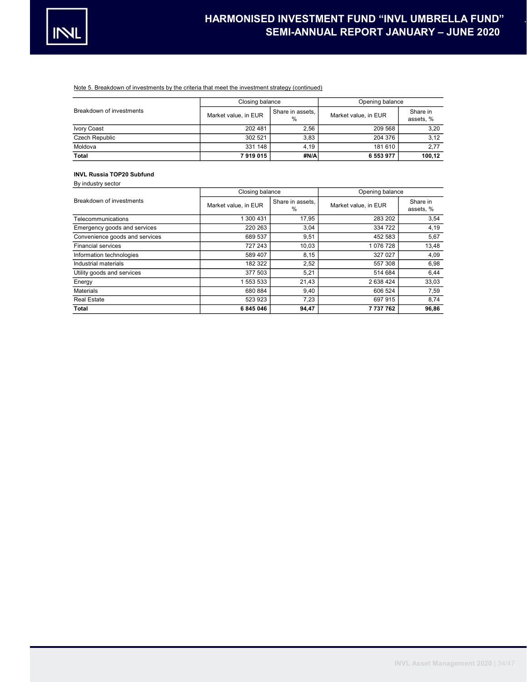

# Note 5. Breakdown of investments by the criteria that meet the investment strategy (continued)

|                          | Closing balance      |                          | Opening balance      |                      |  |
|--------------------------|----------------------|--------------------------|----------------------|----------------------|--|
| Breakdown of investments | Market value, in EUR | Share in assets.<br>$\%$ | Market value, in EUR | Share in<br>assets.% |  |
| Ivory Coast              | 202 481              | 2.56                     | 209 568              | 3,20                 |  |
| Czech Republic           | 302 521              | 3.83                     | 204 376              | 3,12                 |  |
| Moldova                  | 331 148              | 4.19                     | 181 610              | 2,77                 |  |
| Total                    | 7919015              | #N/Al                    | 6 553 977            | 100,12               |  |

#### INVL Russia TOP20 Subfund By industry sector

| DY IIIUUSU Y SCUUI             |                      |                          |                      |                       |  |
|--------------------------------|----------------------|--------------------------|----------------------|-----------------------|--|
|                                | Closing balance      |                          | Opening balance      |                       |  |
| Breakdown of investments       | Market value, in EUR | Share in assets.<br>$\%$ | Market value, in EUR | Share in<br>assets, % |  |
| Telecommunications             | 1 300 431            | 17,95                    | 283 202              | 3,54                  |  |
| Emergency goods and services   | 220 263              | 3,04                     | 334 722              | 4,19                  |  |
| Convenience goods and services | 689 537              | 9,51                     | 452 583              | 5,67                  |  |
| <b>Financial services</b>      | 727 243              | 10,03                    | 1076728              | 13,48                 |  |
| Information technologies       | 589 407              | 8,15                     | 327 027              | 4,09                  |  |
| Industrial materials           | 182 322              | 2,52                     | 557 308              | 6,98                  |  |
| Utility goods and services     | 377 503              | 5,21                     | 514 684              | 6,44                  |  |
| Energy                         | 1 553 533            | 21,43                    | 2 638 424            | 33,03                 |  |
| <b>Materials</b>               | 680 884              | 9,40                     | 606 524              | 7,59                  |  |
| <b>Real Estate</b>             | 523 923              | 7,23                     | 697 915              | 8,74                  |  |
| Total                          | 6845046              | 94,47                    | 7 737 762            | 96,86                 |  |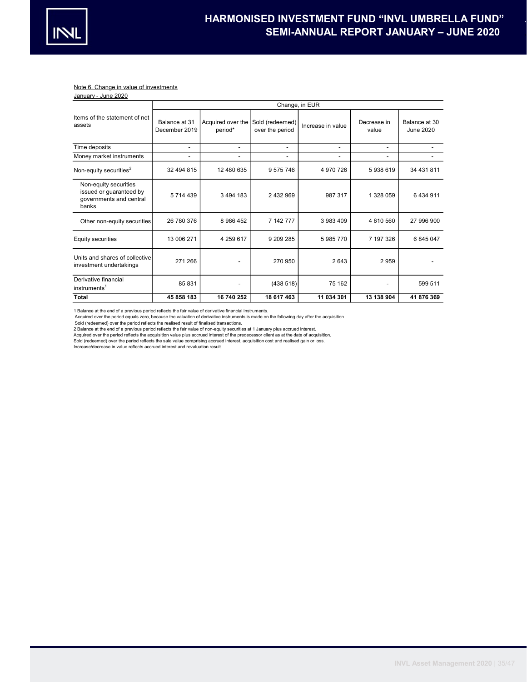

## Note 6. Change in value of investments

| January - June 2020                                                                  |                                |                                              |                          |                          |                      |                            |  |  |  |
|--------------------------------------------------------------------------------------|--------------------------------|----------------------------------------------|--------------------------|--------------------------|----------------------|----------------------------|--|--|--|
|                                                                                      | Change, in EUR                 |                                              |                          |                          |                      |                            |  |  |  |
| Items of the statement of net<br>assets                                              | Balance at 31<br>December 2019 | Acquired over the Sold (redeemed)<br>period* | over the period          | Increase in value        | Decrease in<br>value | Balance at 30<br>June 2020 |  |  |  |
| Time deposits                                                                        | $\overline{a}$                 | $\overline{\phantom{0}}$                     | $\overline{\phantom{a}}$ | $\overline{\phantom{a}}$ | ٠                    |                            |  |  |  |
| Money market instruments                                                             |                                | $\overline{a}$                               | $\overline{\phantom{a}}$ |                          |                      |                            |  |  |  |
| Non-equity securities <sup>2</sup>                                                   | 32 494 815                     | 12 480 635                                   | 9575746                  | 4 970 726                | 5938619              | 34 431 811                 |  |  |  |
| Non-equity securities<br>issued or guaranteed by<br>governments and central<br>banks | 5 714 439                      | 3 4 9 4 1 8 3                                | 2 432 969                | 987 317                  | 1 328 059            | 6434911                    |  |  |  |
| Other non-equity securities                                                          | 26 780 376                     | 8 986 452                                    | 7 142 777                | 3983409                  | 4 610 560            | 27 996 900                 |  |  |  |
| <b>Equity securities</b>                                                             | 13 006 271                     | 4 259 617                                    | 9 209 285                | 5985770                  | 7 197 326            | 6 845 047                  |  |  |  |
| Units and shares of collective<br>investment undertakings                            | 271 266                        | $\overline{\phantom{0}}$                     | 270 950                  | 2643                     | 2959                 |                            |  |  |  |
| Derivative financial<br>instruments <sup>1</sup>                                     | 85831                          |                                              | (438518)                 | 75 162                   |                      | 599 511                    |  |  |  |
| Total                                                                                | 45 858 183                     | 16 740 252                                   | 18 617 463               | 11 034 301               | 13 138 904           | 41 876 369                 |  |  |  |

1 Balance at the end of a previous period reflects the fair value of derivative financial instruments.

Acquired over the period equals zero, because the valuation of derivative instruments is made on the following day after the acquisition.

Sold (redeemed) over the period reflects the realised result of finalised transactions.

2 Balance at the end of a previous period reflects the fair value of non-equity securities at 1 January plus accrued interest.<br>Acquired over the period reflects the acquisition value plus accrued interest of the predecesso

Sold (redeemed) over the period reflects the sale value comprising accrued interest, acquisition cost and realised gain or loss.

Increase/decrease in value reflects accrued interest and revaluation result.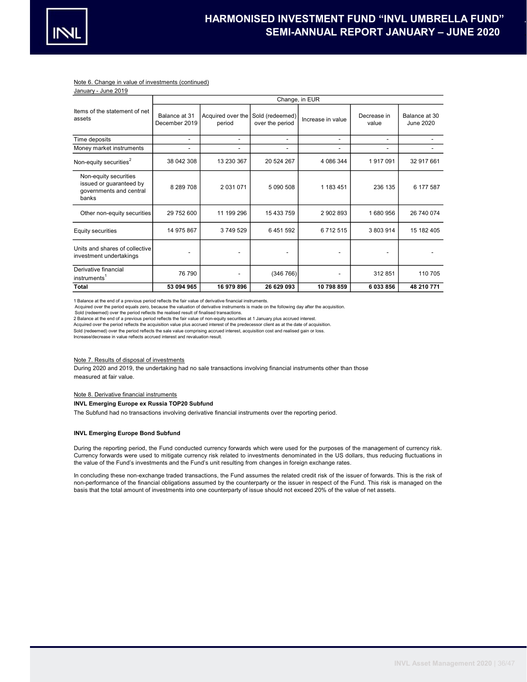

## Note 6. Change in value of investments (continued)

January - June 2019

|                                                                                      | Change, in EUR                 |                             |                                    |                          |                      |                            |  |  |
|--------------------------------------------------------------------------------------|--------------------------------|-----------------------------|------------------------------------|--------------------------|----------------------|----------------------------|--|--|
| Items of the statement of net<br>assets                                              | Balance at 31<br>December 2019 | Acquired over the<br>period | Sold (redeemed)<br>over the period | Increase in value        | Decrease in<br>value | Balance at 30<br>June 2020 |  |  |
| Time deposits                                                                        | $\overline{\phantom{0}}$       | $\overline{\phantom{0}}$    | $\overline{\phantom{0}}$           | $\overline{\phantom{0}}$ | ۰                    |                            |  |  |
| Money market instruments                                                             | $\overline{\phantom{0}}$       | $\overline{\phantom{0}}$    | $\overline{\phantom{0}}$           | $\overline{\phantom{0}}$ | -                    |                            |  |  |
| Non-equity securities <sup>2</sup>                                                   | 38 042 308                     | 13 230 367                  | 20 524 267                         | 4 086 344                | 1917091              | 32 917 661                 |  |  |
| Non-equity securities<br>issued or guaranteed by<br>governments and central<br>banks | 8 289 708                      | 2 031 071                   | 5 090 508                          | 1 183 451                | 236 135              | 6 177 587                  |  |  |
| Other non-equity securities                                                          | 29 752 600                     | 11 199 296                  | 15 433 759                         | 2 902 893                | 1680956              | 26 740 074                 |  |  |
| Equity securities                                                                    | 14 975 867                     | 3749529                     | 6 451 592                          | 6712515                  | 3 803 914            | 15 182 405                 |  |  |
| Units and shares of collective<br>investment undertakings                            |                                |                             |                                    |                          |                      |                            |  |  |
| Derivative financial<br>instruments <sup>1</sup>                                     | 76 790                         |                             | (346766)                           |                          | 312 851              | 110 705                    |  |  |
| Total                                                                                | 53 094 965                     | 16 979 896                  | 26 629 093                         | 10 798 859               | 6033856              | 48 210 771                 |  |  |

1 Balance at the end of a previous period reflects the fair value of derivative financial instruments.

Acquired over the period equals zero, because the valuation of derivative instruments is made on the following day after the acquisition.

Sold (redeemed) over the period reflects the realised result of finalised transactions.

2 Balance at the end of a previous period reflects the fair value of non-equity securities at 1 January plus accrued interest.

Acquired over the period reflects the acquisition value plus accrued interest of the predecessor client as at the date of acquisition. Sold (redeemed) over the period reflects the sale value comprising accrued interest, acquisition cost and realised gain or loss.

Increase/decrease in value reflects accrued interest and revaluation result.

## Note 7. Results of disposal of investments

measured at fair value. During 2020 and 2019, the undertaking had no sale transactions involving financial instruments other than those

## Note 8. Derivative financial instruments

## INVL Emerging Europe ex Russia TOP20 Subfund

The Subfund had no transactions involving derivative financial instruments over the reporting period.

#### INVL Emerging Europe Bond Subfund

During the reporting period, the Fund conducted currency forwards which were used for the purposes of the management of currency risk. Currency forwards were used to mitigate currency risk related to investments denominated in the US dollars, thus reducing fluctuations in the value of the Fund's investments and the Fund's unit resulting from changes in foreign exchange rates.

In concluding these non-exchange traded transactions, the Fund assumes the related credit risk of the issuer of forwards. This is the risk of non-performance of the financial obligations assumed by the counterparty or the issuer in respect of the Fund. This risk is managed on the basis that the total amount of investments into one counterparty of issue should not exceed 20% of the value of net assets.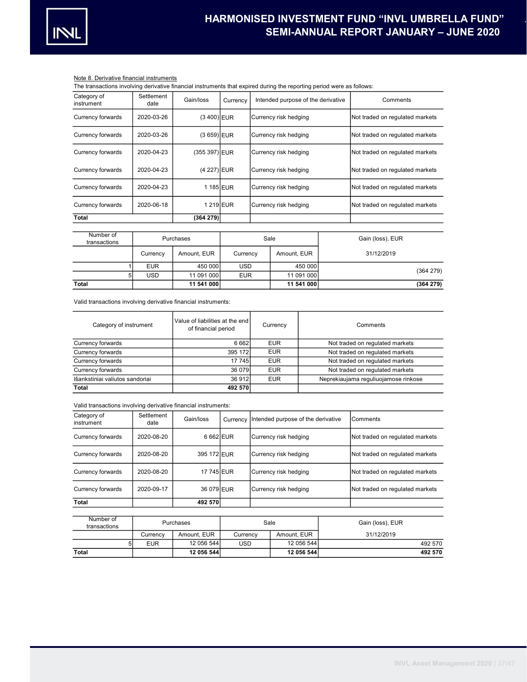

# Note 8. Derivative financial instruments

The transactions involving derivative financial instruments that expired during the reporting period were as follows:

| rile transactions involving denvative illiancial instruments that explica during the reporting period were as follows. |                    |               |            |                                    |             |                                 |  |                                 |
|------------------------------------------------------------------------------------------------------------------------|--------------------|---------------|------------|------------------------------------|-------------|---------------------------------|--|---------------------------------|
| Category of<br>instrument                                                                                              | Settlement<br>date | Gain/loss     | Currency   | Intended purpose of the derivative |             | Comments                        |  |                                 |
| Currency forwards                                                                                                      | 2020-03-26         | $(3 400)$ EUR |            | Currency risk hedging              |             | Not traded on regulated markets |  |                                 |
| Currency forwards                                                                                                      | 2020-03-26         | (3 659) EUR   |            | Currency risk hedging              |             | Not traded on regulated markets |  |                                 |
| Currency forwards                                                                                                      | 2020-04-23         | (355 397) EUR |            | Currency risk hedging              |             |                                 |  | Not traded on regulated markets |
| Currency forwards                                                                                                      | 2020-04-23         | (4 227) EUR   |            | Currency risk hedging              |             |                                 |  | Not traded on regulated markets |
| Currency forwards                                                                                                      | 2020-04-23         | 1185 EUR      |            | Currency risk hedging              |             | Not traded on regulated markets |  |                                 |
| Currency forwards                                                                                                      | 2020-06-18         | 1 219 EUR     |            | Currency risk hedging              |             | Not traded on regulated markets |  |                                 |
| Total                                                                                                                  |                    | (364 279)     |            |                                    |             |                                 |  |                                 |
| Number of<br>transactions                                                                                              |                    | Purchases     |            | Sale                               |             | Gain (loss), EUR                |  |                                 |
|                                                                                                                        | Currency           | Amount, EUR   | Currency   |                                    | Amount. EUR | 31/12/2019                      |  |                                 |
|                                                                                                                        | <b>EUR</b>         | 450 000       | <b>USD</b> |                                    | 450 000     |                                 |  |                                 |
|                                                                                                                        | <b>USD</b><br>5    | 11 091 000    | <b>EUR</b> |                                    | 11 091 000  | (364 279)                       |  |                                 |
| Total                                                                                                                  |                    | 11 541 000    |            |                                    | 11 541 000  | (364 279)                       |  |                                 |

Valid transactions involving derivative financial instruments:

| Category of instrument          | Value of liabilities at the end<br>of financial period | Currency   | Comments                             |
|---------------------------------|--------------------------------------------------------|------------|--------------------------------------|
| Currency forwards               | 6 6 6 2                                                | <b>EUR</b> | Not traded on regulated markets      |
| Currency forwards               | 395 172                                                | <b>EUR</b> | Not traded on regulated markets      |
| Currency forwards               | 17 745                                                 | <b>EUR</b> | Not traded on regulated markets      |
| Currency forwards               | 36 079                                                 | <b>EUR</b> | Not traded on regulated markets      |
| Išankstiniai valiutos sandoriai | 36 912                                                 | <b>EUR</b> | Neprekiaujama reguliuojamose rinkose |
| Total                           | 492 570                                                |            |                                      |

Valid transactions involving derivative financial instruments:

| Category of<br>instrument | Settlement<br>date | Gain/loss   | Currency   | Intended purpose of the derivative |                       |                                 | Comments                        |  |                                 |
|---------------------------|--------------------|-------------|------------|------------------------------------|-----------------------|---------------------------------|---------------------------------|--|---------------------------------|
| Currency forwards         | 2020-08-20         | 6 662 EUR   |            | Currency risk hedging              |                       |                                 | Not traded on regulated markets |  |                                 |
| Currency forwards         | 2020-08-20         | 395 172 EUR |            | Currency risk hedging              |                       |                                 |                                 |  | Not traded on regulated markets |
| Currency forwards         | 2020-08-20         | 17 745 EUR  |            | Currency risk hedging              |                       | Not traded on regulated markets |                                 |  |                                 |
| Currency forwards         | 2020-09-17         | 36 079 EUR  |            |                                    | Currency risk hedging |                                 | Not traded on regulated markets |  |                                 |
| Total                     |                    | 492 570     |            |                                    |                       |                                 |                                 |  |                                 |
| Number of<br>transactions |                    | Purchases   |            | Sale                               |                       |                                 | Gain (loss), EUR                |  |                                 |
|                           | Currency           | Amount, EUR | Currency   | Amount, EUR<br>31/12/2019          |                       |                                 |                                 |  |                                 |
| 5                         | <b>EUR</b>         | 12 056 544  | <b>USD</b> |                                    | 12 056 544            |                                 | 492 570                         |  |                                 |
| <b>Total</b>              |                    | 12 056 544  |            |                                    | 12 056 544            |                                 | 492 570                         |  |                                 |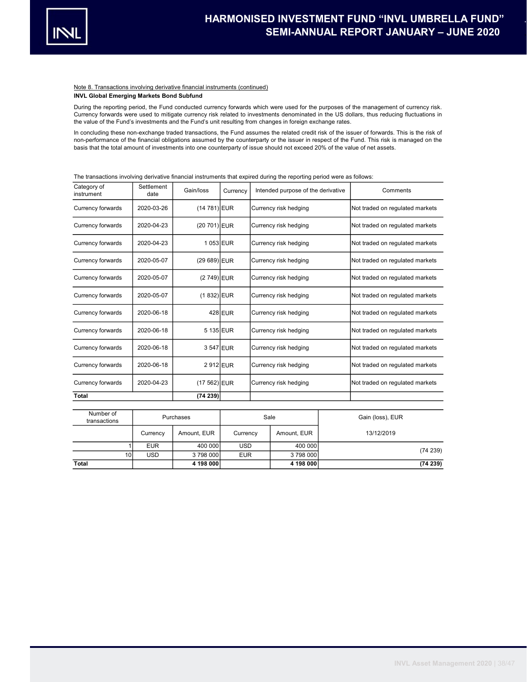

#### Note 8. Transactions involving derivative financial instruments (continued) INVL Global Emerging Markets Bond Subfund

During the reporting period, the Fund conducted currency forwards which were used for the purposes of the management of currency risk. Currency forwards were used to mitigate currency risk related to investments denominated in the US dollars, thus reducing fluctuations in the value of the Fund's investments and the Fund's unit resulting from changes in foreign exchange rates.

In concluding these non-exchange traded transactions, the Fund assumes the related credit risk of the issuer of forwards. This is the risk of non-performance of the financial obligations assumed by the counterparty or the issuer in respect of the Fund. This risk is managed on the basis that the total amount of investments into one counterparty of issue should not exceed 20% of the value of net assets.

| Category of<br>instrument | Settlement<br>date | Gain/loss      | Currency | Intended purpose of the derivative | Comments                        |
|---------------------------|--------------------|----------------|----------|------------------------------------|---------------------------------|
| Currency forwards         | 2020-03-26         | $(14 781)$ EUR |          | Currency risk hedging              | Not traded on regulated markets |
| Currency forwards         | 2020-04-23         | $(20701)$ EUR  |          | Currency risk hedging              | Not traded on regulated markets |
| Currency forwards         | 2020-04-23         | 1053 EUR       |          | Currency risk hedging              | Not traded on regulated markets |
| Currency forwards         | 2020-05-07         | $(29689)$ EUR  |          | Currency risk hedging              | Not traded on regulated markets |
| Currency forwards         | 2020-05-07         | $(2749)$ EUR   |          | Currency risk hedging              | Not traded on regulated markets |
| Currency forwards         | 2020-05-07         | $(1 832)$ EUR  |          | Currency risk hedging              | Not traded on regulated markets |
| Currency forwards         | 2020-06-18         |                | 428 EUR  | Currency risk hedging              | Not traded on regulated markets |
| Currency forwards         | 2020-06-18         | 5 135 EUR      |          | Currency risk hedging              | Not traded on regulated markets |
| Currency forwards         | 2020-06-18         | 3 547 EUR      |          | Currency risk hedging              | Not traded on regulated markets |
| Currency forwards         | 2020-06-18         | 2912 EUR       |          | Currency risk hedging              | Not traded on regulated markets |
| Currency forwards         | 2020-04-23         | $(17 562)$ EUR |          | Currency risk hedging              | Not traded on regulated markets |
| Total                     |                    | (74239)        |          |                                    |                                 |

The transactions involving derivative financial instruments that expired during the reporting period were as follows:

| Number of<br>transactions |            | Purchases   | Sale       |             | Gain (loss), EUR |  |
|---------------------------|------------|-------------|------------|-------------|------------------|--|
|                           | Currency   | Amount, EUR | Currency   | Amount, EUR | 13/12/2019       |  |
|                           | <b>EUR</b> | 400 000     | <b>USD</b> | 400 000     |                  |  |
| 10 <sup>1</sup>           | <b>USD</b> | 3798000     | <b>EUR</b> | 3798000     | (74239)          |  |
| Total                     |            | 4 198 000   |            | 4 198 000   | (74239)          |  |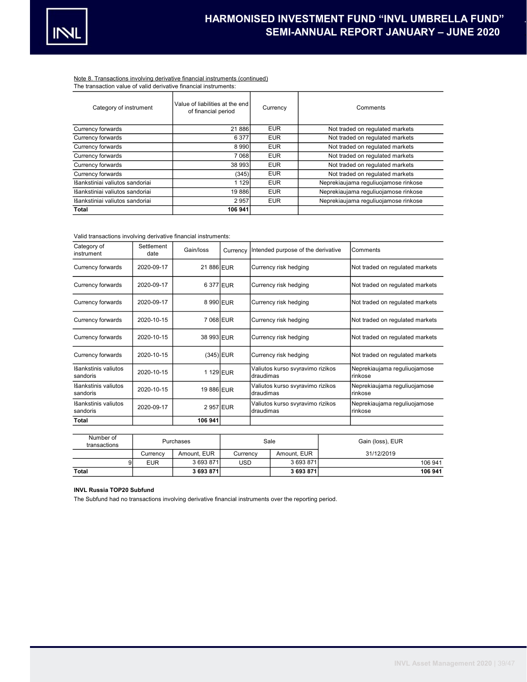

# Note 8. Transactions involving derivative financial instruments (continued)

| The transaction value of valid derivative financial instruments: |  |  |  |  |
|------------------------------------------------------------------|--|--|--|--|
|------------------------------------------------------------------|--|--|--|--|

| Category of instrument          | Value of liabilities at the end<br>of financial period | Currency   | Comments                             |
|---------------------------------|--------------------------------------------------------|------------|--------------------------------------|
| Currency forwards               | 21 886                                                 | <b>EUR</b> | Not traded on regulated markets      |
| Currency forwards               | 6 3 7 7                                                | <b>EUR</b> | Not traded on regulated markets      |
| Currency forwards               | 8990                                                   | <b>EUR</b> | Not traded on regulated markets      |
| Currency forwards               | 7 0 68                                                 | <b>EUR</b> | Not traded on regulated markets      |
| Currency forwards               | 38 993                                                 | <b>EUR</b> | Not traded on regulated markets      |
| Currency forwards               | (345)                                                  | <b>EUR</b> | Not traded on regulated markets      |
| Išankstiniai valiutos sandoriai | 1 1 2 9                                                | <b>EUR</b> | Neprekiaujama reguliuojamose rinkose |
| Išankstiniai valiutos sandoriai | 19886                                                  | <b>EUR</b> | Neprekiaujama reguliuojamose rinkose |
| Išankstiniai valiutos sandoriai | 2957                                                   | <b>EUR</b> | Neprekiaujama reguliuojamose rinkose |
| Total                           | 106 941                                                |            |                                      |

## Valid transactions involving derivative financial instruments:

| Category of<br>instrument        | Settlement<br>date | Gain/loss   | Currency | Intended purpose of the derivative            |                                               |  | Comments                                |
|----------------------------------|--------------------|-------------|----------|-----------------------------------------------|-----------------------------------------------|--|-----------------------------------------|
| Currency forwards                | 2020-09-17         | 21 886 EUR  |          |                                               | Currency risk hedging                         |  | Not traded on regulated markets         |
| Currency forwards                | 2020-09-17         | 6377 EUR    |          |                                               | Currency risk hedging                         |  | Not traded on regulated markets         |
| Currency forwards                | 2020-09-17         | 8990 EUR    |          |                                               | Currency risk hedging                         |  | Not traded on regulated markets         |
| Currency forwards                | 2020-10-15         | 7068 EUR    |          |                                               | Currency risk hedging                         |  | Not traded on regulated markets         |
| Currency forwards                | 2020-10-15         | 38 993 EUR  |          |                                               | Currency risk hedging                         |  | Not traded on regulated markets         |
| Currency forwards                | 2020-10-15         | $(345)$ EUR |          |                                               | Currency risk hedging                         |  | Not traded on regulated markets         |
| Išankstinis valiutos<br>sandoris | 2020-10-15         | 1129 EUR    |          |                                               | Valiutos kurso svyravimo rizikos<br>draudimas |  | Neprekiaujama reguliuojamose<br>rinkose |
| Išankstinis valiutos<br>sandoris | 2020-10-15         | 19 886 EUR  |          |                                               | Valiutos kurso svyravimo rizikos<br>draudimas |  | Neprekiaujama reguliuojamose<br>rinkose |
| Išankstinis valiutos<br>sandoris | 2020-09-17         | 2957 EUR    |          | Valiutos kurso svyravimo rizikos<br>draudimas |                                               |  | Neprekiaujama reguliuojamose<br>rinkose |
| Total                            |                    | 106 941     |          |                                               |                                               |  |                                         |
|                                  |                    |             |          |                                               |                                               |  |                                         |
| Number of<br>transactions        |                    | Purchases   |          | Sale                                          |                                               |  | Gain (loss), EUR                        |
|                                  | Currency           | Amount, EUR | Currency |                                               | Amount, EUR                                   |  | 31/12/2019                              |

Total 3 693 871 3 693 871 106 941

9 EUR 3 693 871 USD 3 693 871 206 941

## INVL Russia TOP20 Subfund

The Subfund had no transactions involving derivative financial instruments over the reporting period.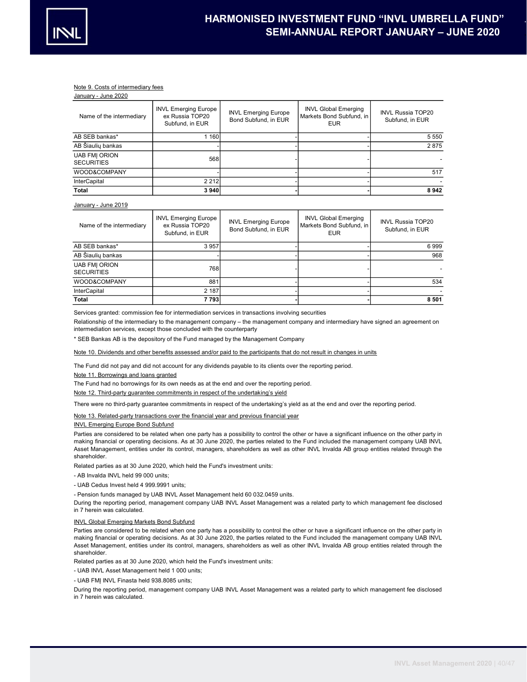

## Note 9. Costs of intermediary fees

| January - June 2020                       |                                                                   |                                                     |                                                                       |                                             |
|-------------------------------------------|-------------------------------------------------------------------|-----------------------------------------------------|-----------------------------------------------------------------------|---------------------------------------------|
| Name of the intermediary                  | <b>INVL Emerging Europe</b><br>ex Russia TOP20<br>Subfund, in EUR | <b>INVL Emerging Europe</b><br>Bond Subfund, in EUR | <b>INVL Global Emerging</b><br>Markets Bond Subfund, in<br><b>EUR</b> | <b>INVL Russia TOP20</b><br>Subfund, in EUR |
| AB SEB bankas*                            | 1 160                                                             |                                                     |                                                                       | 5 5 5 0                                     |
| AB Šiaulių bankas                         |                                                                   |                                                     |                                                                       | 2875                                        |
| <b>UAB FMI ORION</b><br><b>SECURITIES</b> | 568                                                               |                                                     |                                                                       |                                             |
| WOOD&COMPANY                              |                                                                   |                                                     |                                                                       | 517                                         |
| <b>InterCapital</b>                       | 2 2 1 2                                                           |                                                     |                                                                       |                                             |
| <b>Total</b>                              | 3940                                                              |                                                     |                                                                       | 8942                                        |

#### January - June 2019

| Name of the intermediary                  | <b>INVL Emerging Europe</b><br>ex Russia TOP20<br>Subfund, in EUR | <b>INVL Emerging Europe</b><br>Bond Subfund, in EUR | <b>INVL Global Emerging</b><br>Markets Bond Subfund, in<br><b>EUR</b> | <b>INVL Russia TOP20</b><br>Subfund, in EUR |
|-------------------------------------------|-------------------------------------------------------------------|-----------------------------------------------------|-----------------------------------------------------------------------|---------------------------------------------|
| AB SEB bankas*                            | 3 9 5 7                                                           |                                                     |                                                                       | 6999                                        |
| AB Šiaulių bankas                         |                                                                   |                                                     |                                                                       | 968                                         |
| <b>UAB FMI ORION</b><br><b>SECURITIES</b> | 768                                                               |                                                     |                                                                       |                                             |
| WOOD&COMPANY                              | 881                                                               |                                                     |                                                                       | 534                                         |
| <b>InterCapital</b>                       | 2 187                                                             |                                                     |                                                                       |                                             |
| Total                                     | 7 7931                                                            |                                                     |                                                                       | 8 5 0 1                                     |

Services granted: commission fee for intermediation services in transactions involving securities

Relationship of the intermediary to the management company – the management company and intermediary have signed an agreement on intermediation services, except those concluded with the counterparty

\* SEB Bankas AB is the depository of the Fund managed by the Management Company

## Note 10. Dividends and other benefits assessed and/or paid to the participants that do not result in changes in units

The Fund did not pay and did not account for any dividends payable to its clients over the reporting period.

Note 11. Borrowings and loans granted

The Fund had no borrowings for its own needs as at the end and over the reporting period.

Note 12. Third-party guarantee commitments in respect of the undertaking's yield

There were no third-party guarantee commitments in respect of the undertaking's yield as at the end and over the reporting period.

## Note 13. Related-party transactions over the financial year and previous financial year

## INVL Emerging Europe Bond Subfund

Parties are considered to be related when one party has a possibility to control the other or have a significant influence on the other party in making financial or operating decisions. As at 30 June 2020, the parties related to the Fund included the management company UAB INVL Asset Management, entities under its control, managers, shareholders as well as other INVL Invalda AB group entities related through the shareholder.

Related parties as at 30 June 2020, which held the Fund's investment units:

- AB Invalda INVL held 99 000 units;

- UAB Cedus Invest held 4 999.9991 units;

- Pension funds managed by UAB INVL Asset Management held 60 032.0459 units.

During the reporting period, management company UAB INVL Asset Management was a related party to which management fee disclosed in 7 herein was calculated.

## INVL Global Emerging Markets Bond Subfund

Parties are considered to be related when one party has a possibility to control the other or have a significant influence on the other party in making financial or operating decisions. As at 30 June 2020, the parties related to the Fund included the management company UAB INVL Asset Management, entities under its control, managers, shareholders as well as other INVL Invalda AB group entities related through the shareholder.

Related parties as at 30 June 2020, which held the Fund's investment units:

- UAB INVL Asset Management held 1 000 units;

- UAB FMĮ INVL Finasta held 938.8085 units;

During the reporting period, management company UAB INVL Asset Management was a related party to which management fee disclosed in 7 herein was calculated.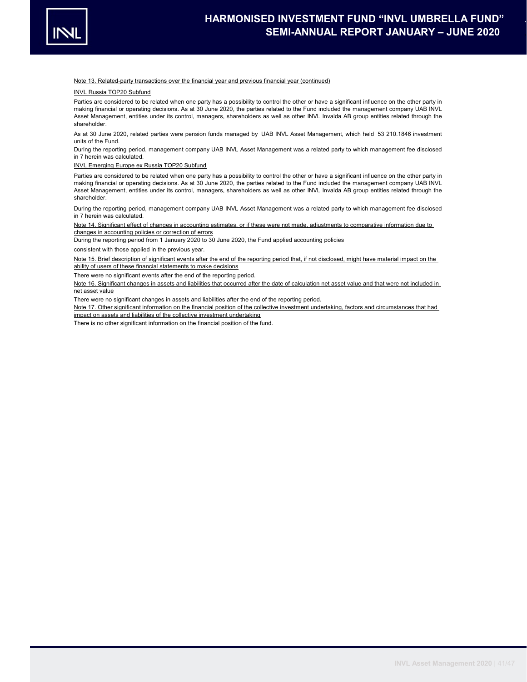

#### Note 13. Related-party transactions over the financial year and previous financial year (continued)

INVL Russia TOP20 Subfund

Parties are considered to be related when one party has a possibility to control the other or have a significant influence on the other party in making financial or operating decisions. As at 30 June 2020, the parties related to the Fund included the management company UAB INVL Asset Management, entities under its control, managers, shareholders as well as other INVL Invalda AB group entities related through the shareholder.

As at 30 June 2020, related parties were pension funds managed by UAB INVL Asset Management, which held 53 210.1846 investment units of the Fund.

During the reporting period, management company UAB INVL Asset Management was a related party to which management fee disclosed in 7 herein was calculated.

#### INVL Emerging Europe ex Russia TOP20 Subfund

Parties are considered to be related when one party has a possibility to control the other or have a significant influence on the other party in making financial or operating decisions. As at 30 June 2020, the parties related to the Fund included the management company UAB INVL Asset Management, entities under its control, managers, shareholders as well as other INVL Invalda AB group entities related through the shareholder.

During the reporting period, management company UAB INVL Asset Management was a related party to which management fee disclosed in 7 herein was calculated.

Note 14. Significant effect of changes in accounting estimates, or if these were not made, adjustments to comparative information due to changes in accounting policies or correction of errors

During the reporting period from 1 January 2020 to 30 June 2020, the Fund applied accounting policies

consistent with those applied in the previous year.

Note 15. Brief description of significant events after the end of the reporting period that, if not disclosed, might have material impact on the ability of users of these financial statements to make decisions

There were no significant events after the end of the reporting period.

Note 16. Significant changes in assets and liabilities that occurred after the date of calculation net asset value and that were not included in net asset value

There were no significant changes in assets and liabilities after the end of the reporting period.

Note 17. Other significant information on the financial position of the collective investment undertaking, factors and circumstances that had impact on assets and liabilities of the collective investment undertaking

There is no other significant information on the financial position of the fund.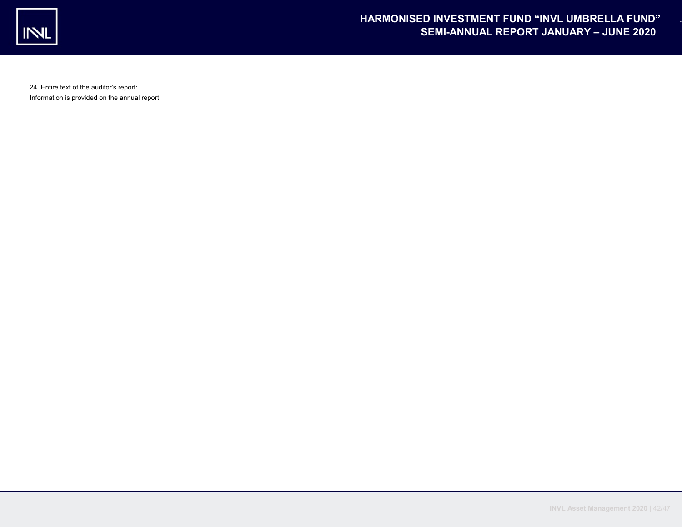

24. Entire text of the auditor's report: Information is provided on the annual report.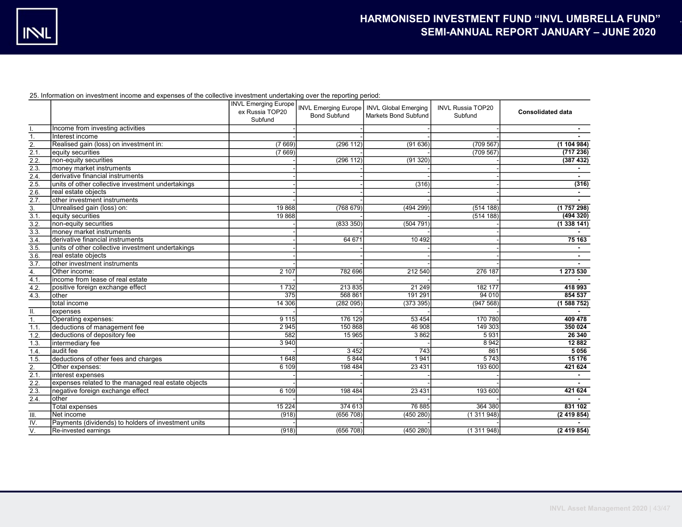25. Information on investment income and expenses of the collective investment undertaking over the reporting period:

|                    |                                                     | <b>INVL Emerging Europe</b><br>ex Russia TOP20<br>Subfund | <b>Bond Subfund</b> | INVL Emerging Europe   INVL Global Emerging<br>Markets Bond Subfund | <b>INVL Russia TOP20</b><br>Subfund | <b>Consolidated data</b> |
|--------------------|-----------------------------------------------------|-----------------------------------------------------------|---------------------|---------------------------------------------------------------------|-------------------------------------|--------------------------|
|                    | Income from investing activities                    |                                                           |                     |                                                                     |                                     |                          |
| 1.                 | Interest income                                     |                                                           |                     |                                                                     |                                     |                          |
| 2.                 | Realised gain (loss) on investment in:              | (7669)                                                    | (296 112)           | (91636)                                                             | (709 567)                           | (1104984)                |
| 2.1.               | equity securities                                   | (7669)                                                    |                     |                                                                     | (709 567)                           | (717236)                 |
| 2.2.               | non-equity securities                               |                                                           | (296 112)           | (91320)                                                             |                                     | (387 432)                |
| 2.3.               | money market instruments                            |                                                           |                     |                                                                     |                                     |                          |
| 2.4.               | derivative financial instruments                    |                                                           |                     |                                                                     |                                     | $\sim$                   |
| 2.5.               | units of other collective investment undertakings   |                                                           |                     | (316)                                                               |                                     | (316)                    |
| 2.6.               | real estate objects                                 |                                                           |                     |                                                                     |                                     |                          |
| 2.7.               | other investment instruments                        |                                                           |                     |                                                                     |                                     |                          |
| 3.                 | Unrealised gain (loss) on:                          | 19868                                                     | (768679)            | (494 299)                                                           | (514 188)                           | (1757298)                |
| 3.1.               | equity securities                                   | 19 868                                                    |                     |                                                                     | (514 188)                           | (494320)                 |
| 3.2.               | non-equity securities                               |                                                           | (833 350)           | (504791)                                                            |                                     | (1338141)                |
| 3.3.               | money market instruments                            |                                                           |                     |                                                                     |                                     |                          |
| 3.4.               | derivative financial instruments                    |                                                           | 64 671              | 10 492                                                              |                                     | 75 163                   |
| 3.5.               | units of other collective investment undertakings   |                                                           |                     |                                                                     |                                     |                          |
| 3.6.               | real estate objects                                 |                                                           |                     |                                                                     |                                     |                          |
| 3.7.               | other investment instruments                        |                                                           |                     |                                                                     |                                     | $\sim$                   |
| 4.                 | Other income:                                       | 2 107                                                     | 782 696             | 212 540                                                             | 276 187                             | 1 273 530                |
| 4.1.               | income from lease of real estate                    |                                                           |                     |                                                                     |                                     |                          |
| 4.2.               | positive foreign exchange effect                    | 1732                                                      | 213 835             | 21 249                                                              | 182 177                             | 418 993                  |
| 4.3.               | lother                                              | 375                                                       | 568 861             | 191 291                                                             | 94 0 10                             | 854 537                  |
|                    | Itotal income                                       | 14 30 6                                                   | (282095)            | (373395)                                                            | (947568)                            | (1588752)                |
| Ш.                 | expenses                                            |                                                           |                     |                                                                     |                                     |                          |
| 1.                 | Operating expenses:                                 | 9115                                                      | 176 129             | 53 4 54                                                             | 170 780                             | 409 478                  |
| 1.1.               | deductions of management fee                        | 2 9 4 5                                                   | 150 868             | 46 908                                                              | 149 303                             | 350 024                  |
| 1.2.               | deductions of depository fee                        | 582                                                       | 15 965              | 3862                                                                | 5931                                | 26 340                   |
| 1.3.               | Intermediary fee                                    | 3 9 4 0                                                   |                     |                                                                     | 8 9 4 2                             | 12 8 8 2                 |
| 1.4.               | audit fee                                           |                                                           | 3452                | 743                                                                 | 861                                 | 5 0 5 6                  |
| 1.5.               | deductions of other fees and charges                | 1648                                                      | 5 8 4 4             | 1941                                                                | 5743                                | 15 176                   |
| 2.                 | Other expenses:                                     | 6 109                                                     | 198 484             | 23 4 31                                                             | 193 600                             | 421 624                  |
| 2.1.               | interest expenses                                   |                                                           |                     |                                                                     |                                     | $\sim$                   |
| 2.2.               | expenses related to the managed real estate objects |                                                           |                     |                                                                     |                                     |                          |
| 2.3.               | negative foreign exchange effect                    | 6 109                                                     | 198 484             | 23 4 31                                                             | 193 600                             | 421 624                  |
| $\overline{2.4}$ . | lother                                              |                                                           |                     |                                                                     |                                     |                          |
|                    | Total expenses                                      | 15 2 24                                                   | 374 613             | 76 885                                                              | 364 380                             | 831 102                  |
| III.               | Net income                                          | (918)                                                     | (656 708)           | (450 280)                                                           | (1311948)                           | (2419854)                |
| IV.                | Payments (dividends) to holders of investment units |                                                           |                     |                                                                     |                                     |                          |
| $\overline{V}$ .   | Re-invested earnings                                | (918)                                                     | (656 708)           | (450 280)                                                           | (1311948)                           | (2419854)                |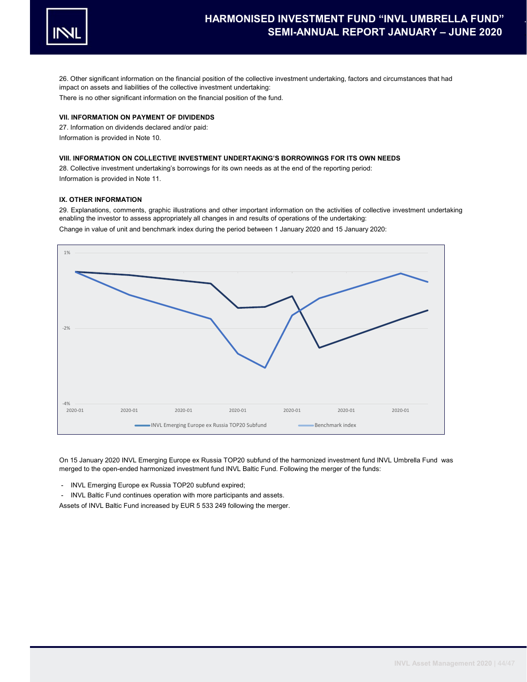

26. Other significant information on the financial position of the collective investment undertaking, factors and circumstances that had impact on assets and liabilities of the collective investment undertaking: There is no other significant information on the financial position of the fund.

# VII. INFORMATION ON PAYMENT OF DIVIDENDS

27. Information on dividends declared and/or paid: Information is provided in Note 10.

# VIII. INFORMATION ON COLLECTIVE INVESTMENT UNDERTAKING'S BORROWINGS FOR ITS OWN NEEDS

28. Collective investment undertaking's borrowings for its own needs as at the end of the reporting period: Information is provided in Note 11.

# IX. OTHER INFORMATION

29. Explanations, comments, graphic illustrations and other important information on the activities of collective investment undertaking enabling the investor to assess appropriately all changes in and results of operations of the undertaking:

Change in value of unit and benchmark index during the period between 1 January 2020 and 15 January 2020:



On 15 January 2020 INVL Emerging Europe ex Russia TOP20 subfund of the harmonized investment fund INVL Umbrella Fund was merged to the open-ended harmonized investment fund INVL Baltic Fund. Following the merger of the funds:

- INVL Emerging Europe ex Russia TOP20 subfund expired;

INVL Baltic Fund continues operation with more participants and assets. Assets of INVL Baltic Fund increased by EUR 5 533 249 following the merger.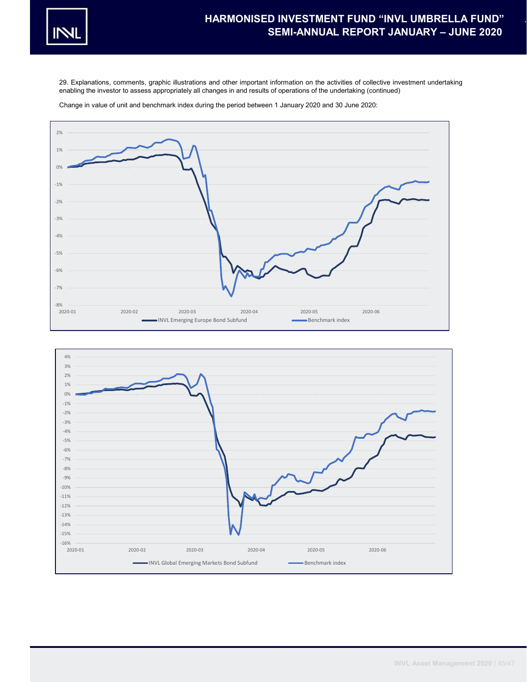

29. Explanations, comments, graphic illustrations and other important information on the activities of collective investment undertaking enabling the investor to assess appropriately all changes in and results of operations of the undertaking (continued)

Change in value of unit and benchmark index during the period between 1 January 2020 and 30 June 2020:



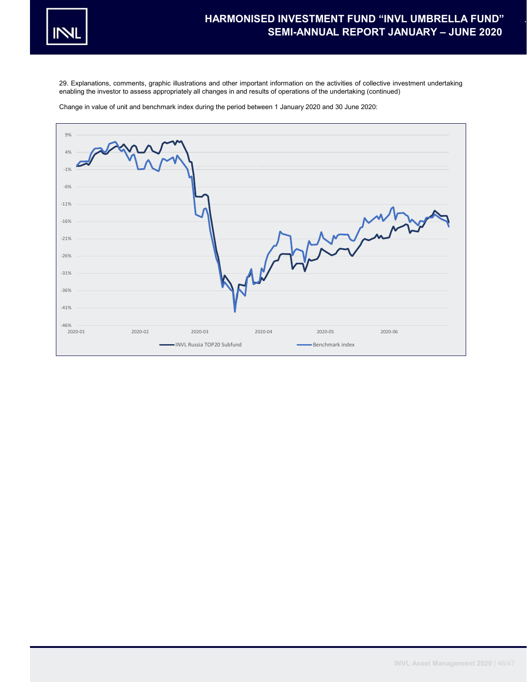

29. Explanations, comments, graphic illustrations and other important information on the activities of collective investment undertaking enabling the investor to assess appropriately all changes in and results of operations of the undertaking (continued)

Change in value of unit and benchmark index during the period between 1 January 2020 and 30 June 2020: